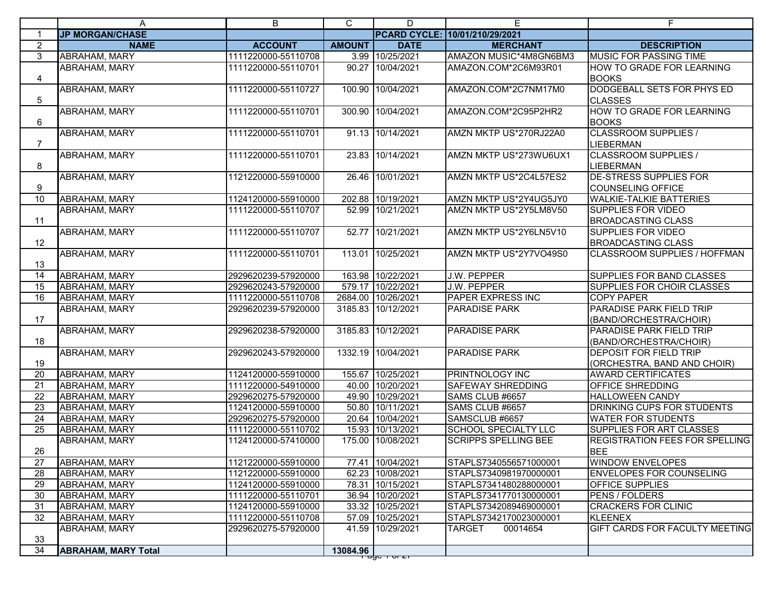|                 | A                          | B                   | C             | D                     | Е                              | F                                                            |
|-----------------|----------------------------|---------------------|---------------|-----------------------|--------------------------------|--------------------------------------------------------------|
| 1               | <b>JP MORGAN/CHASE</b>     |                     |               |                       | PCARD CYCLE: 10/01/210/29/2021 |                                                              |
| $\overline{2}$  | <b>NAME</b>                | <b>ACCOUNT</b>      | <b>AMOUNT</b> | <b>DATE</b>           | <b>MERCHANT</b>                | <b>DESCRIPTION</b>                                           |
| 3               | <b>ABRAHAM, MARY</b>       | 1111220000-55110708 | 3.99          | 10/25/2021            | AMAZON MUSIC*4M8GN6BM3         | <b>MUSIC FOR PASSING TIME</b>                                |
| 4               | ABRAHAM, MARY              | 1111220000-55110701 | 90.27         | 10/04/2021            | AMAZON.COM*2C6M93R01           | HOW TO GRADE FOR LEARNING<br><b>BOOKS</b>                    |
| 5               | <b>ABRAHAM, MARY</b>       | 1111220000-55110727 | 100.90        | 10/04/2021            | AMAZON.COM*2C7NM17M0           | DODGEBALL SETS FOR PHYS ED<br><b>CLASSES</b>                 |
| 6               | <b>ABRAHAM, MARY</b>       | 1111220000-55110701 | 300.90        | 10/04/2021            | AMAZON.COM*2C95P2HR2           | <b>HOW TO GRADE FOR LEARNING</b><br><b>BOOKS</b>             |
| $\overline{7}$  | <b>ABRAHAM, MARY</b>       | 1111220000-55110701 |               | 91.13 10/14/2021      | AMZN MKTP US*270RJ22A0         | <b>CLASSROOM SUPPLIES /</b><br><b>LIEBERMAN</b>              |
| 8               | <b>ABRAHAM, MARY</b>       | 1111220000-55110701 | 23.83         | 10/14/2021            | AMZN MKTP US*273WU6UX1         | <b>CLASSROOM SUPPLIES /</b><br><b>LIEBERMAN</b>              |
| 9               | <b>ABRAHAM, MARY</b>       | 1121220000-55910000 |               | 26.46 10/01/2021      | AMZN MKTP US*2C4L57ES2         | <b>DE-STRESS SUPPLIES FOR</b><br>COUNSELING OFFICE           |
| $\overline{10}$ | <b>ABRAHAM, MARY</b>       | 1124120000-55910000 |               | 202.88 10/19/2021     | AMZN MKTP US*2Y4UG5JY0         | <b>WALKIE-TALKIE BATTERIES</b>                               |
| 11              | <b>ABRAHAM, MARY</b>       | 1111220000-55110707 |               | 52.99 10/21/2021      | AMZN MKTP US*2Y5LM8V50         | <b>SUPPLIES FOR VIDEO</b><br><b>BROADCASTING CLASS</b>       |
| 12              | <b>ABRAHAM, MARY</b>       | 1111220000-55110707 |               | 52.77 10/21/2021      | AMZN MKTP US*2Y6LN5V10         | <b>SUPPLIES FOR VIDEO</b><br><b>BROADCASTING CLASS</b>       |
| 13              | <b>ABRAHAM, MARY</b>       | 1111220000-55110701 |               | 113.01 10/25/2021     | AMZN MKTP US*2Y7VO49S0         | CLASSROOM SUPPLIES / HOFFMAN                                 |
| $\overline{14}$ | <b>ABRAHAM, MARY</b>       | 2929620239-57920000 |               | 163.98 10/22/2021     | J.W. PEPPER                    | <b>SUPPLIES FOR BAND CLASSES</b>                             |
| 15              | <b>ABRAHAM, MARY</b>       | 2929620243-57920000 |               | 579.17 10/22/2021     | J.W. PEPPER                    | SUPPLIES FOR CHOIR CLASSES                                   |
| $\overline{16}$ | <b>ABRAHAM, MARY</b>       | 1111220000-55110708 |               | 2684.00 10/26/2021    | <b>PAPER EXPRESS INC</b>       | <b>COPY PAPER</b>                                            |
| 17              | ABRAHAM, MARY              | 2929620239-57920000 |               | 3185.83 10/12/2021    | <b>PARADISE PARK</b>           | <b>PARADISE PARK FIELD TRIP</b><br>(BAND/ORCHESTRA/CHOIR)    |
| 18              | <b>ABRAHAM, MARY</b>       | 2929620238-57920000 | 3185.83       | 10/12/2021            | <b>PARADISE PARK</b>           | <b>PARADISE PARK FIELD TRIP</b><br>(BAND/ORCHESTRA/CHOIR)    |
| 19              | <b>ABRAHAM, MARY</b>       | 2929620243-57920000 |               | 1332.19 10/04/2021    | <b>PARADISE PARK</b>           | <b>DEPOSIT FOR FIELD TRIP</b><br>(ORCHESTRA, BAND AND CHOIR) |
| 20              | <b>ABRAHAM, MARY</b>       | 1124120000-55910000 |               | 155.67 10/25/2021     | PRINTNOLOGY INC                | <b>AWARD CERTIFICATES</b>                                    |
| 21              | <b>ABRAHAM, MARY</b>       | 1111220000-54910000 |               | 40.00 10/20/2021      | <b>SAFEWAY SHREDDING</b>       | <b>OFFICE SHREDDING</b>                                      |
| $\overline{22}$ | ABRAHAM, MARY              | 2929620275-57920000 |               | 49.90 10/29/2021      | SAMS CLUB #6657                | <b>HALLOWEEN CANDY</b>                                       |
| $\overline{23}$ | ABRAHAM, MARY              | 1124120000-55910000 |               | 50.80 10/11/2021      | SAMS CLUB #6657                | <b>DRINKING CUPS FOR STUDENTS</b>                            |
| 24              | <b>ABRAHAM, MARY</b>       | 2929620275-57920000 |               | 20.64 10/04/2021      | SAMSCLUB #6657                 | <b>WATER FOR STUDENTS</b>                                    |
| 25              | <b>ABRAHAM, MARY</b>       | 1111220000-55110702 |               | 15.93 10/13/2021      | <b>SCHOOL SPECIALTY LLC</b>    | SUPPLIES FOR ART CLASSES                                     |
| 26              | <b>ABRAHAM, MARY</b>       | 1124120000-57410000 | 175.00        | 10/08/2021            | <b>SCRIPPS SPELLING BEE</b>    | <b>REGISTRATION FEES FOR SPELLING</b><br><b>BEE</b>          |
| 27              | <b>ABRAHAM, MARY</b>       | 1121220000-55910000 |               | 77.41 10/04/2021      | STAPLS7340556571000001         | <b>WINDOW ENVELOPES</b>                                      |
| 28              | ABRAHAM, MARY              | 1121220000-55910000 |               | 62.23 10/08/2021      | STAPLS7340981970000001         | <b>ENVELOPES FOR COUNSELING</b>                              |
| 29              | <b>ABRAHAM, MARY</b>       | 1124120000-55910000 |               | 78.31 10/15/2021      | STAPLS7341480288000001         | <b>OFFICE SUPPLIES</b>                                       |
| 30              | ABRAHAM, MARY              | 1111220000-55110701 |               | 36.94 10/20/2021      | STAPLS7341770130000001         | PENS / FOLDERS                                               |
| 31              | ABRAHAM, MARY              | 1124120000-55910000 |               | 33.32 10/25/2021      | STAPLS7342089469000001         | <b>CRACKERS FOR CLINIC</b>                                   |
| 32              | ABRAHAM, MARY              | 1111220000-55110708 |               | 57.09 10/25/2021      | STAPLS7342170023000001         | <b>KLEENEX</b>                                               |
| 33              | ABRAHAM, MARY              | 2929620275-57920000 |               | 41.59 10/29/2021      | TARGET<br>00014654             | <b>GIFT CARDS FOR FACULTY MEETING</b>                        |
| 34              | <b>ABRAHAM, MARY Total</b> |                     | 13084.96      |                       |                                |                                                              |
|                 |                            |                     |               | <del>rago rorzi</del> |                                |                                                              |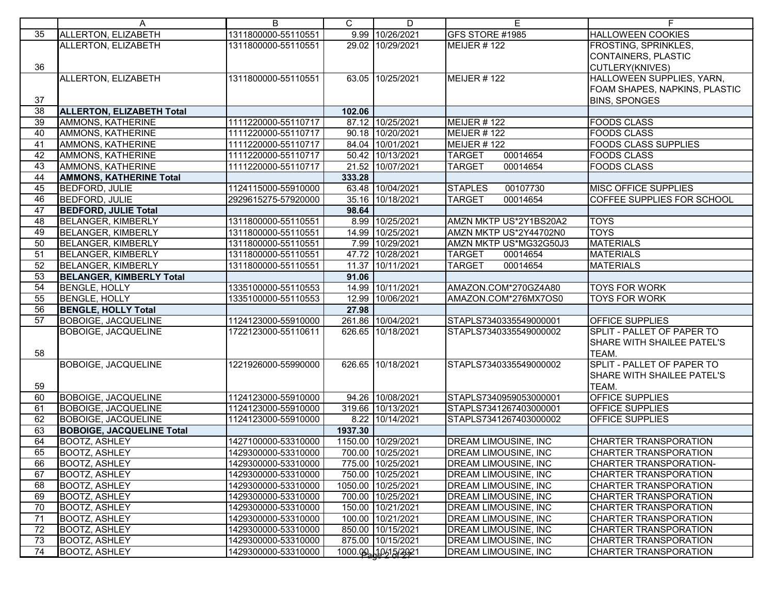|                 | A                                | B                   | C       | D                  | Е                           | F.                            |
|-----------------|----------------------------------|---------------------|---------|--------------------|-----------------------------|-------------------------------|
| 35              | ALLERTON, ELIZABETH              | 1311800000-55110551 |         | 9.99 10/26/2021    | GFS STORE #1985             | <b>HALLOWEEN COOKIES</b>      |
|                 | ALLERTON, ELIZABETH              | 1311800000-55110551 |         | 29.02 10/29/2021   | MEIJER $#$ 122              | <b>FROSTING, SPRINKLES,</b>   |
|                 |                                  |                     |         |                    |                             | CONTAINERS, PLASTIC           |
| 36              |                                  |                     |         |                    |                             | CUTLERY(KNIVES)               |
|                 | ALLERTON, ELIZABETH              | 1311800000-55110551 |         | 63.05 10/25/2021   | MEIJER $\#$ 122             | HALLOWEEN SUPPLIES, YARN,     |
|                 |                                  |                     |         |                    |                             | FOAM SHAPES, NAPKINS, PLASTIC |
| 37              |                                  |                     |         |                    |                             | <b>BINS, SPONGES</b>          |
| 38              | <b>ALLERTON, ELIZABETH Total</b> |                     | 102.06  |                    |                             |                               |
| 39              | AMMONS, KATHERINE                | 1111220000-55110717 |         | 87.12 10/25/2021   | MEIJER #122                 | <b>FOODS CLASS</b>            |
| 40              | AMMONS, KATHERINE                | 1111220000-55110717 |         | 90.18 10/20/2021   | MEIJER $#$ 122              | <b>FOODS CLASS</b>            |
| 41              | AMMONS, KATHERINE                | 1111220000-55110717 |         | 84.04 10/01/2021   | MEIJER #122                 | <b>FOODS CLASS SUPPLIES</b>   |
| 42              | AMMONS, KATHERINE                | 1111220000-55110717 |         | 50.42 10/13/2021   | <b>TARGET</b><br>00014654   | <b>FOODS CLASS</b>            |
| 43              | AMMONS, KATHERINE                | 1111220000-55110717 |         | 21.52 10/07/2021   | 00014654<br><b>TARGET</b>   | <b>FOODS CLASS</b>            |
| 44              | <b>AMMONS, KATHERINE Total</b>   |                     | 333.28  |                    |                             |                               |
| 45              | <b>BEDFORD, JULIE</b>            | 1124115000-55910000 |         | 63.48 10/04/2021   | <b>STAPLES</b><br>00107730  | MISC OFFICE SUPPLIES          |
| 46              | <b>BEDFORD, JULIE</b>            | 2929615275-57920000 |         | 35.16 10/18/2021   | 00014654<br><b>TARGET</b>   | COFFEE SUPPLIES FOR SCHOOL    |
| 47              | <b>BEDFORD, JULIE Total</b>      |                     | 98.64   |                    |                             |                               |
| 48              | <b>BELANGER, KIMBERLY</b>        | 1311800000-55110551 |         | 8.99 10/25/2021    | AMZN MKTP US*2Y1BS20A2      | <b>TOYS</b>                   |
| 49              | <b>BELANGER, KIMBERLY</b>        | 1311800000-55110551 |         | 14.99 10/25/2021   | AMZN MKTP US*2Y44702N0      | <b>TOYS</b>                   |
| 50              | <b>BELANGER, KIMBERLY</b>        | 1311800000-55110551 |         | 7.99 10/29/2021    | AMZN MKTP US*MG32G50J3      | <b>MATERIALS</b>              |
| 51              | <b>BELANGER, KIMBERLY</b>        | 1311800000-55110551 |         | 47.72 10/28/2021   | <b>TARGET</b><br>00014654   | <b>MATERIALS</b>              |
| 52              | <b>BELANGER, KIMBERLY</b>        | 1311800000-55110551 | 11.37   | 10/11/2021         | <b>TARGET</b><br>00014654   | <b>MATERIALS</b>              |
| 53              | <b>BELANGER, KIMBERLY Total</b>  |                     | 91.06   |                    |                             |                               |
| 54              | <b>BENGLE, HOLLY</b>             | 1335100000-55110553 |         | 14.99 10/11/2021   | AMAZON.COM*270GZ4A80        | <b>TOYS FOR WORK</b>          |
| 55              | <b>BENGLE, HOLLY</b>             | 1335100000-55110553 |         | 12.99 10/06/2021   | AMAZON.COM*276MX7OS0        | <b>TOYS FOR WORK</b>          |
| 56              | <b>BENGLE, HOLLY Total</b>       |                     | 27.98   |                    |                             |                               |
| $\overline{57}$ | <b>BOBOIGE, JACQUELINE</b>       | 1124123000-55910000 |         | 261.86 10/04/2021  | STAPLS7340335549000001      | <b>OFFICE SUPPLIES</b>        |
|                 | <b>BOBOIGE, JACQUELINE</b>       | 1722123000-55110611 |         | 626.65 10/18/2021  | STAPLS7340335549000002      | SPLIT - PALLET OF PAPER TO    |
|                 |                                  |                     |         |                    |                             | SHARE WITH SHAILEE PATEL'S    |
| 58              |                                  |                     |         |                    |                             | TEAM.                         |
|                 | <b>BOBOIGE, JACQUELINE</b>       | 1221926000-55990000 |         | 626.65 10/18/2021  | STAPLS7340335549000002      | SPLIT - PALLET OF PAPER TO    |
|                 |                                  |                     |         |                    |                             | SHARE WITH SHAILEE PATEL'S    |
| 59              |                                  |                     |         |                    |                             | TEAM.                         |
| 60              | <b>BOBOIGE, JACQUELINE</b>       | 1124123000-55910000 |         | 94.26 10/08/2021   | STAPLS7340959053000001      | <b>OFFICE SUPPLIES</b>        |
| 61              | <b>BOBOIGE, JACQUELINE</b>       | 1124123000-55910000 |         | 319.66 10/13/2021  | STAPLS7341267403000001      | <b>OFFICE SUPPLIES</b>        |
| 62              | <b>BOBOIGE, JACQUELINE</b>       | 1124123000-55910000 |         | 8.22 10/14/2021    | STAPLS7341267403000002      | <b>OFFICE SUPPLIES</b>        |
| 63              | <b>BOBOIGE, JACQUELINE Total</b> |                     | 1937.30 |                    |                             |                               |
| 64              | <b>BOOTZ, ASHLEY</b>             | 1427100000-53310000 |         | 1150.00 10/29/2021 | DREAM LIMOUSINE, INC        | <b>CHARTER TRANSPORATION</b>  |
| 65              | <b>BOOTZ, ASHLEY</b>             | 1429300000-53310000 |         | 700.00 10/25/2021  | <b>DREAM LIMOUSINE, INC</b> | <b>CHARTER TRANSPORATION</b>  |
| 66              | <b>BOOTZ, ASHLEY</b>             | 1429300000-53310000 |         | 775.00 10/25/2021  | <b>DREAM LIMOUSINE, INC</b> | CHARTER TRANSPORATION-        |
| 67              | <b>BOOTZ, ASHLEY</b>             | 1429300000-53310000 |         | 750.00 10/25/2021  | DREAM LIMOUSINE, INC        | <b>CHARTER TRANSPORATION</b>  |
| 68              | <b>BOOTZ, ASHLEY</b>             | 1429300000-53310000 |         | 1050.00 10/25/2021 | DREAM LIMOUSINE, INC        | CHARTER TRANSPORATION         |
| 69              | <b>BOOTZ, ASHLEY</b>             | 1429300000-53310000 |         | 700.00 10/25/2021  | DREAM LIMOUSINE, INC        | <b>CHARTER TRANSPORATION</b>  |
| 70              | <b>BOOTZ, ASHLEY</b>             | 1429300000-53310000 |         | 150.00 10/21/2021  | DREAM LIMOUSINE, INC        | CHARTER TRANSPORATION         |
| 71              | <b>BOOTZ, ASHLEY</b>             | 1429300000-53310000 |         | 100.00 10/21/2021  | DREAM LIMOUSINE, INC        | <b>CHARTER TRANSPORATION</b>  |
| 72              | <b>BOOTZ, ASHLEY</b>             | 1429300000-53310000 |         | 850.00 10/15/2021  | DREAM LIMOUSINE, INC        | <b>CHARTER TRANSPORATION</b>  |
| 73              | <b>BOOTZ, ASHLEY</b>             | 1429300000-53310000 |         | 875.00 10/15/2021  | DREAM LIMOUSINE, INC        | CHARTER TRANSPORATION         |
| 74              | <b>BOOTZ, ASHLEY</b>             | 1429300000-53310000 |         | 1000.00 10/15/2021 | DREAM LIMOUSINE, INC        | <b>CHARTER TRANSPORATION</b>  |
|                 |                                  |                     |         |                    |                             |                               |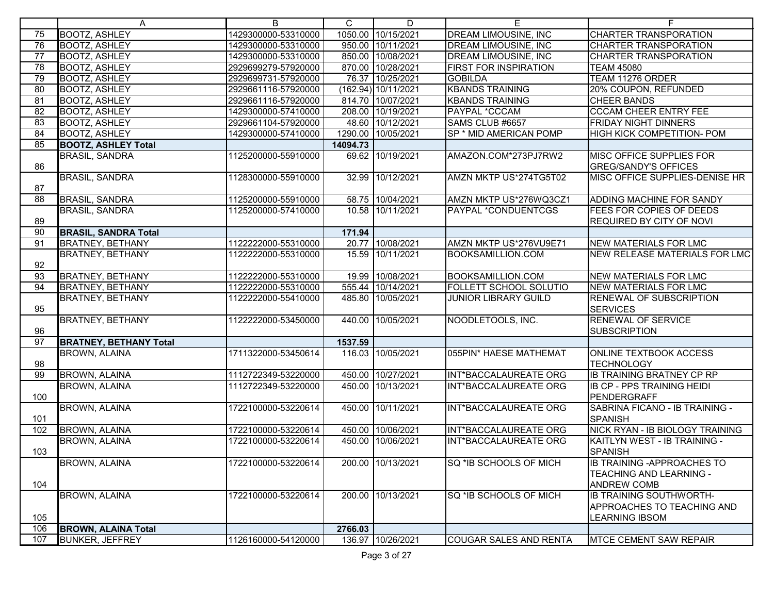|                 | A                             | B                   | C        | D                   | E.                            | F.                                               |
|-----------------|-------------------------------|---------------------|----------|---------------------|-------------------------------|--------------------------------------------------|
| 75              | <b>BOOTZ, ASHLEY</b>          | 1429300000-53310000 |          | 1050.00 10/15/2021  | <b>DREAM LIMOUSINE, INC</b>   | <b>CHARTER TRANSPORATION</b>                     |
| 76              | <b>BOOTZ, ASHLEY</b>          | 1429300000-53310000 |          | 950.00 10/11/2021   | <b>DREAM LIMOUSINE, INC</b>   | <b>CHARTER TRANSPORATION</b>                     |
| $\overline{77}$ | <b>BOOTZ, ASHLEY</b>          | 1429300000-53310000 |          | 850.00 10/08/2021   | <b>DREAM LIMOUSINE, INC</b>   | <b>CHARTER TRANSPORATION</b>                     |
| 78              | <b>BOOTZ, ASHLEY</b>          | 2929699279-57920000 |          | 870.00 10/28/2021   | <b>FIRST FOR INSPIRATION</b>  | <b>TEAM 45080</b>                                |
| 79              | <b>BOOTZ, ASHLEY</b>          | 2929699731-57920000 |          | 76.37 10/25/2021    | <b>GOBILDA</b>                | TEAM 11276 ORDER                                 |
| 80              | <b>BOOTZ, ASHLEY</b>          | 2929661116-57920000 |          | (162.94) 10/11/2021 | <b>KBANDS TRAINING</b>        | 20% COUPON, REFUNDED                             |
| 81              | <b>BOOTZ, ASHLEY</b>          | 2929661116-57920000 |          | 814.70 10/07/2021   | <b>KBANDS TRAINING</b>        | <b>CHEER BANDS</b>                               |
| 82              | <b>BOOTZ, ASHLEY</b>          | 1429300000-57410000 |          | 208.00 10/19/2021   | PAYPAL *CCCAM                 | <b>CCCAM CHEER ENTRY FEE</b>                     |
| 83              | <b>BOOTZ, ASHLEY</b>          | 2929661104-57920000 |          | 48.60 10/12/2021    | SAMS CLUB #6657               | <b>FRIDAY NIGHT DINNERS</b>                      |
| 84              | <b>BOOTZ, ASHLEY</b>          | 1429300000-57410000 |          | 1290.00 10/05/2021  | SP * MID AMERICAN POMP        | HIGH KICK COMPETITION- POM                       |
| 85              | <b>BOOTZ, ASHLEY Total</b>    |                     | 14094.73 |                     |                               |                                                  |
|                 | <b>BRASIL, SANDRA</b>         | 1125200000-55910000 |          | 69.62 10/19/2021    | AMAZON.COM*273PJ7RW2          | MISC OFFICE SUPPLIES FOR                         |
| 86              |                               |                     |          |                     |                               | <b>GREG/SANDY'S OFFICES</b>                      |
|                 | <b>BRASIL, SANDRA</b>         | 1128300000-55910000 |          | 32.99 10/12/2021    | AMZN MKTP US*274TG5T02        | MISC OFFICE SUPPLIES-DENISE HR                   |
| 87              |                               |                     |          |                     |                               |                                                  |
| 88              | <b>BRASIL, SANDRA</b>         | 1125200000-55910000 |          | 58.75 10/04/2021    | AMZN MKTP US*276WQ3CZ1        | <b>ADDING MACHINE FOR SANDY</b>                  |
|                 | <b>BRASIL, SANDRA</b>         | 1125200000-57410000 |          | 10.58 10/11/2021    | <b>PAYPAL *CONDUENTCGS</b>    | <b>FEES FOR COPIES OF DEEDS</b>                  |
| 89              |                               |                     |          |                     |                               | <b>REQUIRED BY CITY OF NOVI</b>                  |
| 90              | <b>BRASIL, SANDRA Total</b>   |                     | 171.94   |                     |                               |                                                  |
| 91              | <b>BRATNEY, BETHANY</b>       | 1122222000-55310000 |          | 20.77 10/08/2021    | AMZN MKTP US*276VU9E71        | NEW MATERIALS FOR LMC                            |
|                 | <b>BRATNEY, BETHANY</b>       | 1122222000-55310000 |          | 15.59 10/11/2021    | BOOKSAMILLION.COM             | NEW RELEASE MATERIALS FOR LMC                    |
| 92              |                               |                     |          |                     |                               |                                                  |
| 93              | <b>BRATNEY, BETHANY</b>       | 1122222000-55310000 |          | 19.99 10/08/2021    | <b>BOOKSAMILLION.COM</b>      | <b>NEW MATERIALS FOR LMC</b>                     |
| 94              | <b>BRATNEY, BETHANY</b>       | 1122222000-55310000 |          | 555.44 10/14/2021   | FOLLETT SCHOOL SOLUTIO        | <b>NEW MATERIALS FOR LMC</b>                     |
|                 | <b>BRATNEY, BETHANY</b>       | 1122222000-55410000 |          | 485.80 10/05/2021   | <b>JUNIOR LIBRARY GUILD</b>   | <b>RENEWAL OF SUBSCRIPTION</b>                   |
| 95              |                               |                     |          |                     |                               | <b>SERVICES</b>                                  |
|                 | <b>BRATNEY, BETHANY</b>       | 1122222000-53450000 |          | 440.00 10/05/2021   | NOODLETOOLS, INC.             | <b>RENEWAL OF SERVICE</b>                        |
| 96              |                               |                     |          |                     |                               | <b>SUBSCRIPTION</b>                              |
| $\overline{97}$ | <b>BRATNEY, BETHANY Total</b> |                     | 1537.59  |                     |                               |                                                  |
|                 | <b>BROWN, ALAINA</b>          | 1711322000-53450614 |          | 116.03 10/05/2021   | 055PIN* HAESE MATHEMAT        | <b>ONLINE TEXTBOOK ACCESS</b>                    |
| 98              |                               |                     |          |                     |                               | <b>TECHNOLOGY</b>                                |
| 99              | <b>BROWN, ALAINA</b>          | 1112722349-53220000 |          | 450.00 10/27/2021   | INT*BACCALAUREATE ORG         | <b>IB TRAINING BRATNEY CP RP</b>                 |
|                 | <b>BROWN, ALAINA</b>          | 1112722349-53220000 |          | 450.00 10/13/2021   | INT*BACCALAUREATE ORG         | <b>IB CP - PPS TRAINING HEIDI</b>                |
| 100             |                               |                     |          |                     |                               | PENDERGRAFF                                      |
|                 | <b>BROWN, ALAINA</b>          | 1722100000-53220614 |          | 450.00 10/11/2021   | INT*BACCALAUREATE ORG         | SABRINA FICANO - IB TRAINING -<br><b>SPANISH</b> |
| 101<br>102      | <b>BROWN, ALAINA</b>          | 1722100000-53220614 |          | 450.00 10/06/2021   | INT*BACCALAUREATE ORG         | NICK RYAN - IB BIOLOGY TRAINING                  |
|                 | <b>BROWN, ALAINA</b>          |                     |          | 450.00 10/06/2021   | <b>INT*BACCALAUREATE ORG</b>  |                                                  |
| 103             |                               | 1722100000-53220614 |          |                     |                               | KAITLYN WEST - IB TRAINING -<br><b>SPANISH</b>   |
|                 | <b>BROWN, ALAINA</b>          | 1722100000-53220614 |          | 200.00 10/13/2021   | SQ *IB SCHOOLS OF MICH        | <b>IB TRAINING - APPROACHES TO</b>               |
|                 |                               |                     |          |                     |                               | TEACHING AND LEARNING -                          |
| 104             |                               |                     |          |                     |                               | <b>ANDREW COMB</b>                               |
|                 | <b>BROWN, ALAINA</b>          | 1722100000-53220614 |          | 200.00 10/13/2021   | SQ *IB SCHOOLS OF MICH        | <b>IB TRAINING SOUTHWORTH-</b>                   |
|                 |                               |                     |          |                     |                               | <b>APPROACHES TO TEACHING AND</b>                |
| 105             |                               |                     |          |                     |                               | <b>LEARNING IBSOM</b>                            |
| 106             | <b>BROWN, ALAINA Total</b>    |                     | 2766.03  |                     |                               |                                                  |
| 107             | <b>BUNKER, JEFFREY</b>        | 1126160000-54120000 |          | 136.97 10/26/2021   | <b>COUGAR SALES AND RENTA</b> | <b>MTCE CEMENT SAW REPAIR</b>                    |
|                 |                               |                     |          |                     |                               |                                                  |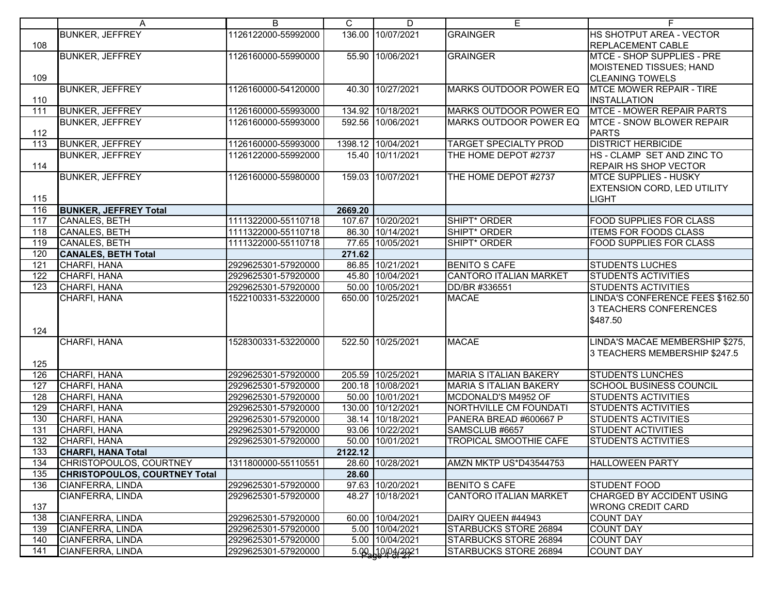|            | A                                          | В                                          | C       | D                  | Е                             | F.                                                   |
|------------|--------------------------------------------|--------------------------------------------|---------|--------------------|-------------------------------|------------------------------------------------------|
| 108        | <b>BUNKER, JEFFREY</b>                     | 1126122000-55992000                        |         | 136.00 10/07/2021  | <b>GRAINGER</b>               | HS SHOTPUT AREA - VECTOR<br><b>REPLACEMENT CABLE</b> |
|            | <b>BUNKER, JEFFREY</b>                     | 1126160000-55990000                        |         | 55.90 10/06/2021   | <b>GRAINGER</b>               | MTCE - SHOP SUPPLIES - PRE                           |
|            |                                            |                                            |         |                    |                               | MOISTENED TISSUES; HAND                              |
| 109        |                                            |                                            |         |                    |                               | <b>CLEANING TOWELS</b>                               |
|            | <b>BUNKER, JEFFREY</b>                     | 1126160000-54120000                        |         | 40.30 10/27/2021   | <b>MARKS OUTDOOR POWER EQ</b> | <b>MTCE MOWER REPAIR - TIRE</b>                      |
| 110        |                                            |                                            |         |                    |                               | <b>INSTALLATION</b>                                  |
| 111        | <b>BUNKER, JEFFREY</b>                     | 1126160000-55993000                        |         | 134.92 10/18/2021  | MARKS OUTDOOR POWER EQ        | <b>MTCE - MOWER REPAIR PARTS</b>                     |
| 112        | <b>BUNKER, JEFFREY</b>                     | 1126160000-55993000                        |         | 592.56 10/06/2021  | MARKS OUTDOOR POWER EQ        | MTCE - SNOW BLOWER REPAIR<br><b>PARTS</b>            |
| 113        | <b>BUNKER, JEFFREY</b>                     | 1126160000-55993000                        |         | 1398.12 10/04/2021 | <b>TARGET SPECIALTY PROD</b>  | <b>DISTRICT HERBICIDE</b>                            |
|            | <b>BUNKER, JEFFREY</b>                     | 1126122000-55992000                        |         | 15.40 10/11/2021   | THE HOME DEPOT #2737          | HS - CLAMP SET AND ZINC TO                           |
| 114        |                                            |                                            |         |                    |                               | <b>REPAIR HS SHOP VECTOR</b>                         |
|            | <b>BUNKER, JEFFREY</b>                     | 1126160000-55980000                        |         | 159.03 10/07/2021  | THE HOME DEPOT #2737          | <b>MTCE SUPPLIES - HUSKY</b>                         |
|            |                                            |                                            |         |                    |                               | <b>EXTENSION CORD, LED UTILITY</b>                   |
| 115        |                                            |                                            |         |                    |                               | LIGHT                                                |
| 116        | <b>BUNKER, JEFFREY Total</b>               |                                            | 2669.20 | 107.67 10/20/2021  | SHIPT* ORDER                  | <b>FOOD SUPPLIES FOR CLASS</b>                       |
| 117<br>118 | CANALES, BETH<br>CANALES, BETH             | 1111322000-55110718<br>1111322000-55110718 |         | 86.30 10/14/2021   | SHIPT <sup>*</sup> ORDER      | <b>ITEMS FOR FOODS CLASS</b>                         |
|            |                                            |                                            |         |                    |                               |                                                      |
| 119<br>120 | CANALES, BETH                              | 1111322000-55110718                        |         | 77.65 10/05/2021   | SHIPT* ORDER                  | <b>FOOD SUPPLIES FOR CLASS</b>                       |
| 121        | <b>CANALES, BETH Total</b><br>CHARFI, HANA | 2929625301-57920000                        | 271.62  | 86.85 10/21/2021   | <b>BENITO S CAFE</b>          | <b>STUDENTS LUCHES</b>                               |
| 122        | CHARFI, HANA                               | 2929625301-57920000                        |         | 45.80 10/04/2021   | <b>CANTORO ITALIAN MARKET</b> | <b>STUDENTS ACTIVITIES</b>                           |
| 123        | CHARFI, HANA                               | 2929625301-57920000                        |         | 50.00 10/05/2021   | DD/BR #336551                 | <b>STUDENTS ACTIVITIES</b>                           |
|            | CHARFI, HANA                               | 1522100331-53220000                        |         | 650.00 10/25/2021  | <b>MACAE</b>                  | LINDA'S CONFERENCE FEES \$162.50                     |
|            |                                            |                                            |         |                    |                               | 3 TEACHERS CONFERENCES                               |
|            |                                            |                                            |         |                    |                               | \$487.50                                             |
| 124        |                                            |                                            |         |                    |                               |                                                      |
|            | CHARFI, HANA                               | 1528300331-53220000                        |         | 522.50 10/25/2021  | <b>MACAE</b>                  | LINDA'S MACAE MEMBERSHIP \$275,                      |
|            |                                            |                                            |         |                    |                               | 3 TEACHERS MEMBERSHIP \$247.5                        |
| 125        |                                            |                                            |         |                    |                               |                                                      |
| 126        | CHARFI, HANA                               | 2929625301-57920000                        |         | 205.59 10/25/2021  | <b>MARIA S ITALIAN BAKERY</b> | <b>STUDENTS LUNCHES</b>                              |
| 127        | CHARFI, HANA                               | 2929625301-57920000                        |         | 200.18 10/08/2021  | <b>MARIA S ITALIAN BAKERY</b> | <b>SCHOOL BUSINESS COUNCIL</b>                       |
| 128        | CHARFI, HANA                               | 2929625301-57920000                        |         | 50.00 10/01/2021   | MCDONALD'S M4952 OF           | <b>STUDENTS ACTIVITIES</b>                           |
| 129        | CHARFI, HANA                               | 2929625301-57920000                        |         | 130.00 10/12/2021  | NORTHVILLE CM FOUNDATI        | <b>STUDENTS ACTIVITIES</b>                           |
| 130        | CHARFI, HANA                               | 2929625301-57920000                        |         | 38.14 10/18/2021   | PANERA BREAD #600667 P        | <b>STUDENTS ACTIVITIES</b>                           |
| 131        | CHARFI, HANA                               | 2929625301-57920000                        |         | 93.06 10/22/2021   | SAMSCLUB #6657                | <b>STUDENT ACTIVITIES</b>                            |
| 132        | CHARFI, HANA                               | 2929625301-57920000                        |         | 50.00 10/01/2021   | TROPICAL SMOOTHIE CAFE        | <b>STUDENTS ACTIVITIES</b>                           |
| 133        | <b>CHARFI, HANA Total</b>                  |                                            | 2122.12 |                    |                               |                                                      |
| 134        | CHRISTOPOULOS, COURTNEY                    | 1311800000-55110551                        |         | 28.60 10/28/2021   | AMZN MKTP US*D43544753        | <b>HALLOWEEN PARTY</b>                               |
| 135        | <b>CHRISTOPOULOS, COURTNEY Total</b>       |                                            | 28.60   |                    |                               |                                                      |
| 136        | CIANFERRA, LINDA                           | 2929625301-57920000                        |         | 97.63 10/20/2021   | <b>BENITO S CAFE</b>          | <b>STUDENT FOOD</b>                                  |
|            | CIANFERRA, LINDA                           | 2929625301-57920000                        |         | 48.27 10/18/2021   | <b>CANTORO ITALIAN MARKET</b> | CHARGED BY ACCIDENT USING                            |
| 137        |                                            |                                            |         |                    |                               | <b>WRONG CREDIT CARD</b>                             |
| 138        | CIANFERRA, LINDA                           | 2929625301-57920000                        |         | 60.00 10/04/2021   | DAIRY QUEEN #44943            | <b>COUNT DAY</b>                                     |
| 139        | CIANFERRA, LINDA                           | 2929625301-57920000                        |         | 5.00 10/04/2021    | STARBUCKS STORE 26894         | <b>COUNT DAY</b>                                     |
| 140        | CIANFERRA, LINDA                           | 2929625301-57920000                        |         | 5.00 10/04/2021    | STARBUCKS STORE 26894         | <b>COUNT DAY</b>                                     |
| 141        | CIANFERRA, LINDA                           | 2929625301-57920000                        |         | 5.00 10/04/2021    | STARBUCKS STORE 26894         | <b>COUNT DAY</b>                                     |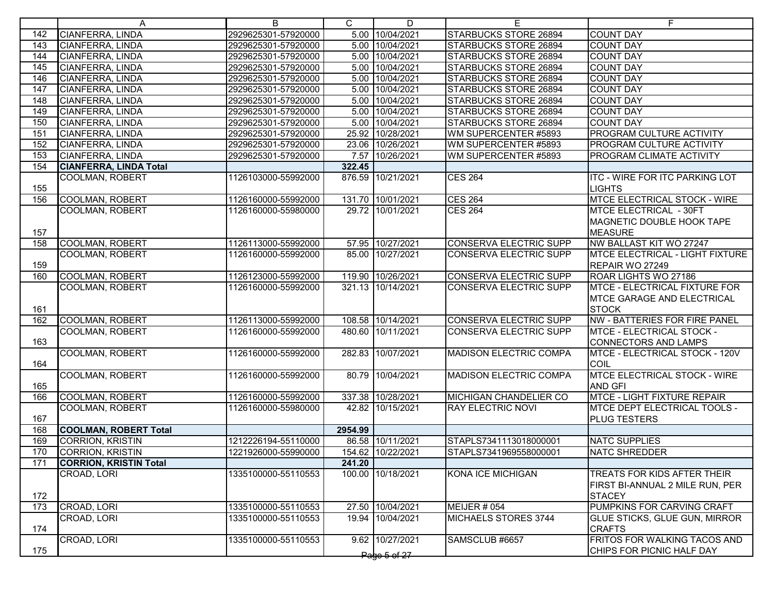|     | A                             | B                   | C       | D                 | E.                            | F                                     |
|-----|-------------------------------|---------------------|---------|-------------------|-------------------------------|---------------------------------------|
| 142 | CIANFERRA, LINDA              | 2929625301-57920000 |         | 5.00 10/04/2021   | <b>STARBUCKS STORE 26894</b>  | <b>COUNT DAY</b>                      |
| 143 | CIANFERRA, LINDA              | 2929625301-57920000 |         | 5.00 10/04/2021   | STARBUCKS STORE 26894         | <b>COUNT DAY</b>                      |
| 144 | CIANFERRA, LINDA              | 2929625301-57920000 |         | 5.00 10/04/2021   | <b>STARBUCKS STORE 26894</b>  | <b>COUNT DAY</b>                      |
| 145 | CIANFERRA, LINDA              | 2929625301-57920000 |         | 5.00 10/04/2021   | STARBUCKS STORE 26894         | <b>COUNT DAY</b>                      |
| 146 | CIANFERRA, LINDA              | 2929625301-57920000 |         | 5.00 10/04/2021   | STARBUCKS STORE 26894         | <b>COUNT DAY</b>                      |
| 147 | CIANFERRA, LINDA              | 2929625301-57920000 |         | 5.00 10/04/2021   | <b>STARBUCKS STORE 26894</b>  | <b>COUNT DAY</b>                      |
| 148 | CIANFERRA, LINDA              | 2929625301-57920000 |         | 5.00 10/04/2021   | <b>STARBUCKS STORE 26894</b>  | <b>COUNT DAY</b>                      |
| 149 | CIANFERRA, LINDA              | 2929625301-57920000 |         | 5.00 10/04/2021   | STARBUCKS STORE 26894         | <b>COUNT DAY</b>                      |
| 150 | <b>CIANFERRA, LINDA</b>       | 2929625301-57920000 |         | 5.00 10/04/2021   | STARBUCKS STORE 26894         | <b>COUNT DAY</b>                      |
| 151 | CIANFERRA, LINDA              | 2929625301-57920000 |         | 25.92 10/28/2021  | WM SUPERCENTER #5893          | <b>PROGRAM CULTURE ACTIVITY</b>       |
| 152 | CIANFERRA, LINDA              | 2929625301-57920000 |         | 23.06 10/26/2021  | WM SUPERCENTER #5893          | <b>PROGRAM CULTURE ACTIVITY</b>       |
| 153 | CIANFERRA, LINDA              | 2929625301-57920000 |         | 7.57 10/26/2021   | WM SUPERCENTER #5893          | PROGRAM CLIMATE ACTIVITY              |
| 154 | <b>CIANFERRA, LINDA Total</b> |                     | 322.45  |                   |                               |                                       |
|     | <b>COOLMAN, ROBERT</b>        | 1126103000-55992000 |         | 876.59 10/21/2021 | <b>CES 264</b>                | <b>ITC - WIRE FOR ITC PARKING LOT</b> |
| 155 |                               |                     |         |                   |                               | <b>LIGHTS</b>                         |
| 156 | <b>COOLMAN, ROBERT</b>        | 1126160000-55992000 |         | 131.70 10/01/2021 | <b>CES 264</b>                | <b>MTCE ELECTRICAL STOCK - WIRE</b>   |
|     | <b>COOLMAN, ROBERT</b>        | 1126160000-55980000 |         | 29.72 10/01/2021  | <b>CES 264</b>                | MTCE ELECTRICAL - 30FT                |
|     |                               |                     |         |                   |                               | <b>MAGNETIC DOUBLE HOOK TAPE</b>      |
| 157 |                               |                     |         |                   |                               | <b>MEASURE</b>                        |
| 158 | <b>COOLMAN, ROBERT</b>        | 1126113000-55992000 |         | 57.95 10/27/2021  | CONSERVA ELECTRIC SUPP        | NW BALLAST KIT WO 27247               |
|     | COOLMAN, ROBERT               | 1126160000-55992000 |         | 85.00 10/27/2021  | CONSERVA ELECTRIC SUPP        | MTCE ELECTRICAL - LIGHT FIXTURE       |
| 159 |                               |                     |         |                   |                               | REPAIR WO 27249                       |
| 160 | <b>COOLMAN, ROBERT</b>        | 1126123000-55992000 |         | 119.90 10/26/2021 | <b>CONSERVA ELECTRIC SUPP</b> | ROAR LIGHTS WO 27186                  |
|     | <b>COOLMAN, ROBERT</b>        | 1126160000-55992000 |         | 321.13 10/14/2021 | <b>CONSERVA ELECTRIC SUPP</b> | <b>MTCE - ELECTRICAL FIXTURE FOR</b>  |
|     |                               |                     |         |                   |                               | MTCE GARAGE AND ELECTRICAL            |
| 161 |                               |                     |         |                   |                               | <b>STOCK</b>                          |
| 162 | <b>COOLMAN, ROBERT</b>        | 1126113000-55992000 |         | 108.58 10/14/2021 | <b>CONSERVA ELECTRIC SUPP</b> | <b>NW - BATTERIES FOR FIRE PANEL</b>  |
|     | <b>COOLMAN, ROBERT</b>        | 1126160000-55992000 |         | 480.60 10/11/2021 | CONSERVA ELECTRIC SUPP        | <b>MTCE - ELECTRICAL STOCK -</b>      |
| 163 |                               |                     |         |                   |                               | CONNECTORS AND LAMPS                  |
|     | <b>COOLMAN, ROBERT</b>        | 1126160000-55992000 |         | 282.83 10/07/2021 | <b>MADISON ELECTRIC COMPA</b> | MTCE - ELECTRICAL STOCK - 120V        |
| 164 |                               |                     |         |                   |                               | COIL                                  |
|     | <b>COOLMAN, ROBERT</b>        | 1126160000-55992000 |         | 80.79 10/04/2021  | <b>MADISON ELECTRIC COMPA</b> | <b>MTCE ELECTRICAL STOCK - WIRE</b>   |
| 165 |                               |                     |         |                   |                               | <b>AND GFI</b>                        |
| 166 | <b>COOLMAN, ROBERT</b>        | 1126160000-55992000 |         | 337.38 10/28/2021 | MICHIGAN CHANDELIER CO        | MTCE - LIGHT FIXTURE REPAIR           |
|     | COOLMAN, ROBERT               | 1126160000-55980000 |         | 42.82 10/15/2021  | <b>RAY ELECTRIC NOVI</b>      | <b>MTCE DEPT ELECTRICAL TOOLS -</b>   |
| 167 |                               |                     |         |                   |                               | <b>PLUG TESTERS</b>                   |
| 168 | <b>COOLMAN, ROBERT Total</b>  |                     | 2954.99 |                   |                               |                                       |
| 169 | CORRION, KRISTIN              | 1212226194-55110000 |         | 86.58 10/11/2021  | STAPLS7341113018000001        | <b>NATC SUPPLIES</b>                  |
| 170 | CORRION, KRISTIN              | 1221926000-55990000 |         | 154.62 10/22/2021 | STAPLS7341969558000001        | <b>NATC SHREDDER</b>                  |
| 171 | <b>CORRION, KRISTIN Total</b> |                     | 241.20  |                   |                               |                                       |
|     | CROAD, LORI                   | 1335100000-55110553 |         | 100.00 10/18/2021 | <b>KONA ICE MICHIGAN</b>      | TREATS FOR KIDS AFTER THEIR           |
|     |                               |                     |         |                   |                               | FIRST BI-ANNUAL 2 MILE RUN, PER       |
| 172 |                               |                     |         |                   |                               | <b>STACEY</b>                         |
| 173 | CROAD, LORI                   | 1335100000-55110553 |         | 27.50 10/04/2021  | MEIJER #054                   | PUMPKINS FOR CARVING CRAFT            |
|     | CROAD, LORI                   | 1335100000-55110553 |         | 19.94 10/04/2021  | MICHAELS STORES 3744          | <b>GLUE STICKS, GLUE GUN, MIRROR</b>  |
| 174 |                               |                     |         |                   |                               | <b>CRAFTS</b>                         |
|     | CROAD, LORI                   | 1335100000-55110553 |         | 9.62 10/27/2021   | SAMSCLUB #6657                | FRITOS FOR WALKING TACOS AND          |
| 175 |                               |                     |         |                   |                               | CHIPS FOR PICNIC HALF DAY             |
|     |                               |                     |         | Page 5 of 27      |                               |                                       |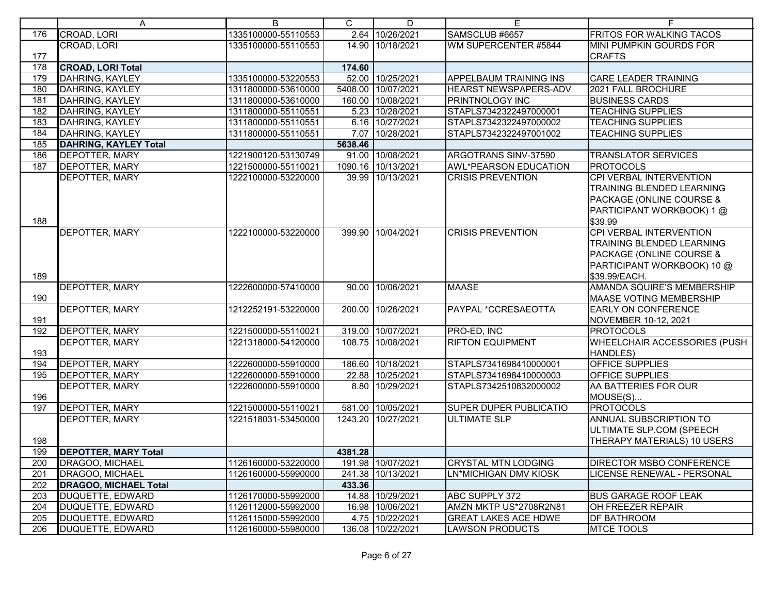|     | A                            | B                   | C       | D                  | Е                             | F                                                                                                                               |
|-----|------------------------------|---------------------|---------|--------------------|-------------------------------|---------------------------------------------------------------------------------------------------------------------------------|
| 176 | CROAD, LORI                  | 1335100000-55110553 |         | 2.64 10/26/2021    | SAMSCLUB #6657                | <b>FRITOS FOR WALKING TACOS</b>                                                                                                 |
|     | CROAD, LORI                  | 1335100000-55110553 |         | 14.90 10/18/2021   | WM SUPERCENTER #5844          | <b>MINI PUMPKIN GOURDS FOR</b>                                                                                                  |
| 177 |                              |                     |         |                    |                               | <b>CRAFTS</b>                                                                                                                   |
| 178 | <b>CROAD, LORI Total</b>     |                     | 174.60  |                    |                               |                                                                                                                                 |
| 179 | DAHRING, KAYLEY              | 1335100000-53220553 |         | 52.00 10/25/2021   | APPELBAUM TRAINING INS        | <b>CARE LEADER TRAINING</b>                                                                                                     |
| 180 | <b>DAHRING, KAYLEY</b>       | 1311800000-53610000 |         | 5408.00 10/07/2021 | <b>HEARST NEWSPAPERS-ADV</b>  | 2021 FALL BROCHURE                                                                                                              |
| 181 | DAHRING, KAYLEY              | 1311800000-53610000 |         | 160.00 10/08/2021  | <b>PRINTNOLOGY INC</b>        | <b>BUSINESS CARDS</b>                                                                                                           |
| 182 | DAHRING, KAYLEY              | 1311800000-55110551 |         | 5.23 10/28/2021    | STAPLS7342322497000001        | <b>TEACHING SUPPLIES</b>                                                                                                        |
| 183 | DAHRING, KAYLEY              | 1311800000-55110551 |         | 6.16 10/27/2021    | STAPLS7342322497000002        | <b>TEACHING SUPPLIES</b>                                                                                                        |
| 184 | DAHRING, KAYLEY              | 1311800000-55110551 |         | 7.07 10/28/2021    | STAPLS7342322497001002        | <b>TEACHING SUPPLIES</b>                                                                                                        |
| 185 | DAHRING, KAYLEY Total        |                     | 5638.46 |                    |                               |                                                                                                                                 |
| 186 | <b>DEPOTTER, MARY</b>        | 1221900120-53130749 |         | 91.00 10/08/2021   | ARGOTRANS SINV-37590          | <b>TRANSLATOR SERVICES</b>                                                                                                      |
| 187 | <b>DEPOTTER, MARY</b>        | 1221500000-55110021 |         | 1090.16 10/13/2021 | AWL*PEARSON EDUCATION         | <b>PROTOCOLS</b>                                                                                                                |
| 188 | <b>DEPOTTER, MARY</b>        | 1222100000-53220000 |         | 39.99 10/13/2021   | <b>CRISIS PREVENTION</b>      | CPI VERBAL INTERVENTION<br>TRAINING BLENDED LEARNING<br>PACKAGE (ONLINE COURSE &<br>PARTICIPANT WORKBOOK) 1 @<br>\$39.99        |
| 189 | <b>DEPOTTER, MARY</b>        | 1222100000-53220000 |         | 399.90 10/04/2021  | <b>CRISIS PREVENTION</b>      | CPI VERBAL INTERVENTION<br>TRAINING BLENDED LEARNING<br>PACKAGE (ONLINE COURSE &<br>PARTICIPANT WORKBOOK) 10 @<br>\$39.99/EACH. |
| 190 | <b>DEPOTTER, MARY</b>        | 1222600000-57410000 |         | 90.00 10/06/2021   | <b>MAASE</b>                  | <b>AMANDA SQUIRE'S MEMBERSHIP</b><br><b>MAASE VOTING MEMBERSHIP</b>                                                             |
| 191 | <b>DEPOTTER, MARY</b>        | 1212252191-53220000 |         | 200.00 10/26/2021  | PAYPAL *CCRESAEOTTA           | <b>EARLY ON CONFERENCE</b><br>NOVEMBER 10-12, 2021                                                                              |
| 192 | <b>DEPOTTER, MARY</b>        | 1221500000-55110021 |         | 319.00 10/07/2021  | PRO-ED, INC                   | <b>PROTOCOLS</b>                                                                                                                |
| 193 | <b>DEPOTTER, MARY</b>        | 1221318000-54120000 |         | 108.75 10/08/2021  | <b>RIFTON EQUIPMENT</b>       | WHEELCHAIR ACCESSORIES (PUSH<br>HANDLES)                                                                                        |
| 194 | <b>DEPOTTER, MARY</b>        | 1222600000-55910000 |         | 186.60 10/18/2021  | STAPLS7341698410000001        | OFFICE SUPPLIES                                                                                                                 |
| 195 | <b>DEPOTTER, MARY</b>        | 1222600000-55910000 |         | 22.88 10/25/2021   | STAPLS7341698410000003        | <b>OFFICE SUPPLIES</b>                                                                                                          |
| 196 | <b>DEPOTTER, MARY</b>        | 1222600000-55910000 |         | 8.80 10/29/2021    | STAPLS7342510832000002        | AA BATTERIES FOR OUR<br>MOUSE(S)                                                                                                |
| 197 | <b>DEPOTTER, MARY</b>        | 1221500000-55110021 |         | 581.00 10/05/2021  | <b>SUPER DUPER PUBLICATIO</b> | <b>PROTOCOLS</b>                                                                                                                |
| 198 | <b>DEPOTTER, MARY</b>        | 1221518031-53450000 |         | 1243.20 10/27/2021 | <b>ULTIMATE SLP</b>           | <b>ANNUAL SUBSCRIPTION TO</b><br>ULTIMATE SLP.COM (SPEECH<br>THERAPY MATERIALS) 10 USERS                                        |
| 199 | <b>DEPOTTER, MARY Total</b>  |                     | 4381.28 |                    |                               |                                                                                                                                 |
| 200 | DRAGOO, MICHAEL              | 1126160000-53220000 |         | 191.98 10/07/2021  | <b>CRYSTAL MTN LODGING</b>    | <b>DIRECTOR MSBO CONFERENCE</b>                                                                                                 |
| 201 | DRAGOO, MICHAEL              | 1126160000-55990000 |         | 241.38 10/13/2021  | LN*MICHIGAN DMV KIOSK         | LICENSE RENEWAL - PERSONAL                                                                                                      |
| 202 | <b>DRAGOO, MICHAEL Total</b> |                     | 433.36  |                    |                               |                                                                                                                                 |
| 203 | DUQUETTE, EDWARD             | 1126170000-55992000 |         | 14.88 10/29/2021   | ABC SUPPLY 372                | <b>BUS GARAGE ROOF LEAK</b>                                                                                                     |
| 204 | DUQUETTE, EDWARD             | 1126112000-55992000 |         | 16.98 10/06/2021   | AMZN MKTP US*2708R2N81        | OH FREEZER REPAIR                                                                                                               |
| 205 | DUQUETTE, EDWARD             | 1126115000-55992000 |         | 4.75 10/22/2021    | <b>GREAT LAKES ACE HDWE</b>   | <b>DF BATHROOM</b>                                                                                                              |
| 206 | DUQUETTE, EDWARD             | 1126160000-55980000 |         | 136.08 10/22/2021  | <b>LAWSON PRODUCTS</b>        | <b>MTCE TOOLS</b>                                                                                                               |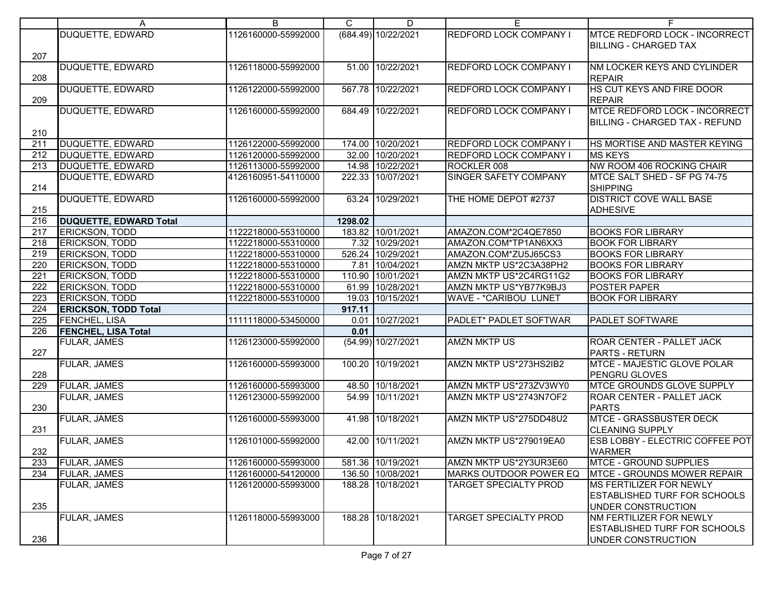|                  | A                             | B                   | C       | D                   | E.                            | F.                                   |
|------------------|-------------------------------|---------------------|---------|---------------------|-------------------------------|--------------------------------------|
|                  | <b>DUQUETTE, EDWARD</b>       | 1126160000-55992000 |         | (684.49) 10/22/2021 | REDFORD LOCK COMPANY I        | <b>MTCE REDFORD LOCK - INCORRECT</b> |
|                  |                               |                     |         |                     |                               | <b>IBILLING - CHARGED TAX</b>        |
| 207              |                               |                     |         |                     |                               |                                      |
|                  | <b>DUQUETTE, EDWARD</b>       | 1126118000-55992000 |         | 51.00 10/22/2021    | REDFORD LOCK COMPANY I        | NM LOCKER KEYS AND CYLINDER          |
| 208              |                               |                     |         |                     |                               | <b>REPAIR</b>                        |
|                  | <b>DUQUETTE, EDWARD</b>       | 1126122000-55992000 |         | 567.78 10/22/2021   | REDFORD LOCK COMPANY I        | HS CUT KEYS AND FIRE DOOR            |
| 209              |                               |                     |         |                     |                               | <b>REPAIR</b>                        |
|                  | <b>DUQUETTE, EDWARD</b>       | 1126160000-55992000 |         | 684.49 10/22/2021   | REDFORD LOCK COMPANY I        | <b>MTCE REDFORD LOCK - INCORRECT</b> |
|                  |                               |                     |         |                     |                               | BILLING - CHARGED TAX - REFUND       |
| 210              |                               |                     |         |                     |                               |                                      |
| 211              | DUQUETTE, EDWARD              | 1126122000-55992000 |         | 174.00 10/20/2021   | <b>REDFORD LOCK COMPANY I</b> | HS MORTISE AND MASTER KEYING         |
| 212              | DUQUETTE, EDWARD              | 1126120000-55992000 |         | 32.00 10/20/2021    | <b>REDFORD LOCK COMPANY I</b> | <b>MS KEYS</b>                       |
| 213              | DUQUETTE, EDWARD              | 1126113000-55992000 |         | 14.98 10/22/2021    | ROCKLER 008                   | NW ROOM 406 ROCKING CHAIR            |
|                  | DUQUETTE, EDWARD              | 4126160951-54110000 |         | 222.33 10/07/2021   | <b>SINGER SAFETY COMPANY</b>  | MTCE SALT SHED - SF PG 74-75         |
| 214              |                               |                     |         |                     |                               | <b>SHIPPING</b>                      |
|                  | DUQUETTE, EDWARD              | 1126160000-55992000 |         | 63.24 10/29/2021    | THE HOME DEPOT #2737          | <b>DISTRICT COVE WALL BASE</b>       |
| 215              |                               |                     |         |                     |                               | ADHESIVE                             |
| 216              | <b>DUQUETTE, EDWARD Total</b> |                     | 1298.02 |                     |                               |                                      |
| 217              | <b>ERICKSON, TODD</b>         | 1122218000-55310000 |         | 183.82 10/01/2021   | AMAZON.COM*2C4QE7850          | <b>BOOKS FOR LIBRARY</b>             |
| 218              | ERICKSON, TODD                | 1122218000-55310000 |         | 7.32 10/29/2021     | AMAZON.COM*TP1AN6XX3          | <b>BOOK FOR LIBRARY</b>              |
| 219              | <b>ERICKSON, TODD</b>         |                     |         |                     |                               |                                      |
|                  |                               | 1122218000-55310000 |         | 526.24 10/29/2021   | AMAZON.COM*ZU5J65CS3          | <b>BOOKS FOR LIBRARY</b>             |
| 220              | ERICKSON, TODD                | 1122218000-55310000 |         | 7.81 10/04/2021     | AMZN MKTP US*2C3A38PH2        | <b>BOOKS FOR LIBRARY</b>             |
| $\overline{221}$ | <b>ERICKSON, TODD</b>         | 1122218000-55310000 |         | 110.90 10/01/2021   | AMZN MKTP US*2C4RG11G2        | <b>BOOKS FOR LIBRARY</b>             |
| $\overline{222}$ | <b>ERICKSON, TODD</b>         | 1122218000-55310000 |         | 61.99 10/28/2021    | AMZN MKTP US*YB77K9BJ3        | POSTER PAPER                         |
| 223              | <b>ERICKSON, TODD</b>         | 1122218000-55310000 |         | 19.03 10/15/2021    | <b>WAVE - *CARIBOU LUNET</b>  | <b>BOOK FOR LIBRARY</b>              |
| $\overline{224}$ | <b>ERICKSON, TODD Total</b>   |                     | 917.11  |                     |                               |                                      |
| $\overline{225}$ | <b>FENCHEL, LISA</b>          | 1111118000-53450000 |         | 0.01 10/27/2021     | PADLET* PADLET SOFTWAR        | <b>PADLET SOFTWARE</b>               |
| 226              | <b>FENCHEL, LISA Total</b>    |                     | 0.01    |                     |                               |                                      |
|                  | FULAR, JAMES                  | 1126123000-55992000 |         | (54.99) 10/27/2021  | <b>AMZN MKTP US</b>           | <b>ROAR CENTER - PALLET JACK</b>     |
| 227              |                               |                     |         |                     |                               | PARTS - RETURN                       |
|                  | <b>FULAR, JAMES</b>           | 1126160000-55993000 |         | 100.20 10/19/2021   | AMZN MKTP US*273HS2IB2        | <b>MTCE - MAJESTIC GLOVE POLAR</b>   |
| 228              |                               |                     |         |                     |                               | PENGRU GLOVES                        |
| 229              | <b>FULAR, JAMES</b>           | 1126160000-55993000 |         | 48.50 10/18/2021    | AMZN MKTP US*273ZV3WY0        | <b>MTCE GROUNDS GLOVE SUPPLY</b>     |
|                  | FULAR, JAMES                  | 1126123000-55992000 |         | 54.99 10/11/2021    | AMZN MKTP US*2743N7OF2        | ROAR CENTER - PALLET JACK            |
| 230              |                               |                     |         |                     |                               | <b>PARTS</b>                         |
|                  | FULAR, JAMES                  | 1126160000-55993000 |         | 41.98 10/18/2021    | AMZN MKTP US*275DD48U2        | <b>MTCE - GRASSBUSTER DECK</b>       |
| 231              |                               |                     |         |                     |                               | <b>CLEANING SUPPLY</b>               |
|                  | <b>FULAR, JAMES</b>           | 1126101000-55992000 |         | 42.00 10/11/2021    | AMZN MKTP US*279019EA0        | ESB LOBBY - ELECTRIC COFFEE POT      |
| 232              |                               |                     |         |                     |                               | <b>WARMER</b>                        |
| 233              | <b>FULAR, JAMES</b>           | 1126160000-55993000 |         | 581.36 10/19/2021   | AMZN MKTP US*2Y3UR3E60        | MTCE - GROUND SUPPLIES               |
| 234              | <b>FULAR, JAMES</b>           | 1126160000-54120000 |         | 136.50 10/08/2021   | <b>MARKS OUTDOOR POWER EQ</b> | <b>MTCE - GROUNDS MOWER REPAIR</b>   |
|                  | FULAR, JAMES                  | 1126120000-55993000 |         | 188.28 10/18/2021   | TARGET SPECIALTY PROD         | MS FERTILIZER FOR NEWLY              |
|                  |                               |                     |         |                     |                               | <b>ESTABLISHED TURF FOR SCHOOLS</b>  |
| 235              |                               |                     |         |                     |                               | UNDER CONSTRUCTION                   |
|                  | FULAR, JAMES                  | 1126118000-55993000 |         | 188.28 10/18/2021   | TARGET SPECIALTY PROD         | NM FERTILIZER FOR NEWLY              |
|                  |                               |                     |         |                     |                               | ESTABLISHED TURF FOR SCHOOLS         |
| 236              |                               |                     |         |                     |                               | UNDER CONSTRUCTION                   |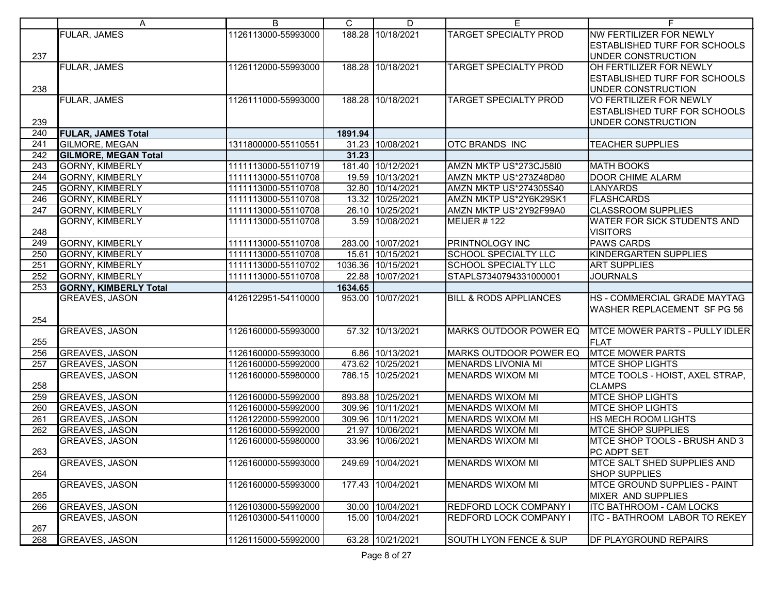|                  | A                            | В                   | C       | D                  | E.                                | F.                                  |
|------------------|------------------------------|---------------------|---------|--------------------|-----------------------------------|-------------------------------------|
|                  | <b>FULAR, JAMES</b>          | 1126113000-55993000 |         | 188.28 10/18/2021  | <b>TARGET SPECIALTY PROD</b>      | NW FERTILIZER FOR NEWLY             |
|                  |                              |                     |         |                    |                                   | <b>ESTABLISHED TURF FOR SCHOOLS</b> |
| 237              |                              |                     |         |                    |                                   | UNDER CONSTRUCTION                  |
|                  | <b>FULAR, JAMES</b>          | 1126112000-55993000 |         | 188.28 10/18/2021  | <b>TARGET SPECIALTY PROD</b>      | OH FERTILIZER FOR NEWLY             |
|                  |                              |                     |         |                    |                                   | <b>ESTABLISHED TURF FOR SCHOOLS</b> |
| 238              |                              |                     |         |                    |                                   | UNDER CONSTRUCTION                  |
|                  | <b>FULAR, JAMES</b>          | 1126111000-55993000 |         | 188.28 10/18/2021  | <b>TARGET SPECIALTY PROD</b>      | <b>VO FERTILIZER FOR NEWLY</b>      |
|                  |                              |                     |         |                    |                                   | <b>ESTABLISHED TURF FOR SCHOOLS</b> |
| 239              |                              |                     |         |                    |                                   | UNDER CONSTRUCTION                  |
| 240              | <b>FULAR, JAMES Total</b>    |                     | 1891.94 |                    |                                   |                                     |
| 241              | <b>GILMORE, MEGAN</b>        | 1311800000-55110551 |         | 31.23 10/08/2021   | <b>OTC BRANDS INC</b>             | <b>TEACHER SUPPLIES</b>             |
|                  |                              |                     |         |                    |                                   |                                     |
| 242              | <b>GILMORE, MEGAN Total</b>  |                     | 31.23   |                    |                                   |                                     |
| $\overline{243}$ | <b>GORNY, KIMBERLY</b>       | 1111113000-55110719 |         | 181.40 10/12/2021  | AMZN MKTP US*273CJ58I0            | <b>MATH BOOKS</b>                   |
| 244              | GORNY, KIMBERLY              | 1111113000-55110708 |         | 19.59 10/13/2021   | AMZN MKTP US*273Z48D80            | <b>DOOR CHIME ALARM</b>             |
| 245              | <b>GORNY, KIMBERLY</b>       | 1111113000-55110708 |         | 32.80 10/14/2021   | <b>AMZN MKTP US*274305S40</b>     | <b>LANYARDS</b>                     |
| 246              | <b>GORNY, KIMBERLY</b>       | 1111113000-55110708 |         | 13.32 10/25/2021   | AMZN MKTP US*2Y6K29SK1            | <b>FLASHCARDS</b>                   |
| $\overline{247}$ | <b>GORNY, KIMBERLY</b>       | 1111113000-55110708 |         | 26.10 10/25/2021   | AMZN MKTP US*2Y92F99A0            | <b>CLASSROOM SUPPLIES</b>           |
|                  | <b>GORNY, KIMBERLY</b>       | 1111113000-55110708 |         | 3.59 10/08/2021    | MEIJER #122                       | <b>WATER FOR SICK STUDENTS AND</b>  |
| 248              |                              |                     |         |                    |                                   | <b>VISITORS</b>                     |
| 249              | <b>GORNY, KIMBERLY</b>       | 1111113000-55110708 |         | 283.00 10/07/2021  | <b>PRINTNOLOGY INC</b>            | <b>PAWS CARDS</b>                   |
| 250              | <b>GORNY, KIMBERLY</b>       | 1111113000-55110708 |         | 15.61 10/15/2021   | <b>SCHOOL SPECIALTY LLC</b>       | KINDERGARTEN SUPPLIES               |
| 251              | <b>GORNY, KIMBERLY</b>       | 1111113000-55110702 |         | 1036.36 10/15/2021 | <b>SCHOOL SPECIALTY LLC</b>       | <b>ART SUPPLIES</b>                 |
| 252              | <b>GORNY, KIMBERLY</b>       | 1111113000-55110708 | 22.88   | 10/07/2021         | STAPLS7340794331000001            | <b>JOURNALS</b>                     |
| 253              | <b>GORNY, KIMBERLY Total</b> |                     | 1634.65 |                    |                                   |                                     |
|                  | <b>GREAVES, JASON</b>        | 4126122951-54110000 |         | 953.00 10/07/2021  | <b>BILL &amp; RODS APPLIANCES</b> | HS - COMMERCIAL GRADE MAYTAG        |
|                  |                              |                     |         |                    |                                   | <b>WASHER REPLACEMENT SF PG 56</b>  |
| 254              |                              |                     |         |                    |                                   |                                     |
|                  | <b>GREAVES, JASON</b>        | 1126160000-55993000 |         | 57.32 10/13/2021   | <b>MARKS OUTDOOR POWER EQ</b>     | MTCE MOWER PARTS - PULLY IDLER      |
| 255              |                              |                     |         |                    |                                   |                                     |
|                  |                              |                     |         |                    |                                   | <b>FLAT</b>                         |
| 256              | <b>GREAVES, JASON</b>        | 1126160000-55993000 |         | 6.86 10/13/2021    | MARKS OUTDOOR POWER EQ            | <b>MTCE MOWER PARTS</b>             |
| 257              | <b>GREAVES, JASON</b>        | 1126160000-55992000 |         | 473.62 10/25/2021  | <b>MENARDS LIVONIA MI</b>         | <b>MTCE SHOP LIGHTS</b>             |
|                  | GREAVES, JASON               | 1126160000-55980000 |         | 786.15 10/25/2021  | <b>MENARDS WIXOM MI</b>           | MTCE TOOLS - HOIST, AXEL STRAP.     |
| 258              |                              |                     |         |                    |                                   | <b>CLAMPS</b>                       |
| 259              | <b>GREAVES, JASON</b>        | 1126160000-55992000 |         | 893.88 10/25/2021  | <b>MENARDS WIXOM MI</b>           | <b>MTCE SHOP LIGHTS</b>             |
| 260              | <b>GREAVES, JASON</b>        | 1126160000-55992000 |         | 309.96 10/11/2021  | <b>MENARDS WIXOM MI</b>           | <b>MTCE SHOP LIGHTS</b>             |
| 261              | <b>GREAVES, JASON</b>        | 1126122000-55992000 |         | 309.96 10/11/2021  | <b>MENARDS WIXOM MI</b>           | HS MECH ROOM LIGHTS                 |
| 262              | <b>GREAVES, JASON</b>        | 1126160000-55992000 |         | 21.97 10/06/2021   | <b>MENARDS WIXOM MI</b>           | <b>MTCE SHOP SUPPLIES</b>           |
|                  | GREAVES, JASON               | 1126160000-55980000 |         | 33.96 10/06/2021   | MENARDS WIXOM MI                  | MTCE SHOP TOOLS - BRUSH AND 3       |
| 263              |                              |                     |         |                    |                                   | PC ADPT SET                         |
|                  | GREAVES, JASON               | 1126160000-55993000 |         | 249.69 10/04/2021  | <b>MENARDS WIXOM MI</b>           | MTCE SALT SHED SUPPLIES AND         |
| 264              |                              |                     |         |                    |                                   | <b>SHOP SUPPLIES</b>                |
|                  | <b>GREAVES, JASON</b>        | 1126160000-55993000 |         | 177.43 10/04/2021  | <b>MENARDS WIXOM MI</b>           | <b>MTCE GROUND SUPPLIES - PAINT</b> |
| 265              |                              |                     |         |                    |                                   | <b>MIXER AND SUPPLIES</b>           |
| 266              | <b>GREAVES, JASON</b>        | 1126103000-55992000 |         | 30.00 10/04/2021   | <b>REDFORD LOCK COMPANY I</b>     | <b>ITC BATHROOM - CAM LOCKS</b>     |
|                  | <b>GREAVES, JASON</b>        | 1126103000-54110000 |         | 15.00 10/04/2021   | <b>REDFORD LOCK COMPANY I</b>     | ITC - BATHROOM LABOR TO REKEY       |
| 267              |                              |                     |         |                    |                                   |                                     |
| 268              | <b>GREAVES, JASON</b>        | 1126115000-55992000 |         | 63.28 10/21/2021   | <b>SOUTH LYON FENCE &amp; SUP</b> | <b>DF PLAYGROUND REPAIRS</b>        |
|                  |                              |                     |         |                    |                                   |                                     |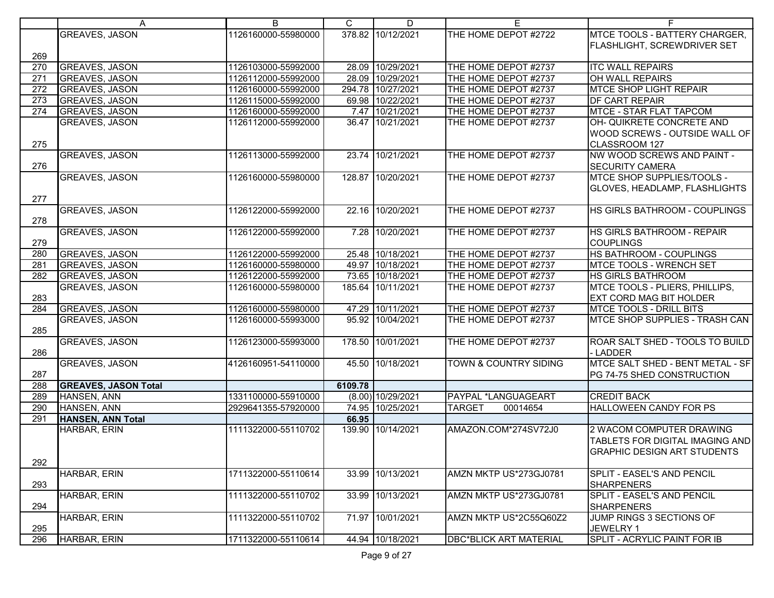|                  | A                                        | B                   | C.      | D                   | E                                | F.                                                  |
|------------------|------------------------------------------|---------------------|---------|---------------------|----------------------------------|-----------------------------------------------------|
|                  | <b>GREAVES, JASON</b>                    | 1126160000-55980000 |         | 378.82 10/12/2021   | THE HOME DEPOT #2722             | MTCE TOOLS - BATTERY CHARGER,                       |
|                  |                                          |                     |         |                     |                                  | <b>FLASHLIGHT, SCREWDRIVER SET</b>                  |
| 269              |                                          |                     |         |                     |                                  |                                                     |
| 270              | <b>GREAVES, JASON</b>                    | 1126103000-55992000 |         | 28.09 10/29/2021    | THE HOME DEPOT #2737             | <b>ITC WALL REPAIRS</b>                             |
| 271              | <b>GREAVES, JASON</b>                    | 1126112000-55992000 |         | 28.09 10/29/2021    | THE HOME DEPOT #2737             | OH WALL REPAIRS                                     |
| $\overline{272}$ | <b>GREAVES, JASON</b>                    | 1126160000-55992000 |         | 294.78 10/27/2021   | THE HOME DEPOT #2737             | <b>MTCE SHOP LIGHT REPAIR</b>                       |
| 273              | <b>GREAVES, JASON</b>                    | 1126115000-55992000 |         | 69.98 10/22/2021    | THE HOME DEPOT #2737             | DF CART REPAIR                                      |
| 274              | <b>GREAVES, JASON</b>                    | 1126160000-55992000 |         | 7.47 10/21/2021     | THE HOME DEPOT #2737             | <b>MTCE - STAR FLAT TAPCOM</b>                      |
|                  | GREAVES, JASON                           | 1126112000-55992000 |         | 36.47 10/21/2021    | THE HOME DEPOT #2737             | OH- QUIKRETE CONCRETE AND                           |
|                  |                                          |                     |         |                     |                                  | WOOD SCREWS - OUTSIDE WALL OF                       |
| 275              |                                          |                     |         |                     |                                  | CLASSROOM 127                                       |
|                  | <b>GREAVES, JASON</b>                    | 1126113000-55992000 |         | 23.74 10/21/2021    | THE HOME DEPOT #2737             | NW WOOD SCREWS AND PAINT -                          |
| 276              |                                          |                     |         |                     |                                  | <b>SECURITY CAMERA</b>                              |
|                  | <b>GREAVES, JASON</b>                    | 1126160000-55980000 |         | 128.87 10/20/2021   | THE HOME DEPOT #2737             | MTCE SHOP SUPPLIES/TOOLS -                          |
|                  |                                          |                     |         |                     |                                  | GLOVES, HEADLAMP, FLASHLIGHTS                       |
| 277              |                                          |                     |         |                     |                                  |                                                     |
|                  | <b>GREAVES, JASON</b>                    | 1126122000-55992000 |         | 22.16 10/20/2021    | THE HOME DEPOT #2737             | HS GIRLS BATHROOM - COUPLINGS                       |
| 278              |                                          |                     |         |                     |                                  |                                                     |
|                  | <b>GREAVES, JASON</b>                    | 1126122000-55992000 |         | 7.28 10/20/2021     | THE HOME DEPOT #2737             | <b>HS GIRLS BATHROOM - REPAIR</b>                   |
| 279              |                                          |                     |         |                     |                                  | <b>COUPLINGS</b>                                    |
| 280              | <b>GREAVES, JASON</b>                    | 1126122000-55992000 |         | 25.48 10/18/2021    | THE HOME DEPOT #2737             | HS BATHROOM - COUPLINGS                             |
| 281              | <b>GREAVES, JASON</b>                    | 1126160000-55980000 |         | 49.97 10/18/2021    | THE HOME DEPOT #2737             | MTCE TOOLS - WRENCH SET                             |
| 282              | <b>GREAVES, JASON</b>                    | 1126122000-55992000 |         | 73.65 10/18/2021    | THE HOME DEPOT #2737             | <b>HS GIRLS BATHROOM</b>                            |
|                  | <b>GREAVES, JASON</b>                    | 1126160000-55980000 |         | 185.64 10/11/2021   | THE HOME DEPOT #2737             | MTCE TOOLS - PLIERS, PHILLIPS,                      |
| 283              |                                          |                     |         |                     |                                  | <b>EXT CORD MAG BIT HOLDER</b>                      |
| 284              | <b>GREAVES, JASON</b>                    | 1126160000-55980000 |         | 47.29 10/11/2021    | THE HOME DEPOT #2737             | <b>MTCE TOOLS - DRILL BITS</b>                      |
|                  | <b>GREAVES, JASON</b>                    | 1126160000-55993000 |         | 95.92 10/04/2021    | THE HOME DEPOT #2737             | MTCE SHOP SUPPLIES - TRASH CAN                      |
| 285              |                                          |                     |         |                     |                                  |                                                     |
|                  | <b>GREAVES, JASON</b>                    | 1126123000-55993000 |         | 178.50 10/01/2021   | THE HOME DEPOT #2737             | ROAR SALT SHED - TOOLS TO BUILD                     |
| 286              |                                          |                     |         |                     |                                  | LADDER                                              |
|                  | <b>GREAVES, JASON</b>                    | 4126160951-54110000 |         | 45.50 10/18/2021    | <b>TOWN &amp; COUNTRY SIDING</b> | MTCE SALT SHED - BENT METAL - SF                    |
| 287              |                                          |                     |         |                     |                                  | PG 74-75 SHED CONSTRUCTION                          |
| 288              | <b>GREAVES, JASON Total</b>              |                     | 6109.78 |                     |                                  |                                                     |
| 289<br>290       | HANSEN, ANN                              | 1331100000-55910000 |         | $(8.00)$ 10/29/2021 | PAYPAL *LANGUAGEART              | <b>CREDIT BACK</b><br><b>HALLOWEEN CANDY FOR PS</b> |
| 291              | HANSEN, ANN                              | 2929641355-57920000 |         | 74.95 10/25/2021    | <b>TARGET</b><br>00014654        |                                                     |
|                  | <b>HANSEN, ANN Total</b><br>HARBAR, ERIN |                     | 66.95   | 139.90 10/14/2021   |                                  |                                                     |
|                  |                                          | 1111322000-55110702 |         |                     | AMAZON.COM*274SV72J0             | 2 WACOM COMPUTER DRAWING                            |
|                  |                                          |                     |         |                     |                                  | TABLETS FOR DIGITAL IMAGING AND                     |
| 292              |                                          |                     |         |                     |                                  | <b>GRAPHIC DESIGN ART STUDENTS</b>                  |
|                  | HARBAR, ERIN                             | 1711322000-55110614 |         | 33.99 10/13/2021    | AMZN MKTP US*273GJ0781           | SPLIT - EASEL'S AND PENCIL                          |
| 293              |                                          |                     |         |                     |                                  | <b>SHARPENERS</b>                                   |
|                  | HARBAR, ERIN                             | 1111322000-55110702 |         | 33.99 10/13/2021    | AMZN MKTP US*273GJ0781           | SPLIT - EASEL'S AND PENCIL                          |
| 294              |                                          |                     |         |                     |                                  | <b>SHARPENERS</b>                                   |
|                  | HARBAR, ERIN                             | 1111322000-55110702 |         | 71.97 10/01/2021    | AMZN MKTP US*2C55Q60Z2           | JUMP RINGS 3 SECTIONS OF                            |
| 295              |                                          |                     |         |                     |                                  | JEWELRY 1                                           |
| 296              | HARBAR, ERIN                             | 1711322000-55110614 |         | 44.94 10/18/2021    | <b>DBC*BLICK ART MATERIAL</b>    | <b>SPLIT - ACRYLIC PAINT FOR IB</b>                 |
|                  |                                          |                     |         |                     |                                  |                                                     |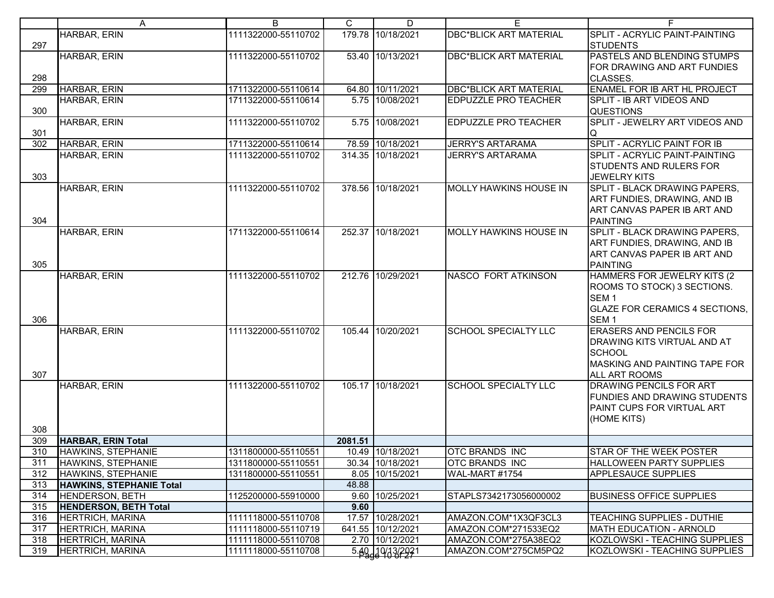|            | A                                                | В                   | C       | D                 | E.                            | F.                                                                                                                                           |
|------------|--------------------------------------------------|---------------------|---------|-------------------|-------------------------------|----------------------------------------------------------------------------------------------------------------------------------------------|
| 297        | HARBAR, ERIN                                     | 1111322000-55110702 |         | 179.78 10/18/2021 | <b>DBC*BLICK ART MATERIAL</b> | SPLIT - ACRYLIC PAINT-PAINTING<br><b>STUDENTS</b>                                                                                            |
| 298        | <b>HARBAR, ERIN</b>                              | 1111322000-55110702 |         | 53.40 10/13/2021  | <b>DBC*BLICK ART MATERIAL</b> | PASTELS AND BLENDING STUMPS<br>FOR DRAWING AND ART FUNDIES<br>CLASSES.                                                                       |
| 299        | HARBAR, ERIN                                     | 1711322000-55110614 |         | 64.80 10/11/2021  | <b>DBC*BLICK ART MATERIAL</b> | <b>ENAMEL FOR IB ART HL PROJECT</b>                                                                                                          |
| 300        | HARBAR, ERIN                                     | 1711322000-55110614 |         | 5.75 10/08/2021   | <b>EDPUZZLE PRO TEACHER</b>   | SPLIT - IB ART VIDEOS AND<br><b>QUESTIONS</b>                                                                                                |
| 301        | HARBAR, ERIN                                     | 1111322000-55110702 |         | 5.75 10/08/2021   | <b>EDPUZZLE PRO TEACHER</b>   | SPLIT - JEWELRY ART VIDEOS AND<br>IQ                                                                                                         |
| 302        | HARBAR, ERIN                                     | 1711322000-55110614 |         | 78.59 10/18/2021  | <b>JERRY'S ARTARAMA</b>       | <b>SPLIT - ACRYLIC PAINT FOR IB</b>                                                                                                          |
| 303        | HARBAR, ERIN                                     | 1111322000-55110702 |         | 314.35 10/18/2021 | <b>JERRY'S ARTARAMA</b>       | SPLIT - ACRYLIC PAINT-PAINTING<br><b>STUDENTS AND RULERS FOR</b><br><b>JEWELRY KITS</b>                                                      |
| 304        | HARBAR, ERIN                                     | 1111322000-55110702 |         | 378.56 10/18/2021 | <b>MOLLY HAWKINS HOUSE IN</b> | SPLIT - BLACK DRAWING PAPERS,<br>ART FUNDIES, DRAWING, AND IB<br>ART CANVAS PAPER IB ART AND<br><b>PAINTING</b>                              |
| 305        | HARBAR, ERIN                                     | 1711322000-55110614 |         | 252.37 10/18/2021 | <b>MOLLY HAWKINS HOUSE IN</b> | SPLIT - BLACK DRAWING PAPERS,<br>ART FUNDIES, DRAWING, AND IB<br>ART CANVAS PAPER IB ART AND<br><b>PAINTING</b>                              |
| 306        | HARBAR, ERIN                                     | 1111322000-55110702 |         | 212.76 10/29/2021 | <b>NASCO FORT ATKINSON</b>    | HAMMERS FOR JEWELRY KITS (2)<br>ROOMS TO STOCK) 3 SECTIONS.<br>SEM <sub>1</sub><br><b>GLAZE FOR CERAMICS 4 SECTIONS,</b><br>SEM <sub>1</sub> |
| 307        | HARBAR, ERIN                                     | 1111322000-55110702 |         | 105.44 10/20/2021 | <b>SCHOOL SPECIALTY LLC</b>   | <b>ERASERS AND PENCILS FOR</b><br>DRAWING KITS VIRTUAL AND AT<br><b>SCHOOL</b><br>MASKING AND PAINTING TAPE FOR<br><b>ALL ART ROOMS</b>      |
| 308        | HARBAR, ERIN                                     | 1111322000-55110702 |         | 105.17 10/18/2021 | <b>SCHOOL SPECIALTY LLC</b>   | <b>DRAWING PENCILS FOR ART</b><br><b>FUNDIES AND DRAWING STUDENTS</b><br>PAINT CUPS FOR VIRTUAL ART<br>(HOME KITS)                           |
| 309        | <b>HARBAR, ERIN Total</b>                        |                     | 2081.51 |                   |                               |                                                                                                                                              |
| 310        | <b>HAWKINS, STEPHANIE</b>                        | 1311800000-55110551 |         | 10.49 10/18/2021  | <b>OTC BRANDS INC</b>         | STAR OF THE WEEK POSTER                                                                                                                      |
| 311        | HAWKINS, STEPHANIE                               | 1311800000-55110551 |         | 30.34 10/18/2021  | <b>OTC BRANDS INC</b>         | <b>HALLOWEEN PARTY SUPPLIES</b>                                                                                                              |
| 312        | HAWKINS, STEPHANIE                               | 1311800000-55110551 |         | 8.05 10/15/2021   | WAL-MART #1754                | <b>APPLESAUCE SUPPLIES</b>                                                                                                                   |
| 313        | <b>HAWKINS, STEPHANIE Total</b>                  |                     | 48.88   |                   |                               |                                                                                                                                              |
| 314        | HENDERSON, BETH                                  | 1125200000-55910000 |         | 9.60 10/25/2021   | STAPLS7342173056000002        | <b>BUSINESS OFFICE SUPPLIES</b>                                                                                                              |
| 315<br>316 | <b>HENDERSON, BETH Total</b><br>HERTRICH, MARINA | 1111118000-55110708 | 9.60    | 17.57 10/28/2021  | AMAZON.COM*1X3QF3CL3          | TEACHING SUPPLIES - DUTHIE                                                                                                                   |
| 317        | HERTRICH, MARINA                                 | 1111118000-55110719 |         | 641.55 10/12/2021 | AMAZON.COM*271533EQ2          | <b>MATH EDUCATION - ARNOLD</b>                                                                                                               |
| 318        | <b>HERTRICH, MARINA</b>                          | 1111118000-55110708 |         | 2.70 10/12/2021   | AMAZON.COM*275A38EQ2          | KOZLOWSKI - TEACHING SUPPLIES                                                                                                                |
| 319        | <b>HERTRICH, MARINA</b>                          | 1111118000-55110708 |         | 5.40 10/13/2021   | AMAZON.COM*275CM5PQ2          | KOZLOWSKI - TEACHING SUPPLIES                                                                                                                |
|            |                                                  |                     |         |                   |                               |                                                                                                                                              |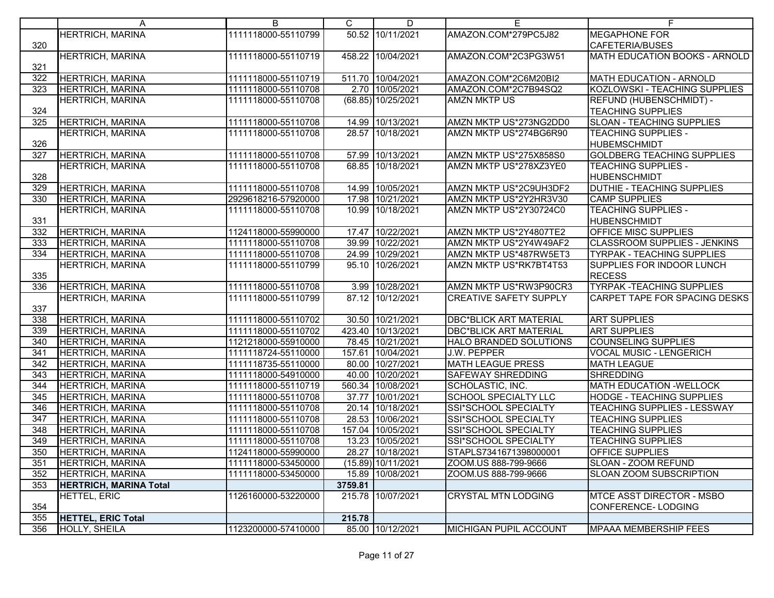|                  | A                             | B                   | C       | D                  | E                             | F.                                                 |
|------------------|-------------------------------|---------------------|---------|--------------------|-------------------------------|----------------------------------------------------|
|                  | <b>HERTRICH, MARINA</b>       | 1111118000-55110799 |         | 50.52 10/11/2021   | AMAZON.COM*279PC5J82          | <b>MEGAPHONE FOR</b>                               |
| 320              |                               |                     |         |                    |                               | CAFETERIA/BUSES                                    |
|                  | <b>HERTRICH, MARINA</b>       | 1111118000-55110719 |         | 458.22 10/04/2021  | AMAZON.COM*2C3PG3W51          | MATH EDUCATION BOOKS - ARNOLD                      |
| 321              |                               |                     |         |                    |                               |                                                    |
| 322              | <b>HERTRICH, MARINA</b>       | 1111118000-55110719 |         | 511.70 10/04/2021  | AMAZON.COM*2C6M20BI2          | MATH EDUCATION - ARNOLD                            |
| 323              | HERTRICH, MARINA              | 1111118000-55110708 |         | 2.70 10/05/2021    | AMAZON.COM*2C7B94SQ2          | KOZLOWSKI - TEACHING SUPPLIES                      |
|                  | <b>HERTRICH, MARINA</b>       | 1111118000-55110708 |         | (68.85) 10/25/2021 | <b>AMZN MKTP US</b>           | REFUND (HUBENSCHMIDT) -                            |
| 324              |                               |                     |         |                    |                               | <b>TEACHING SUPPLIES</b>                           |
| 325              | <b>HERTRICH, MARINA</b>       | 1111118000-55110708 |         | 14.99 10/13/2021   | AMZN MKTP US*273NG2DD0        | <b>SLOAN - TEACHING SUPPLIES</b>                   |
|                  | <b>HERTRICH, MARINA</b>       | 1111118000-55110708 |         | 28.57 10/18/2021   | AMZN MKTP US*274BG6R90        | <b>TEACHING SUPPLIES -</b>                         |
| 326              |                               |                     |         |                    |                               | <b>HUBEMSCHMIDT</b>                                |
| 327              | <b>HERTRICH, MARINA</b>       | 1111118000-55110708 |         | 57.99 10/13/2021   | AMZN MKTP US*275X858S0        | <b>GOLDBERG TEACHING SUPPLIES</b>                  |
|                  | <b>HERTRICH, MARINA</b>       | 1111118000-55110708 |         | 68.85 10/18/2021   | AMZN MKTP US*278XZ3YE0        | <b>TEACHING SUPPLIES -</b>                         |
| 328              |                               |                     |         |                    |                               | <b>HUBENSCHMIDT</b>                                |
| 329              | <b>HERTRICH, MARINA</b>       | 1111118000-55110708 |         | 14.99 10/05/2021   | AMZN MKTP US*2C9UH3DF2        | DUTHIE - TEACHING SUPPLIES                         |
| 330              | <b>HERTRICH, MARINA</b>       | 2929618216-57920000 |         | 17.98 10/21/2021   | AMZN MKTP US*2Y2HR3V30        | <b>CAMP SUPPLIES</b>                               |
|                  | <b>HERTRICH, MARINA</b>       | 1111118000-55110708 |         | 10.99 10/18/2021   | AMZN MKTP US*2Y30724C0        | <b>TEACHING SUPPLIES -</b>                         |
| 331<br>332       | <b>HERTRICH, MARINA</b>       | 1124118000-55990000 |         | 17.47 10/22/2021   | AMZN MKTP US*2Y4807TE2        | <b>HUBENSCHMIDT</b><br><b>OFFICE MISC SUPPLIES</b> |
| 333              | <b>HERTRICH, MARINA</b>       | 1111118000-55110708 |         | 39.99 10/22/2021   | AMZN MKTP US*2Y4W49AF2        | <b>CLASSROOM SUPPLIES - JENKINS</b>                |
| 334              | HERTRICH, MARINA              | 1111118000-55110708 |         | 24.99 10/29/2021   | AMZN MKTP US*487RW5ET3        | <b>TYRPAK - TEACHING SUPPLIES</b>                  |
|                  | HERTRICH, MARINA              | 1111118000-55110799 |         | 95.10 10/26/2021   | AMZN MKTP US*RK7BT4T53        | SUPPLIES FOR INDOOR LUNCH                          |
| 335              |                               |                     |         |                    |                               | <b>RECESS</b>                                      |
| 336              | <b>HERTRICH, MARINA</b>       | 1111118000-55110708 |         | 3.99 10/28/2021    | AMZN MKTP US*RW3P90CR3        | <b>TYRPAK -TEACHING SUPPLIES</b>                   |
|                  | <b>HERTRICH, MARINA</b>       | 1111118000-55110799 |         | 87.12 10/12/2021   | <b>CREATIVE SAFETY SUPPLY</b> | <b>CARPET TAPE FOR SPACING DESKS</b>               |
| 337              |                               |                     |         |                    |                               |                                                    |
| 338              | <b>HERTRICH, MARINA</b>       | 1111118000-55110702 |         | 30.50 10/21/2021   | <b>DBC*BLICK ART MATERIAL</b> | <b>ART SUPPLIES</b>                                |
| 339              | <b>HERTRICH, MARINA</b>       | 1111118000-55110702 |         | 423.40 10/13/2021  | <b>DBC*BLICK ART MATERIAL</b> | <b>ART SUPPLIES</b>                                |
| 340              | <b>HERTRICH, MARINA</b>       | 1121218000-55910000 |         | 78.45 10/21/2021   | HALO BRANDED SOLUTIONS        | <b>COUNSELING SUPPLIES</b>                         |
| 341              | HERTRICH, MARINA              | 1111118724-55110000 |         | 157.61 10/04/2021  | J.W. PEPPER                   | <b>VOCAL MUSIC - LENGERICH</b>                     |
| 342              | HERTRICH, MARINA              | 1111118735-55110000 |         | 80.00 10/27/2021   | <b>MATH LEAGUE PRESS</b>      | <b>MATH LEAGUE</b>                                 |
| 343              | <b>HERTRICH, MARINA</b>       | 1111118000-54910000 |         | 40.00 10/20/2021   | <b>SAFEWAY SHREDDING</b>      | <b>SHREDDING</b>                                   |
| 344              | HERTRICH, MARINA              | 1111118000-55110719 |         | 560.34 10/08/2021  | SCHOLASTIC, INC.              | <b>MATH EDUCATION -WELLOCK</b>                     |
| 345              | <b>HERTRICH, MARINA</b>       | 1111118000-55110708 |         | 37.77 10/01/2021   | <b>SCHOOL SPECIALTY LLC</b>   | <b>HODGE - TEACHING SUPPLIES</b>                   |
| 346              | HERTRICH, MARINA              | 1111118000-55110708 |         | 20.14 10/18/2021   | SSI*SCHOOL SPECIALTY          | <b>TEACHING SUPPLIES - LESSWAY</b>                 |
| $\overline{347}$ | HERTRICH, MARINA              | 1111118000-55110708 |         | 28.53 10/06/2021   | SSI*SCHOOL SPECIALTY          | <b>TEACHING SUPPLIES</b>                           |
| 348              | HERTRICH, MARINA              | 1111118000-55110708 |         | 157.04 10/05/2021  | SSI*SCHOOL SPECIALTY          | <b>TEACHING SUPPLIES</b>                           |
| 349              | <b>HERTRICH, MARINA</b>       | 1111118000-55110708 |         | 13.23 10/05/2021   | SSI*SCHOOL SPECIALTY          | <b>TEACHING SUPPLIES</b>                           |
| 350              | HERTRICH, MARINA              | 1124118000-55990000 |         | 28.27 10/18/2021   | STAPLS7341671398000001        | <b>OFFICE SUPPLIES</b>                             |
| 351              | <b>HERTRICH, MARINA</b>       | 1111118000-53450000 |         | (15.89) 10/11/2021 | ZOOM.US 888-799-9666          | SLOAN - ZOOM REFUND                                |
| 352              | HERTRICH, MARINA              | 1111118000-53450000 |         | 15.89 10/08/2021   | ZOOM.US 888-799-9666          | SLOAN ZOOM SUBSCRIPTION                            |
| 353              | <b>HERTRICH, MARINA Total</b> |                     | 3759.81 |                    |                               |                                                    |
|                  | HETTEL, ERIC                  | 1126160000-53220000 |         | 215.78 10/07/2021  | <b>CRYSTAL MTN LODGING</b>    | <b>MTCE ASST DIRECTOR - MSBO</b>                   |
| 354              |                               |                     |         |                    |                               | <b>CONFERENCE-LODGING</b>                          |
| 355              | <b>HETTEL, ERIC Total</b>     |                     | 215.78  |                    |                               |                                                    |
| 356              | <b>HOLLY, SHEILA</b>          | 1123200000-57410000 |         | 85.00 10/12/2021   | <b>MICHIGAN PUPIL ACCOUNT</b> | <b>MPAAA MEMBERSHIP FEES</b>                       |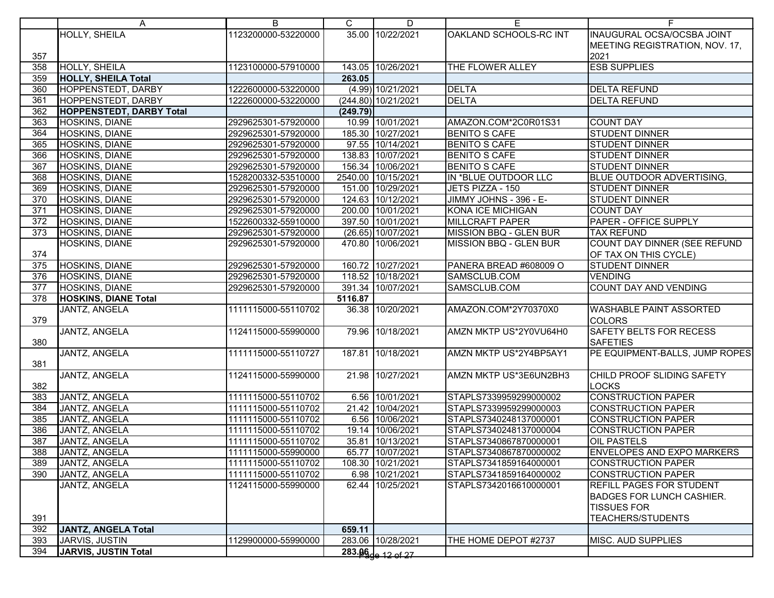|                  | A                           | B                   | C        | D                   | Е                      | F.                                |
|------------------|-----------------------------|---------------------|----------|---------------------|------------------------|-----------------------------------|
|                  | HOLLY, SHEILA               | 1123200000-53220000 |          | 35.00 10/22/2021    | OAKLAND SCHOOLS-RC INT | <b>INAUGURAL OCSA/OCSBA JOINT</b> |
|                  |                             |                     |          |                     |                        | MEETING REGISTRATION, NOV. 17,    |
| 357              |                             |                     |          |                     |                        | 2021                              |
| 358              | HOLLY, SHEILA               | 1123100000-57910000 |          | 143.05 10/26/2021   | THE FLOWER ALLEY       | <b>ESB SUPPLIES</b>               |
| 359              | <b>HOLLY, SHEILA Total</b>  |                     | 263.05   |                     |                        |                                   |
| 360              | HOPPENSTEDT, DARBY          | 1222600000-53220000 |          | (4.99) 10/21/2021   | <b>DELTA</b>           | <b>DELTA REFUND</b>               |
| 361              | HOPPENSTEDT, DARBY          | 1222600000-53220000 |          | (244.80) 10/21/2021 | <b>DELTA</b>           | <b>DELTA REFUND</b>               |
| 362              | HOPPENSTEDT, DARBY Total    |                     | (249.79) |                     |                        |                                   |
| 363              | HOSKINS, DIANE              | 2929625301-57920000 |          | 10.99 10/01/2021    | AMAZON.COM*2C0R01S31   | <b>COUNT DAY</b>                  |
| 364              | HOSKINS, DIANE              | 2929625301-57920000 |          | 185.30 10/27/2021   | <b>BENITO S CAFE</b>   | <b>STUDENT DINNER</b>             |
| 365              | HOSKINS, DIANE              | 2929625301-57920000 |          | 97.55 10/14/2021    | <b>BENITO S CAFE</b>   | <b>STUDENT DINNER</b>             |
| 366              | HOSKINS, DIANE              | 2929625301-57920000 |          | 138.83 10/07/2021   | <b>BENITO S CAFE</b>   | <b>STUDENT DINNER</b>             |
| 367              | <b>HOSKINS, DIANE</b>       | 2929625301-57920000 |          | 156.34 10/06/2021   | <b>BENITO S CAFE</b>   | <b>STUDENT DINNER</b>             |
| 368              | <b>HOSKINS, DIANE</b>       | 1528200332-53510000 |          | 2540.00 10/15/2021  | IN *BLUE OUTDOOR LLC   | BLUE OUTDOOR ADVERTISING,         |
| 369              | HOSKINS, DIANE              | 2929625301-57920000 |          | 151.00 10/29/2021   | JETS PIZZA - 150       | <b>STUDENT DINNER</b>             |
| 370              | <b>HOSKINS, DIANE</b>       | 2929625301-57920000 |          | 124.63 10/12/2021   | JIMMY JOHNS - 396 - E- | <b>STUDENT DINNER</b>             |
| 371              | HOSKINS, DIANE              | 2929625301-57920000 |          | 200.00 10/01/2021   | KONA ICE MICHIGAN      | <b>COUNT DAY</b>                  |
| 372              | HOSKINS, DIANE              | 1522600332-55910000 |          | 397.50 10/01/2021   | <b>MILLCRAFT PAPER</b> | PAPER - OFFICE SUPPLY             |
| 373              | <b>HOSKINS, DIANE</b>       | 2929625301-57920000 |          | (26.65) 10/07/2021  | MISSION BBQ - GLEN BUR | <b>TAX REFUND</b>                 |
|                  | HOSKINS, DIANE              | 2929625301-57920000 |          | 470.80 10/06/2021   | MISSION BBQ - GLEN BUR | COUNT DAY DINNER (SEE REFUND      |
| 374              |                             |                     |          |                     |                        | OF TAX ON THIS CYCLE)             |
| 375              | <b>HOSKINS, DIANE</b>       | 2929625301-57920000 |          | 160.72 10/27/2021   | PANERA BREAD #608009 O | <b>STUDENT DINNER</b>             |
| 376              | HOSKINS, DIANE              | 2929625301-57920000 |          | 118.52 10/18/2021   | SAMSCLUB.COM           | <b>VENDING</b>                    |
| $\overline{377}$ | <b>HOSKINS, DIANE</b>       | 2929625301-57920000 |          | 391.34 10/07/2021   | SAMSCLUB.COM           | <b>COUNT DAY AND VENDING</b>      |
| 378              | <b>HOSKINS, DIANE Total</b> |                     | 5116.87  |                     |                        |                                   |
|                  | JANTZ, ANGELA               | 1111115000-55110702 |          | 36.38 10/20/2021    | AMAZON.COM*2Y70370X0   | <b>WASHABLE PAINT ASSORTED</b>    |
| 379              |                             |                     |          |                     |                        | <b>COLORS</b>                     |
|                  | JANTZ, ANGELA               | 1124115000-55990000 |          | 79.96 10/18/2021    | AMZN MKTP US*2Y0VU64H0 | <b>SAFETY BELTS FOR RECESS</b>    |
| 380              |                             |                     |          |                     |                        | <b>SAFETIES</b>                   |
|                  | JANTZ, ANGELA               | 1111115000-55110727 |          | 187.81 10/18/2021   | AMZN MKTP US*2Y4BP5AY1 | PE EQUIPMENT-BALLS, JUMP ROPES    |
| 381              |                             |                     |          |                     |                        |                                   |
|                  | <b>JANTZ, ANGELA</b>        | 1124115000-55990000 |          | 21.98 10/27/2021    | AMZN MKTP US*3E6UN2BH3 | CHILD PROOF SLIDING SAFETY        |
| 382              |                             |                     |          |                     |                        | <b>LOCKS</b>                      |
| 383              | <b>JANTZ, ANGELA</b>        | 1111115000-55110702 |          | 6.56 10/01/2021     | STAPLS7339959299000002 | <b>CONSTRUCTION PAPER</b>         |
| 384              | JANTZ, ANGELA               | 1111115000-55110702 |          | 21.42 10/04/2021    | STAPLS7339959299000003 | <b>CONSTRUCTION PAPER</b>         |
| 385              | JANTZ, ANGELA               | 1111115000-55110702 |          | 6.56 10/06/2021     | STAPLS7340248137000001 | <b>CONSTRUCTION PAPER</b>         |
| 386              | JANTZ, ANGELA               | 1111115000-55110702 |          | 19.14 10/06/2021    | STAPLS7340248137000004 | <b>CONSTRUCTION PAPER</b>         |
| 387              | JANTZ, ANGELA               | 1111115000-55110702 |          | 35.81 10/13/2021    | STAPLS7340867870000001 | <b>OIL PASTELS</b>                |
| 388              | JANTZ, ANGELA               | 1111115000-55990000 |          | 65.77 10/07/2021    | STAPLS7340867870000002 | <b>ENVELOPES AND EXPO MARKERS</b> |
| 389              | JANTZ, ANGELA               | 1111115000-55110702 |          | 108.30 10/21/2021   | STAPLS7341859164000001 | <b>CONSTRUCTION PAPER</b>         |
| 390              | JANTZ, ANGELA               | 1111115000-55110702 |          | 6.98 10/21/2021     | STAPLS7341859164000002 | <b>CONSTRUCTION PAPER</b>         |
|                  | JANTZ, ANGELA               | 1124115000-55990000 |          | 62.44 10/25/2021    | STAPLS7342016610000001 | <b>REFILL PAGES FOR STUDENT</b>   |
|                  |                             |                     |          |                     |                        | <b>BADGES FOR LUNCH CASHIER.</b>  |
|                  |                             |                     |          |                     |                        | <b>TISSUES FOR</b>                |
| 391<br>392       | JANTZ, ANGELA Total         |                     |          |                     |                        | <b>TEACHERS/STUDENTS</b>          |
| 393              | JARVIS, JUSTIN              | 1129900000-55990000 | 659.11   | 283.06 10/28/2021   | THE HOME DEPOT #2737   | <b>MISC. AUD SUPPLIES</b>         |
| 394              | JARVIS, JUSTIN Total        |                     |          |                     |                        |                                   |
|                  |                             |                     |          | $283.96 - 12 of 27$ |                        |                                   |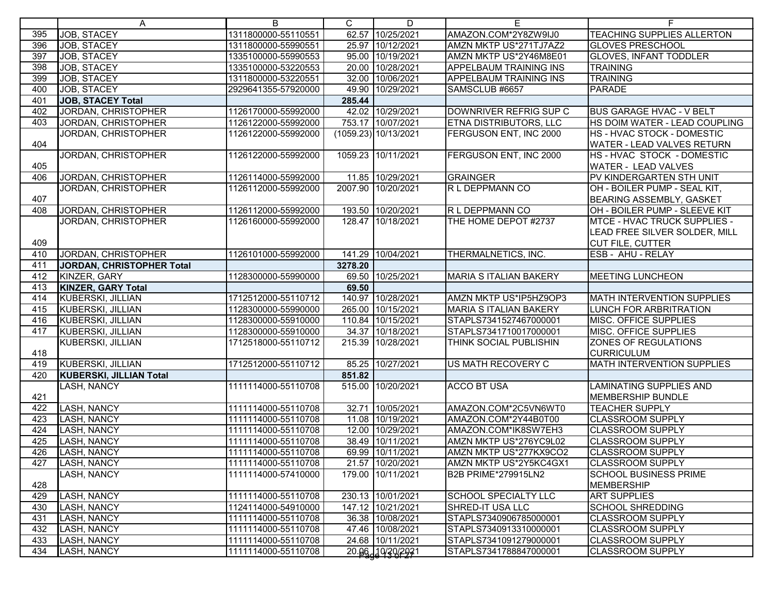|     | A                          | B                   | C.      | D                    | Е                             | F.                                |
|-----|----------------------------|---------------------|---------|----------------------|-------------------------------|-----------------------------------|
| 395 | <b>JOB, STACEY</b>         | 1311800000-55110551 |         | 62.57 10/25/2021     | AMAZON.COM*2Y8ZW9IJ0          | <b>TEACHING SUPPLIES ALLERTON</b> |
| 396 | <b>JOB, STACEY</b>         | 1311800000-55990551 |         | 25.97 10/12/2021     | AMZN MKTP US*271TJ7AZ2        | <b>GLOVES PRESCHOOL</b>           |
| 397 | JOB, STACEY                | 1335100000-55990553 |         | 95.00 10/19/2021     | AMZN MKTP US*2Y46M8E01        | <b>GLOVES, INFANT TODDLER</b>     |
| 398 | JOB, STACEY                | 1335100000-53220553 |         | 20.00 10/28/2021     | APPELBAUM TRAINING INS        | <b>TRAINING</b>                   |
| 399 | JOB, STACEY                | 1311800000-53220551 |         | 32.00 10/06/2021     | <b>APPELBAUM TRAINING INS</b> | <b>TRAINING</b>                   |
| 400 | JOB, STACEY                | 2929641355-57920000 | 49.90   | 10/29/2021           | SAMSCLUB #6657                | <b>PARADE</b>                     |
| 401 | JOB, STACEY Total          |                     | 285.44  |                      |                               |                                   |
| 402 | JORDAN, CHRISTOPHER        | 1126170000-55992000 |         | 42.02 10/29/2021     | DOWNRIVER REFRIG SUP C        | <b>BUS GARAGE HVAC - V BELT</b>   |
| 403 | JORDAN, CHRISTOPHER        | 1126122000-55992000 |         | 753.17 10/07/2021    | ETNA DISTRIBUTORS, LLC        | HS DOIM WATER - LEAD COUPLING     |
|     | JORDAN, CHRISTOPHER        | 1126122000-55992000 |         | (1059.23) 10/13/2021 | FERGUSON ENT, INC 2000        | HS - HVAC STOCK - DOMESTIC        |
| 404 |                            |                     |         |                      |                               | WATER - LEAD VALVES RETURN        |
|     | <b>JORDAN, CHRISTOPHER</b> | 1126122000-55992000 |         | 1059.23 10/11/2021   | FERGUSON ENT, INC 2000        | HS-HVAC STOCK - DOMESTIC          |
| 405 |                            |                     |         |                      |                               | WATER - LEAD VALVES               |
| 406 | <b>JORDAN, CHRISTOPHER</b> | 1126114000-55992000 |         | 11.85 10/29/2021     | <b>GRAINGER</b>               | PV KINDERGARTEN STH UNIT          |
|     | JORDAN, CHRISTOPHER        | 1126112000-55992000 |         | 2007.90 10/20/2021   | R L DEPPMANN CO               | OH - BOILER PUMP - SEAL KIT,      |
| 407 |                            |                     |         |                      |                               | BEARING ASSEMBLY, GASKET          |
| 408 | JORDAN, CHRISTOPHER        | 1126112000-55992000 |         | 193.50 10/20/2021    | R L DEPPMANN CO               | OH - BOILER PUMP - SLEEVE KIT     |
|     | JORDAN, CHRISTOPHER        | 1126160000-55992000 |         | 128.47 10/18/2021    | THE HOME DEPOT #2737          | MTCE - HVAC TRUCK SUPPLIES -      |
|     |                            |                     |         |                      |                               | LEAD FREE SILVER SOLDER, MILL     |
| 409 |                            |                     |         |                      |                               | <b>CUT FILE, CUTTER</b>           |
| 410 | JORDAN, CHRISTOPHER        | 1126101000-55992000 |         | 141.29 10/04/2021    | THERMALNETICS, INC.           | ESB - AHU - RELAY                 |
| 411 | JORDAN, CHRISTOPHER Total  |                     | 3278.20 |                      |                               |                                   |
| 412 | KINZER, GARY               | 1128300000-55990000 |         | 69.50 10/25/2021     | <b>MARIA S ITALIAN BAKERY</b> | <b>MEETING LUNCHEON</b>           |
| 413 | <b>KINZER, GARY Total</b>  |                     | 69.50   |                      |                               |                                   |
| 414 | KUBERSKI, JILLIAN          | 1712512000-55110712 |         | 140.97 10/28/2021    | AMZN MKTP US*IP5HZ9OP3        | <b>MATH INTERVENTION SUPPLIES</b> |
| 415 | KUBERSKI, JILLIAN          | 1128300000-55990000 |         | 265.00 10/15/2021    | <b>MARIA S ITALIAN BAKERY</b> | <b>LUNCH FOR ARBRITRATION</b>     |
| 416 | KUBERSKI, JILLIAN          | 1128300000-55910000 |         | 110.84 10/15/2021    | STAPLS7341527467000001        | MISC. OFFICE SUPPLIES             |
| 417 | KUBERSKI, JILLIAN          | 1128300000-55910000 |         | 34.37 10/18/2021     | STAPLS7341710017000001        | MISC. OFFICE SUPPLIES             |
|     | KUBERSKI, JILLIAN          | 1712518000-55110712 | 215.39  | 10/28/2021           | THINK SOCIAL PUBLISHIN        | ZONES OF REGULATIONS              |
| 418 |                            |                     |         |                      |                               | <b>CURRICULUM</b>                 |
| 419 | KUBERSKI, JILLIAN          | 1712512000-55110712 |         | 85.25 10/27/2021     | US MATH RECOVERY C            | MATH INTERVENTION SUPPLIES        |
| 420 | KUBERSKI, JILLIAN Total    |                     | 851.82  |                      |                               |                                   |
|     | LASH, NANCY                | 1111114000-55110708 |         | 515.00 10/20/2021    | <b>ACCO BT USA</b>            | <b>LAMINATING SUPPLIES AND</b>    |
| 421 |                            |                     |         |                      |                               | <b>MEMBERSHIP BUNDLE</b>          |
| 422 | LASH, NANCY                | 1111114000-55110708 |         | 32.71 10/05/2021     | AMAZON.COM*2C5VN6WT0          | <b>TEACHER SUPPLY</b>             |
| 423 | LASH, NANCY                | 1111114000-55110708 |         | 11.08 10/19/2021     | AMAZON.COM*2Y44B0T00          | <b>CLASSROOM SUPPLY</b>           |
| 424 | LASH, NANCY                | 1111114000-55110708 |         | 12.00 10/29/2021     | AMAZON.COM*IK8SW7EH3          | <b>CLASSROOM SUPPLY</b>           |
| 425 | LASH, NANCY                | 1111114000-55110708 |         | 38.49 10/11/2021     | AMZN MKTP US*276YC9L02        | <b>CLASSROOM SUPPLY</b>           |
| 426 | LASH, NANCY                | 1111114000-55110708 |         | 69.99 10/11/2021     | AMZN MKTP US*277KX9CO2        | <b>CLASSROOM SUPPLY</b>           |
| 427 | LASH, NANCY                | 1111114000-55110708 |         | 21.57 10/20/2021     | AMZN MKTP US*2Y5KC4GX1        | <b>CLASSROOM SUPPLY</b>           |
|     | LASH, NANCY                | 1111114000-57410000 |         | 179.00 10/11/2021    | B2B PRIME*279915LN2           | <b>SCHOOL BUSINESS PRIME</b>      |
| 428 |                            |                     |         |                      |                               | <b>MEMBERSHIP</b>                 |
| 429 | LASH, NANCY                | 1111114000-55110708 |         | 230.13 10/01/2021    | <b>SCHOOL SPECIALTY LLC</b>   | <b>ART SUPPLIES</b>               |
| 430 | LASH, NANCY                | 1124114000-54910000 |         | 147.12 10/21/2021    | <b>SHRED-IT USA LLC</b>       | <b>SCHOOL SHREDDING</b>           |
| 431 | LASH, NANCY                | 1111114000-55110708 |         | 36.38 10/08/2021     | STAPLS7340906785000001        | <b>CLASSROOM SUPPLY</b>           |
| 432 | LASH, NANCY                | 1111114000-55110708 |         | 47.46 10/08/2021     | STAPLS7340913310000001        | <b>CLASSROOM SUPPLY</b>           |
| 433 | LASH, NANCY                | 1111114000-55110708 |         | 24.68 10/11/2021     | STAPLS7341091279000001        | <b>CLASSROOM SUPPLY</b>           |
| 434 | LASH, NANCY                | 1111114000-55110708 |         | 20.06.10/20/2021     | STAPLS7341788847000001        | <b>CLASSROOM SUPPLY</b>           |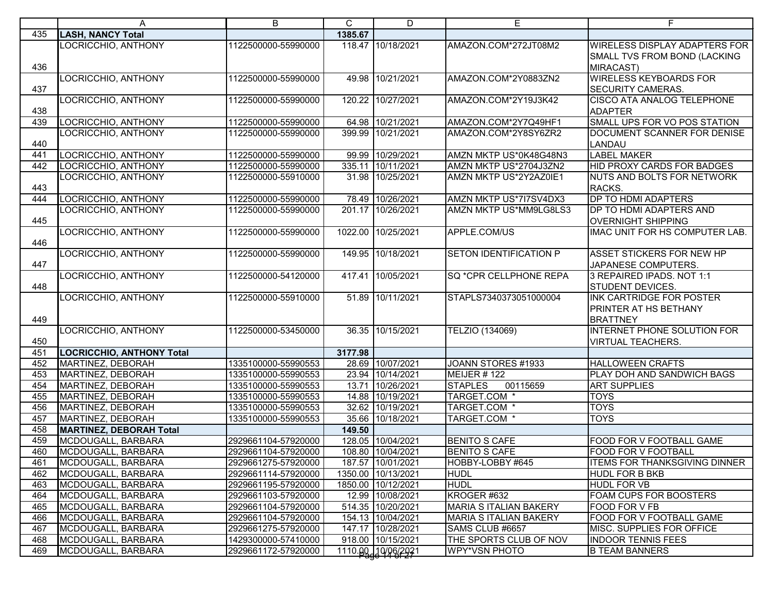|     | A                                | B                   | $\mathsf C$ | D                  | E                             | F                                    |
|-----|----------------------------------|---------------------|-------------|--------------------|-------------------------------|--------------------------------------|
| 435 | <b>LASH, NANCY Total</b>         |                     | 1385.67     |                    |                               |                                      |
|     | LOCRICCHIO, ANTHONY              | 1122500000-55990000 |             | 118.47 10/18/2021  | AMAZON.COM*272JT08M2          | <b>WIRELESS DISPLAY ADAPTERS FOR</b> |
|     |                                  |                     |             |                    |                               | SMALL TVS FROM BOND (LACKING         |
| 436 |                                  |                     |             |                    |                               | <b>MIRACAST)</b>                     |
|     | LOCRICCHIO, ANTHONY              | 1122500000-55990000 |             | 49.98 10/21/2021   | AMAZON.COM*2Y0883ZN2          | <b>WIRELESS KEYBOARDS FOR</b>        |
| 437 |                                  |                     |             |                    |                               | <b>SECURITY CAMERAS.</b>             |
|     | LOCRICCHIO, ANTHONY              | 1122500000-55990000 |             | 120.22 10/27/2021  | AMAZON.COM*2Y19J3K42          | <b>CISCO ATA ANALOG TELEPHONE</b>    |
| 438 |                                  |                     |             |                    |                               | <b>ADAPTER</b>                       |
| 439 | LOCRICCHIO, ANTHONY              | 1122500000-55990000 |             | 64.98 10/21/2021   | AMAZON.COM*2Y7Q49HF1          | SMALL UPS FOR VO POS STATION         |
| 440 | LOCRICCHIO, ANTHONY              | 1122500000-55990000 |             | 399.99 10/21/2021  | AMAZON.COM*2Y8SY6ZR2          | DOCUMENT SCANNER FOR DENISE          |
| 441 | LOCRICCHIO, ANTHONY              | 1122500000-55990000 |             | 99.99 10/29/2021   | AMZN MKTP US*0K48G48N3        | LANDAU<br><b>LABEL MAKER</b>         |
| 442 | LOCRICCHIO, ANTHONY              | 1122500000-55990000 |             | 335.11 10/11/2021  | AMZN MKTP US*2704J3ZN2        | HID PROXY CARDS FOR BADGES           |
|     | LOCRICCHIO, ANTHONY              | 1122500000-55910000 |             | 31.98 10/25/2021   | AMZN MKTP US*2Y2AZ0IE1        | NUTS AND BOLTS FOR NETWORK           |
| 443 |                                  |                     |             |                    |                               | RACKS.                               |
| 444 | LOCRICCHIO, ANTHONY              | 1122500000-55990000 |             | 78.49 10/26/2021   | AMZN MKTP US*7I7SV4DX3        | DP TO HDMI ADAPTERS                  |
|     | LOCRICCHIO, ANTHONY              | 1122500000-55990000 |             | 201.17 10/26/2021  | AMZN MKTP US*MM9LG8LS3        | DP TO HDMI ADAPTERS AND              |
| 445 |                                  |                     |             |                    |                               | <b>OVERNIGHT SHIPPING</b>            |
|     | LOCRICCHIO, ANTHONY              | 1122500000-55990000 |             | 1022.00 10/25/2021 | APPLE.COM/US                  | IMAC UNIT FOR HS COMPUTER LAB.       |
| 446 |                                  |                     |             |                    |                               |                                      |
|     | LOCRICCHIO, ANTHONY              | 1122500000-55990000 |             | 149.95 10/18/2021  | <b>SETON IDENTIFICATION P</b> | <b>ASSET STICKERS FOR NEW HP</b>     |
| 447 |                                  |                     |             |                    |                               | JAPANESE COMPUTERS.                  |
|     | LOCRICCHIO, ANTHONY              | 1122500000-54120000 |             | 417.41 10/05/2021  | SQ *CPR CELLPHONE REPA        | 3 REPAIRED IPADS. NOT 1:1            |
| 448 |                                  |                     |             |                    |                               | <b>STUDENT DEVICES.</b>              |
|     | LOCRICCHIO, ANTHONY              | 1122500000-55910000 |             | 51.89 10/11/2021   | STAPLS7340373051000004        | <b>INK CARTRIDGE FOR POSTER</b>      |
|     |                                  |                     |             |                    |                               | <b>PRINTER AT HS BETHANY</b>         |
| 449 |                                  |                     |             |                    |                               | <b>BRATTNEY</b>                      |
| 450 | LOCRICCHIO, ANTHONY              | 1122500000-53450000 |             | 36.35 10/15/2021   | TELZIO (134069)               | INTERNET PHONE SOLUTION FOR          |
| 451 | <b>LOCRICCHIO, ANTHONY Total</b> |                     | 3177.98     |                    |                               | <b>VIRTUAL TEACHERS.</b>             |
| 452 | MARTINEZ, DEBORAH                | 1335100000-55990553 |             | 28.69 10/07/2021   | JOANN STORES #1933            | <b>HALLOWEEN CRAFTS</b>              |
| 453 | MARTINEZ, DEBORAH                | 1335100000-55990553 |             | 23.94 10/14/2021   | MEIJER #122                   | PLAY DOH AND SANDWICH BAGS           |
| 454 | MARTINEZ, DEBORAH                | 1335100000-55990553 |             | 13.71 10/26/2021   | <b>STAPLES</b><br>00115659    | <b>ART SUPPLIES</b>                  |
| 455 | MARTINEZ, DEBORAH                | 1335100000-55990553 |             | 14.88 10/19/2021   | TARGET.COM *                  | <b>TOYS</b>                          |
| 456 | MARTINEZ, DEBORAH                | 1335100000-55990553 |             | 32.62 10/19/2021   | TARGET.COM *                  | <b>TOYS</b>                          |
| 457 | MARTINEZ, DEBORAH                | 1335100000-55990553 |             | 35.66 10/18/2021   | TARGET.COM *                  | <b>TOYS</b>                          |
| 458 | <b>MARTINEZ, DEBORAH Total</b>   |                     | 149.50      |                    |                               |                                      |
| 459 | MCDOUGALL, BARBARA               | 2929661104-57920000 |             | 128.05 10/04/2021  | <b>BENITO S CAFE</b>          | FOOD FOR V FOOTBALL GAME             |
| 460 | MCDOUGALL, BARBARA               | 2929661104-57920000 |             | 108.80 10/04/2021  | <b>BENITO S CAFE</b>          | FOOD FOR V FOOTBALL                  |
| 461 | MCDOUGALL, BARBARA               | 2929661275-57920000 |             | 187.57 10/01/2021  | HOBBY-LOBBY #645              | <b>ITEMS FOR THANKSGIVING DINNER</b> |
| 462 | MCDOUGALL, BARBARA               | 2929661114-57920000 |             | 1350.00 10/13/2021 | <b>HUDL</b>                   | <b>HUDL FOR B BKB</b>                |
| 463 | MCDOUGALL, BARBARA               | 2929661195-57920000 |             | 1850.00 10/12/2021 | <b>HUDL</b>                   | <b>HUDL FOR VB</b>                   |
| 464 | MCDOUGALL, BARBARA               | 2929661103-57920000 |             | 12.99 10/08/2021   | KROGER #632                   | <b>FOAM CUPS FOR BOOSTERS</b>        |
| 465 | MCDOUGALL, BARBARA               | 2929661104-57920000 |             | 514.35 10/20/2021  | <b>MARIA S ITALIAN BAKERY</b> | FOOD FOR V FB                        |
| 466 | MCDOUGALL, BARBARA               | 2929661104-57920000 |             | 154.13 10/04/2021  | <b>MARIA S ITALIAN BAKERY</b> | FOOD FOR V FOOTBALL GAME             |
| 467 | MCDOUGALL, BARBARA               | 2929661275-57920000 |             | 147.17 10/28/2021  | SAMS CLUB #6657               | MISC. SUPPLIES FOR OFFICE            |
| 468 | MCDOUGALL, BARBARA               | 1429300000-57410000 |             | 918.00 10/15/2021  | THE SPORTS CLUB OF NOV        | <b>INDOOR TENNIS FEES</b>            |
| 469 | MCDOUGALL, BARBARA               | 2929661172-57920000 |             | 1110.00 10/06/2021 | <b>WPY*VSN PHOTO</b>          | <b>B TEAM BANNERS</b>                |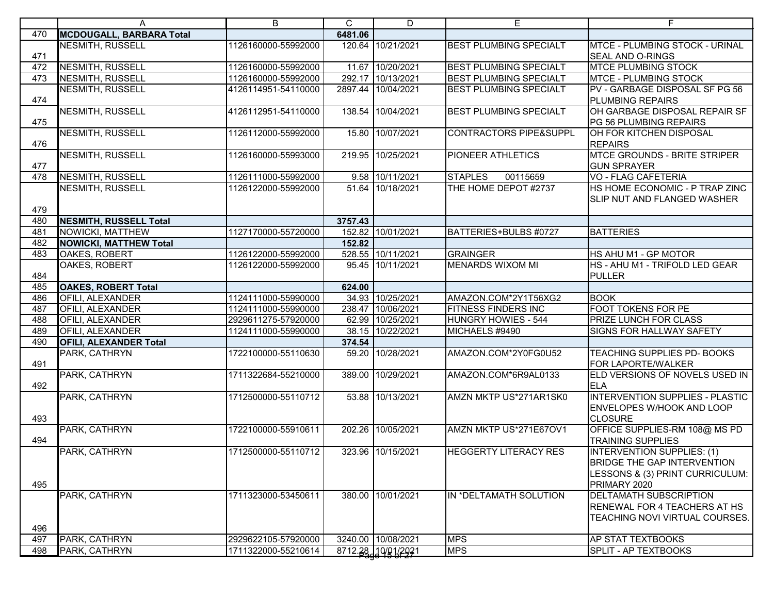|     | A                             | B                   | C       | D                  | Е                                 | F                                                                                                                   |
|-----|-------------------------------|---------------------|---------|--------------------|-----------------------------------|---------------------------------------------------------------------------------------------------------------------|
| 470 | MCDOUGALL, BARBARA Total      |                     | 6481.06 |                    |                                   |                                                                                                                     |
| 471 | NESMITH, RUSSELL              | 1126160000-55992000 |         | 120.64 10/21/2021  | <b>BEST PLUMBING SPECIALT</b>     | <b>MTCE - PLUMBING STOCK - URINAL</b><br><b>SEAL AND O-RINGS</b>                                                    |
| 472 | <b>NESMITH, RUSSELL</b>       | 1126160000-55992000 |         | 11.67 10/20/2021   | <b>BEST PLUMBING SPECIALT</b>     | <b>MTCE PLUMBING STOCK</b>                                                                                          |
| 473 | NESMITH, RUSSELL              | 1126160000-55992000 |         | 292.17 10/13/2021  | <b>BEST PLUMBING SPECIALT</b>     | <b>MTCE - PLUMBING STOCK</b>                                                                                        |
| 474 | NESMITH, RUSSELL              | 4126114951-54110000 |         | 2897.44 10/04/2021 | <b>BEST PLUMBING SPECIALT</b>     | PV - GARBAGE DISPOSAL SF PG 56<br><b>PLUMBING REPAIRS</b>                                                           |
| 475 | <b>NESMITH, RUSSELL</b>       | 4126112951-54110000 |         | 138.54 10/04/2021  | <b>BEST PLUMBING SPECIALT</b>     | OH GARBAGE DISPOSAL REPAIR SF<br>PG 56 PLUMBING REPAIRS                                                             |
| 476 | <b>NESMITH, RUSSELL</b>       | 1126112000-55992000 |         | 15.80 10/07/2021   | <b>CONTRACTORS PIPE&amp;SUPPL</b> | OH FOR KITCHEN DISPOSAL<br><b>REPAIRS</b>                                                                           |
| 477 | NESMITH, RUSSELL              | 1126160000-55993000 |         | 219.95 10/25/2021  | PIONEER ATHLETICS                 | <b>MTCE GROUNDS - BRITE STRIPER</b><br><b>GUN SPRAYER</b>                                                           |
| 478 | <b>NESMITH, RUSSELL</b>       | 1126111000-55992000 |         | 9.58 10/11/2021    | <b>STAPLES</b><br>00115659        | <b>VO - FLAG CAFETERIA</b>                                                                                          |
| 479 | <b>NESMITH, RUSSELL</b>       | 1126122000-55992000 |         | 51.64 10/18/2021   | THE HOME DEPOT #2737              | HS HOME ECONOMIC - P TRAP ZINC<br>SLIP NUT AND FLANGED WASHER                                                       |
| 480 | <b>NESMITH, RUSSELL Total</b> |                     | 3757.43 |                    |                                   |                                                                                                                     |
| 481 | NOWICKI, MATTHEW              | 1127170000-55720000 |         | 152.82 10/01/2021  | BATTERIES+BULBS #0727             | <b>BATTERIES</b>                                                                                                    |
| 482 | <b>NOWICKI, MATTHEW Total</b> |                     | 152.82  |                    |                                   |                                                                                                                     |
| 483 | OAKES, ROBERT                 | 1126122000-55992000 |         | 528.55 10/11/2021  | <b>GRAINGER</b>                   | HS AHU M1 - GP MOTOR                                                                                                |
| 484 | OAKES, ROBERT                 | 1126122000-55992000 |         | 95.45 10/11/2021   | <b>MENARDS WIXOM MI</b>           | HS - AHU M1 - TRIFOLD LED GEAR<br><b>PULLER</b>                                                                     |
| 485 | <b>OAKES, ROBERT Total</b>    |                     | 624.00  |                    |                                   |                                                                                                                     |
| 486 | <b>OFILI, ALEXANDER</b>       | 1124111000-55990000 |         | 34.93 10/25/2021   | AMAZON.COM*2Y1T56XG2              | <b>BOOK</b>                                                                                                         |
| 487 | <b>OFILI, ALEXANDER</b>       | 1124111000-55990000 |         | 238.47 10/06/2021  | <b>FITNESS FINDERS INC</b>        | <b>FOOT TOKENS FOR PE</b>                                                                                           |
| 488 | <b>OFILI, ALEXANDER</b>       | 2929611275-57920000 |         | 62.99 10/25/2021   | <b>HUNGRY HOWIES - 544</b>        | <b>PRIZE LUNCH FOR CLASS</b>                                                                                        |
| 489 | <b>OFILI, ALEXANDER</b>       | 1124111000-55990000 |         | 38.15 10/22/2021   | MICHAELS #9490                    | SIGNS FOR HALLWAY SAFETY                                                                                            |
| 490 | <b>OFILI, ALEXANDER Total</b> |                     | 374.54  |                    |                                   |                                                                                                                     |
| 491 | PARK, CATHRYN                 | 1722100000-55110630 |         | 59.20 10/28/2021   | AMAZON.COM*2Y0FG0U52              | TEACHING SUPPLIES PD- BOOKS<br>FOR LAPORTE/WALKER                                                                   |
| 492 | PARK, CATHRYN                 | 1711322684-55210000 |         | 389.00 10/29/2021  | AMAZON.COM*6R9AL0133              | ELD VERSIONS OF NOVELS USED IN<br><b>ELA</b>                                                                        |
|     | PARK, CATHRYN                 | 1712500000-55110712 |         | 53.88 10/13/2021   | AMZN MKTP US*271AR1SK0            | INTERVENTION SUPPLIES - PLASTIC<br><b>ENVELOPES W/HOOK AND LOOP</b>                                                 |
| 493 |                               |                     |         |                    |                                   | <b>CLOSURE</b>                                                                                                      |
| 494 | PARK, CATHRYN                 | 1722100000-55910611 |         | 202.26 10/05/2021  | AMZN MKTP US*271E67OV1            | OFFICE SUPPLIES-RM 108@ MS PD<br><b>TRAINING SUPPLIES</b>                                                           |
| 495 | PARK, CATHRYN                 | 1712500000-55110712 |         | 323.96 10/15/2021  | <b>HEGGERTY LITERACY RES</b>      | INTERVENTION SUPPLIES: (1)<br><b>BRIDGE THE GAP INTERVENTION</b><br>LESSONS & (3) PRINT CURRICULUM:<br>PRIMARY 2020 |
| 496 | PARK, CATHRYN                 | 1711323000-53450611 |         | 380.00 10/01/2021  | IN *DELTAMATH SOLUTION            | <b>DELTAMATH SUBSCRIPTION</b><br><b>RENEWAL FOR 4 TEACHERS AT HS</b><br>TEACHING NOVI VIRTUAL COURSES.              |
| 497 | PARK, CATHRYN                 | 2929622105-57920000 |         | 3240.00 10/08/2021 | <b>MPS</b>                        | <b>AP STAT TEXTBOOKS</b>                                                                                            |
| 498 | PARK, CATHRYN                 | 1711322000-55210614 |         | 8712.28 10/01/2021 | <b>MPS</b>                        | <b>SPLIT - AP TEXTBOOKS</b>                                                                                         |
|     |                               |                     |         |                    |                                   |                                                                                                                     |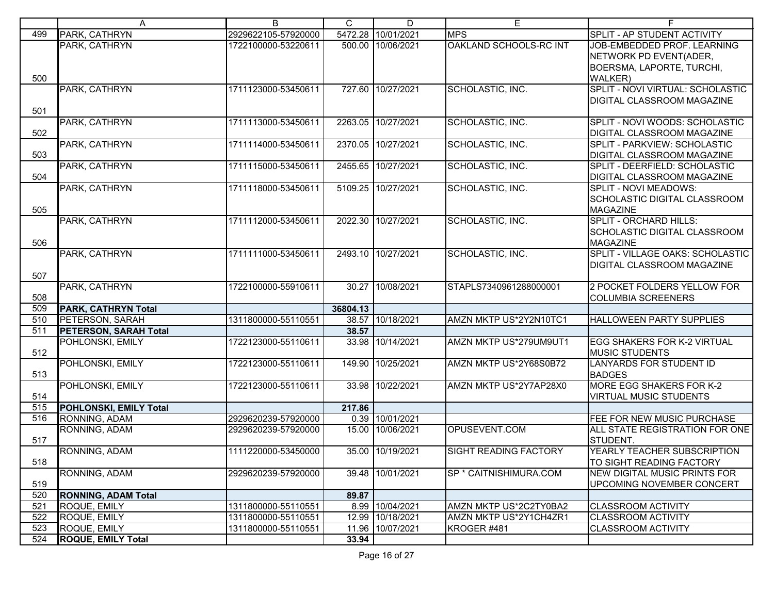|            | A                             | B                   | C        | D                  | E                            | F                                                                 |
|------------|-------------------------------|---------------------|----------|--------------------|------------------------------|-------------------------------------------------------------------|
| 499        | PARK, CATHRYN                 | 2929622105-57920000 |          | 5472.28 10/01/2021 | <b>MPS</b>                   | SPLIT - AP STUDENT ACTIVITY                                       |
|            | PARK, CATHRYN                 | 1722100000-53220611 |          | 500.00 10/06/2021  | OAKLAND SCHOOLS-RC INT       | JOB-EMBEDDED PROF. LEARNING                                       |
|            |                               |                     |          |                    |                              | NETWORK PD EVENT(ADER,                                            |
|            |                               |                     |          |                    |                              | <b>BOERSMA, LAPORTE, TURCHI,</b>                                  |
| 500        |                               |                     |          |                    |                              | <b>WALKER</b> )                                                   |
|            | PARK, CATHRYN                 | 1711123000-53450611 |          | 727.60 10/27/2021  | SCHOLASTIC, INC.             | SPLIT - NOVI VIRTUAL: SCHOLASTIC                                  |
|            |                               |                     |          |                    |                              | DIGITAL CLASSROOM MAGAZINE                                        |
| 501        |                               |                     |          |                    |                              |                                                                   |
|            | <b>PARK, CATHRYN</b>          | 1711113000-53450611 |          | 2263.05 10/27/2021 | SCHOLASTIC, INC.             | SPLIT - NOVI WOODS: SCHOLASTIC                                    |
| 502        |                               |                     |          |                    |                              | <b>DIGITAL CLASSROOM MAGAZINE</b>                                 |
|            | PARK, CATHRYN                 | 1711114000-53450611 |          | 2370.05 10/27/2021 | SCHOLASTIC, INC.             | SPLIT - PARKVIEW: SCHOLASTIC                                      |
| 503        |                               |                     |          |                    |                              | <b>DIGITAL CLASSROOM MAGAZINE</b>                                 |
| 504        | PARK, CATHRYN                 | 1711115000-53450611 |          | 2455.65 10/27/2021 | SCHOLASTIC, INC.             | SPLIT - DEERFIELD: SCHOLASTIC                                     |
|            | PARK, CATHRYN                 | 1711118000-53450611 |          | 5109.25 10/27/2021 | SCHOLASTIC, INC.             | <b>DIGITAL CLASSROOM MAGAZINE</b><br><b>SPLIT - NOVI MEADOWS:</b> |
|            |                               |                     |          |                    |                              | <b>SCHOLASTIC DIGITAL CLASSROOM</b>                               |
| 505        |                               |                     |          |                    |                              | <b>MAGAZINE</b>                                                   |
|            | PARK, CATHRYN                 | 1711112000-53450611 |          | 2022.30 10/27/2021 | SCHOLASTIC, INC.             | <b>SPLIT - ORCHARD HILLS:</b>                                     |
|            |                               |                     |          |                    |                              | SCHOLASTIC DIGITAL CLASSROOM                                      |
| 506        |                               |                     |          |                    |                              | <b>MAGAZINE</b>                                                   |
|            | PARK, CATHRYN                 | 1711111000-53450611 |          | 2493.10 10/27/2021 | SCHOLASTIC, INC.             | SPLIT - VILLAGE OAKS: SCHOLASTIC                                  |
|            |                               |                     |          |                    |                              | <b>DIGITAL CLASSROOM MAGAZINE</b>                                 |
| 507        |                               |                     |          |                    |                              |                                                                   |
|            | PARK, CATHRYN                 | 1722100000-55910611 |          | 30.27 10/08/2021   | STAPLS7340961288000001       | 2 POCKET FOLDERS YELLOW FOR                                       |
| 508        |                               |                     |          |                    |                              | <b>COLUMBIA SCREENERS</b>                                         |
| 509        | <b>PARK, CATHRYN Total</b>    |                     | 36804.13 |                    |                              |                                                                   |
| 510        | <b>PETERSON, SARAH</b>        | 1311800000-55110551 | 38.57    | 10/18/2021         | AMZN MKTP US*2Y2N10TC1       | HALLOWEEN PARTY SUPPLIES                                          |
| 511        | <b>PETERSON, SARAH Total</b>  |                     | 38.57    |                    |                              |                                                                   |
| 512        | POHLONSKI, EMILY              | 1722123000-55110611 |          | 33.98 10/14/2021   | AMZN MKTP US*279UM9UT1       | <b>EGG SHAKERS FOR K-2 VIRTUAL</b><br><b>MUSIC STUDENTS</b>       |
|            | POHLONSKI, EMILY              | 1722123000-55110611 |          | 149.90 10/25/2021  | AMZN MKTP US*2Y68S0B72       | LANYARDS FOR STUDENT ID                                           |
| 513        |                               |                     |          |                    |                              | <b>BADGES</b>                                                     |
|            | POHLONSKI, EMILY              | 1722123000-55110611 |          | 33.98 10/22/2021   | AMZN MKTP US*2Y7AP28X0       | <b>MORE EGG SHAKERS FOR K-2</b>                                   |
| 514        |                               |                     |          |                    |                              | <b>VIRTUAL MUSIC STUDENTS</b>                                     |
| 515        | <b>POHLONSKI, EMILY Total</b> |                     | 217.86   |                    |                              |                                                                   |
| 516        | RONNING, ADAM                 | 2929620239-57920000 |          | 0.39 10/01/2021    |                              | <b>FEE FOR NEW MUSIC PURCHASE</b>                                 |
|            | RONNING, ADAM                 | 2929620239-57920000 |          | 15.00 10/06/2021   | OPUSEVENT.COM                | ALL STATE REGISTRATION FOR ONE                                    |
| 517        |                               |                     |          |                    |                              | STUDENT.                                                          |
|            | RONNING, ADAM                 | 1111220000-53450000 |          | 35.00 10/19/2021   | <b>SIGHT READING FACTORY</b> | YEARLY TEACHER SUBSCRIPTION                                       |
| 518        |                               |                     |          |                    |                              | TO SIGHT READING FACTORY                                          |
|            | RONNING, ADAM                 | 2929620239-57920000 |          | 39.48 10/01/2021   | SP * CAITNISHIMURA.COM       | <b>NEW DIGITAL MUSIC PRINTS FOR</b>                               |
| 519        |                               |                     |          |                    |                              | UPCOMING NOVEMBER CONCERT                                         |
| 520        | <b>RONNING, ADAM Total</b>    |                     | 89.87    |                    |                              |                                                                   |
| 521        | ROQUE, EMILY                  | 1311800000-55110551 |          | 8.99 10/04/2021    | AMZN MKTP US*2C2TY0BA2       | <b>CLASSROOM ACTIVITY</b>                                         |
| 522        | ROQUE, EMILY                  | 1311800000-55110551 |          | 12.99 10/18/2021   | AMZN MKTP US*2Y1CH4ZR1       | <b>CLASSROOM ACTIVITY</b>                                         |
| 523<br>524 | ROQUE, EMILY                  | 1311800000-55110551 | 11.96    | 10/07/2021         | KROGER #481                  | <b>CLASSROOM ACTIVITY</b>                                         |
|            | <b>ROQUE, EMILY Total</b>     |                     | 33.94    |                    |                              |                                                                   |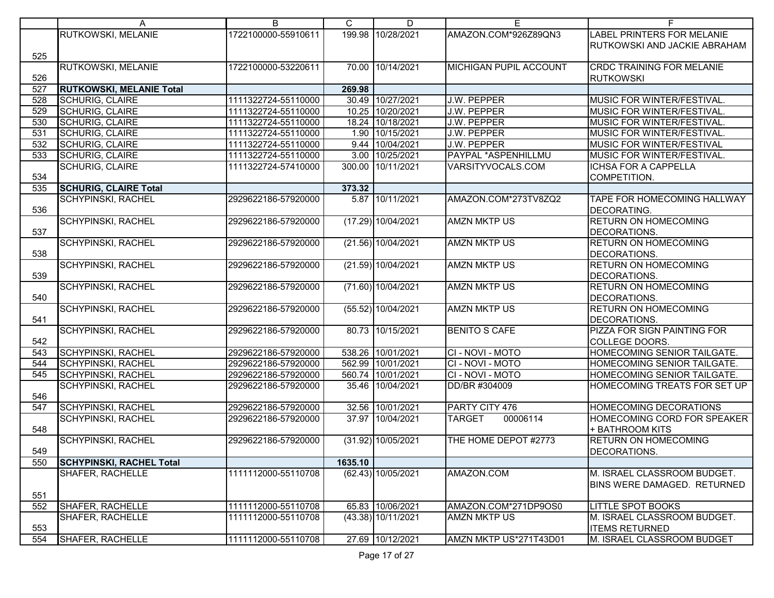|     | A                               | B                   | C       | D                    | E                         | F.                               |
|-----|---------------------------------|---------------------|---------|----------------------|---------------------------|----------------------------------|
|     | RUTKOWSKI, MELANIE              | 1722100000-55910611 |         | 199.98 10/28/2021    | AMAZON.COM*926Z89QN3      | LABEL PRINTERS FOR MELANIE       |
|     |                                 |                     |         |                      |                           | RUTKOWSKI AND JACKIE ABRAHAM     |
| 525 |                                 |                     |         |                      |                           |                                  |
|     | RUTKOWSKI, MELANIE              | 1722100000-53220611 |         | 70.00 10/14/2021     | MICHIGAN PUPIL ACCOUNT    | <b>CRDC TRAINING FOR MELANIE</b> |
| 526 |                                 |                     |         |                      |                           | <b>RUTKOWSKI</b>                 |
| 527 | <b>RUTKOWSKI, MELANIE Total</b> |                     | 269.98  |                      |                           |                                  |
| 528 | SCHURIG, CLAIRE                 | 1111322724-55110000 |         | 30.49 10/27/2021     | J.W. PEPPER               | MUSIC FOR WINTER/FESTIVAL.       |
| 529 | <b>SCHURIG, CLAIRE</b>          | 1111322724-55110000 |         | 10.25 10/20/2021     | J.W. PEPPER               | MUSIC FOR WINTER/FESTIVAL.       |
| 530 | <b>SCHURIG, CLAIRE</b>          | 1111322724-55110000 |         | 18.24 10/18/2021     | J.W. PEPPER               | MUSIC FOR WINTER/FESTIVAL.       |
| 531 | <b>SCHURIG, CLAIRE</b>          | 1111322724-55110000 |         | 1.90 10/15/2021      | J.W. PEPPER               | MUSIC FOR WINTER/FESTIVAL.       |
| 532 | <b>SCHURIG, CLAIRE</b>          | 1111322724-55110000 |         | 9.44 10/04/2021      | J.W. PEPPER               | MUSIC FOR WINTER/FESTIVAL        |
| 533 | <b>SCHURIG, CLAIRE</b>          | 1111322724-55110000 |         | 3.00 10/25/2021      | PAYPAL *ASPENHILLMU       | MUSIC FOR WINTER/FESTIVAL.       |
|     | <b>SCHURIG, CLAIRE</b>          | 1111322724-57410000 |         | 300.00 10/11/2021    | VARSITYVOCALS.COM         | <b>ICHSA FOR A CAPPELLA</b>      |
| 534 |                                 |                     |         |                      |                           | COMPETITION.                     |
| 535 | <b>SCHURIG, CLAIRE Total</b>    |                     | 373.32  |                      |                           |                                  |
|     | <b>SCHYPINSKI, RACHEL</b>       | 2929622186-57920000 |         | 5.87 10/11/2021      | AMAZON.COM*273TV8ZQ2      | TAPE FOR HOMECOMING HALLWAY      |
| 536 |                                 |                     |         |                      |                           | <b>DECORATING.</b>               |
|     | <b>SCHYPINSKI, RACHEL</b>       | 2929622186-57920000 |         | $(17.29)$ 10/04/2021 | <b>AMZN MKTP US</b>       | <b>RETURN ON HOMECOMING</b>      |
| 537 |                                 |                     |         |                      |                           | DECORATIONS.                     |
|     | <b>SCHYPINSKI, RACHEL</b>       | 2929622186-57920000 |         | (21.56) 10/04/2021   | <b>AMZN MKTP US</b>       | <b>RETURN ON HOMECOMING</b>      |
| 538 |                                 |                     |         |                      |                           | DECORATIONS.                     |
|     | <b>SCHYPINSKI, RACHEL</b>       | 2929622186-57920000 |         | (21.59) 10/04/2021   | <b>AMZN MKTP US</b>       | <b>RETURN ON HOMECOMING</b>      |
| 539 |                                 |                     |         |                      |                           | DECORATIONS.                     |
|     | <b>SCHYPINSKI, RACHEL</b>       | 2929622186-57920000 |         | (71.60) 10/04/2021   | <b>AMZN MKTP US</b>       | <b>RETURN ON HOMECOMING</b>      |
| 540 |                                 |                     |         |                      |                           | DECORATIONS.                     |
|     | <b>SCHYPINSKI, RACHEL</b>       | 2929622186-57920000 |         | (55.52) 10/04/2021   | <b>AMZN MKTP US</b>       | <b>RETURN ON HOMECOMING</b>      |
| 541 |                                 |                     |         |                      |                           | DECORATIONS.                     |
|     | <b>SCHYPINSKI, RACHEL</b>       | 2929622186-57920000 |         | 80.73 10/15/2021     | <b>BENITO S CAFE</b>      | PIZZA FOR SIGN PAINTING FOR      |
| 542 |                                 |                     |         |                      |                           | <b>COLLEGE DOORS.</b>            |
| 543 | <b>SCHYPINSKI, RACHEL</b>       | 2929622186-57920000 |         | 538.26 10/01/2021    | CI - NOVI - MOTO          | HOMECOMING SENIOR TAILGATE.      |
| 544 | <b>SCHYPINSKI, RACHEL</b>       | 2929622186-57920000 |         | 562.99 10/01/2021    | CI-NOVI-MOTO              | HOMECOMING SENIOR TAILGATE.      |
| 545 | <b>SCHYPINSKI, RACHEL</b>       | 2929622186-57920000 |         | 560.74 10/01/2021    | CI-NOVI-MOTO              | HOMECOMING SENIOR TAILGATE.      |
|     | <b>SCHYPINSKI, RACHEL</b>       | 2929622186-57920000 |         | 35.46 10/04/2021     | DD/BR #304009             | HOMECOMING TREATS FOR SET UP     |
| 546 |                                 |                     |         |                      |                           |                                  |
| 547 | <b>SCHYPINSKI, RACHEL</b>       | 2929622186-57920000 |         | 32.56 10/01/2021     | PARTY CITY 476            | HOMECOMING DECORATIONS           |
|     | <b>SCHYPINSKI, RACHEL</b>       | 2929622186-57920000 |         | 37.97 10/04/2021     | <b>TARGET</b><br>00006114 | HOMECOMING CORD FOR SPEAKER      |
| 548 |                                 |                     |         |                      |                           | + BATHROOM KITS                  |
|     | <b>SCHYPINSKI, RACHEL</b>       | 2929622186-57920000 |         | (31.92) 10/05/2021   | THE HOME DEPOT #2773      | RETURN ON HOMECOMING             |
| 549 |                                 |                     |         |                      |                           | DECORATIONS.                     |
| 550 | <b>SCHYPINSKI, RACHEL Total</b> |                     | 1635.10 |                      |                           |                                  |
|     | SHAFER, RACHELLE                | 1111112000-55110708 |         | (62.43) 10/05/2021   | AMAZON.COM                | M. ISRAEL CLASSROOM BUDGET.      |
|     |                                 |                     |         |                      |                           | BINS WERE DAMAGED. RETURNED      |
| 551 |                                 |                     |         |                      |                           |                                  |
| 552 | SHAFER, RACHELLE                | 1111112000-55110708 |         | 65.83 10/06/2021     | AMAZON.COM*271DP9OS0      | <b>LITTLE SPOT BOOKS</b>         |
|     | <b>SHAFER, RACHELLE</b>         | 1111112000-55110708 |         | (43.38) 10/11/2021   | <b>AMZN MKTP US</b>       | M. ISRAEL CLASSROOM BUDGET.      |
| 553 |                                 |                     |         |                      |                           | <b>ITEMS RETURNED</b>            |
| 554 | SHAFER, RACHELLE                | 1111112000-55110708 |         | 27.69 10/12/2021     | AMZN MKTP US*271T43D01    | M. ISRAEL CLASSROOM BUDGET       |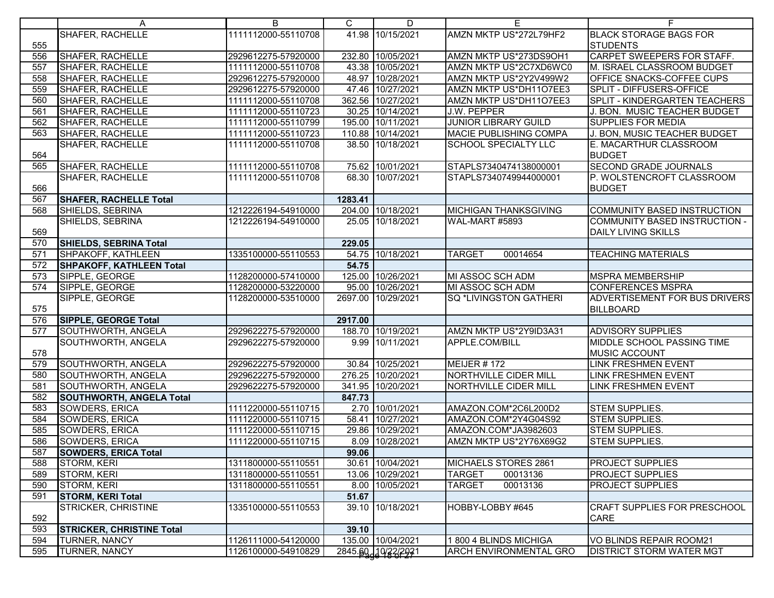|                  | A                                | B                   | C       | D                   | E.                            | F.                                   |
|------------------|----------------------------------|---------------------|---------|---------------------|-------------------------------|--------------------------------------|
|                  | <b>SHAFER, RACHELLE</b>          | 1111112000-55110708 |         | 41.98 10/15/2021    | AMZN MKTP US*272L79HF2        | <b>BLACK STORAGE BAGS FOR</b>        |
| 555              |                                  |                     |         |                     |                               | <b>STUDENTS</b>                      |
| 556              | <b>SHAFER, RACHELLE</b>          | 2929612275-57920000 |         | 232.80 10/05/2021   | AMZN MKTP US*273DS9OH1        | CARPET SWEEPERS FOR STAFF.           |
| 557              | SHAFER, RACHELLE                 | 1111112000-55110708 |         | 43.38 10/05/2021    | AMZN MKTP US*2C7XD6WC0        | M. ISRAEL CLASSROOM BUDGET           |
| 558              | <b>SHAFER, RACHELLE</b>          | 2929612275-57920000 |         | 48.97 10/28/2021    | AMZN MKTP US*2Y2V499W2        | OFFICE SNACKS-COFFEE CUPS            |
| 559              | SHAFER, RACHELLE                 | 2929612275-57920000 |         | 47.46 10/27/2021    | AMZN MKTP US*DH11O7EE3        | SPLIT - DIFFUSERS-OFFICE             |
| 560              | SHAFER, RACHELLE                 | 1111112000-55110708 |         | 362.56 10/27/2021   | AMZN MKTP US*DH11O7EE3        | <b>SPLIT - KINDERGARTEN TEACHERS</b> |
| 561              | SHAFER, RACHELLE                 | 1111112000-55110723 |         | 30.25 10/14/2021    | J.W. PEPPER                   | J. BON. MUSIC TEACHER BUDGET         |
| 562              | SHAFER, RACHELLE                 | 1111112000-55110799 |         | 195.00 10/11/2021   | <b>JUNIOR LIBRARY GUILD</b>   | <b>SUPPLIES FOR MEDIA</b>            |
| 563              | SHAFER, RACHELLE                 | 1111112000-55110723 |         | 110.88 10/14/2021   | <b>MACIE PUBLISHING COMPA</b> | J. BON, MUSIC TEACHER BUDGET         |
|                  | SHAFER, RACHELLE                 | 1111112000-55110708 |         | 38.50 10/18/2021    | <b>SCHOOL SPECIALTY LLC</b>   | E. MACARTHUR CLASSROOM               |
| 564              |                                  |                     |         |                     |                               | <b>BUDGET</b>                        |
| 565              | SHAFER, RACHELLE                 | 1111112000-55110708 |         | 75.62 10/01/2021    | STAPLS7340474138000001        | <b>SECOND GRADE JOURNALS</b>         |
|                  | SHAFER, RACHELLE                 | 1111112000-55110708 |         | 68.30 10/07/2021    | STAPLS7340749944000001        | P. WOLSTENCROFT CLASSROOM            |
| 566              |                                  |                     |         |                     |                               | <b>BUDGET</b>                        |
| 567              | <b>SHAFER, RACHELLE Total</b>    |                     | 1283.41 |                     |                               |                                      |
| 568              | SHIELDS, SEBRINA                 | 1212226194-54910000 |         | 204.00 10/18/2021   | <b>MICHIGAN THANKSGIVING</b>  | <b>COMMUNITY BASED INSTRUCTION</b>   |
|                  | SHIELDS, SEBRINA                 | 1212226194-54910000 |         | 25.05 10/18/2021    | WAL-MART #5893                | COMMUNITY BASED INSTRUCTION -        |
| 569              |                                  |                     |         |                     |                               | <b>DAILY LIVING SKILLS</b>           |
| 570              | SHIELDS, SEBRINA Total           |                     | 229.05  |                     |                               |                                      |
| $\overline{571}$ | SHPAKOFF, KATHLEEN               | 1335100000-55110553 |         | 54.75 10/18/2021    | <b>TARGET</b><br>00014654     | <b>TEACHING MATERIALS</b>            |
| 572              | SHPAKOFF, KATHLEEN Total         |                     | 54.75   |                     |                               |                                      |
| 573              | SIPPLE, GEORGE                   | 1128200000-57410000 |         | 125.00 10/26/2021   | MI ASSOC SCH ADM              | <b>MSPRA MEMBERSHIP</b>              |
| 574              | SIPPLE, GEORGE                   | 1128200000-53220000 |         | 95.00 10/26/2021    | MI ASSOC SCH ADM              | <b>CONFERENCES MSPRA</b>             |
|                  | SIPPLE, GEORGE                   | 1128200000-53510000 |         | 2697.00 10/29/2021  | SQ *LIVINGSTON GATHERI        | <b>ADVERTISEMENT FOR BUS DRIVERS</b> |
| 575              |                                  |                     |         |                     |                               | <b>BILLBOARD</b>                     |
| 576              | SIPPLE, GEORGE Total             |                     | 2917.00 |                     |                               |                                      |
| 577              | SOUTHWORTH, ANGELA               | 2929622275-57920000 |         | 188.70 10/19/2021   | AMZN MKTP US*2Y9ID3A31        | <b>ADVISORY SUPPLIES</b>             |
|                  | SOUTHWORTH, ANGELA               | 2929622275-57920000 |         | 9.99 10/11/2021     | APPLE.COM/BILL                | MIDDLE SCHOOL PASSING TIME           |
| 578              |                                  |                     |         |                     |                               | MUSIC ACCOUNT                        |
| 579              | SOUTHWORTH, ANGELA               | 2929622275-57920000 |         | 30.84 10/25/2021    | <b>MEIJER #172</b>            | <b>LINK FRESHMEN EVENT</b>           |
| 580              | SOUTHWORTH, ANGELA               | 2929622275-57920000 |         | 276.25 10/20/2021   | <b>NORTHVILLE CIDER MILL</b>  | LINK FRESHMEN EVENT                  |
| 581              | SOUTHWORTH, ANGELA               | 2929622275-57920000 |         | 341.95 10/20/2021   | NORTHVILLE CIDER MILL         | <b>LINK FRESHMEN EVENT</b>           |
| 582              | <b>SOUTHWORTH, ANGELA Total</b>  |                     | 847.73  |                     |                               |                                      |
| 583              | SOWDERS, ERICA                   | 1111220000-55110715 |         | 2.70 10/01/2021     | AMAZON.COM*2C6L200D2          | <b>STEM SUPPLIES.</b>                |
| 584              | SOWDERS, ERICA                   | 1111220000-55110715 |         | 58.41 10/27/2021    | AMAZON.COM*2Y4G04S92          | <b>STEM SUPPLIES.</b>                |
| 585              | SOWDERS, ERICA                   | 1111220000-55110715 |         | 29.86 10/29/2021    | AMAZON.COM*JA3982603          | STEM SUPPLIES.                       |
| 586              | SOWDERS, ERICA                   | 1111220000-55110715 |         | 8.09 10/28/2021     | AMZN MKTP US*2Y76X69G2        | <b>STEM SUPPLIES.</b>                |
| 587              | <b>SOWDERS, ERICA Total</b>      |                     | 99.06   |                     |                               |                                      |
| 588              | <b>STORM, KERI</b>               | 1311800000-55110551 |         | 30.61 10/04/2021    | MICHAELS STORES 2861          | <b>PROJECT SUPPLIES</b>              |
| 589              | STORM, KERI                      | 1311800000-55110551 |         | 13.06 10/29/2021    | <b>TARGET</b><br>00013136     | <b>PROJECT SUPPLIES</b>              |
| 590              | <b>STORM, KERI</b>               | 1311800000-55110551 |         | 8.00 10/05/2021     | 00013136<br><b>TARGET</b>     | <b>PROJECT SUPPLIES</b>              |
| 591              | <b>STORM, KERI Total</b>         |                     | 51.67   |                     |                               |                                      |
|                  | <b>STRICKER, CHRISTINE</b>       | 1335100000-55110553 |         | 39.10 10/18/2021    | HOBBY-LOBBY #645              | <b>CRAFT SUPPLIES FOR PRESCHOOL</b>  |
| 592              |                                  |                     |         |                     |                               | CARE                                 |
| 593              | <b>STRICKER, CHRISTINE Total</b> |                     | 39.10   |                     |                               |                                      |
| 594              | <b>TURNER, NANCY</b>             | 1126111000-54120000 |         | 135.00 10/04/2021   | 1800 4 BLINDS MICHIGA         | VO BLINDS REPAIR ROOM21              |
| 595              | <b>TURNER, NANCY</b>             | 1126100000-54910829 |         | 2845.60, 10/22/2021 | <b>ARCH ENVIRONMENTAL GRO</b> | <b>DISTRICT STORM WATER MGT</b>      |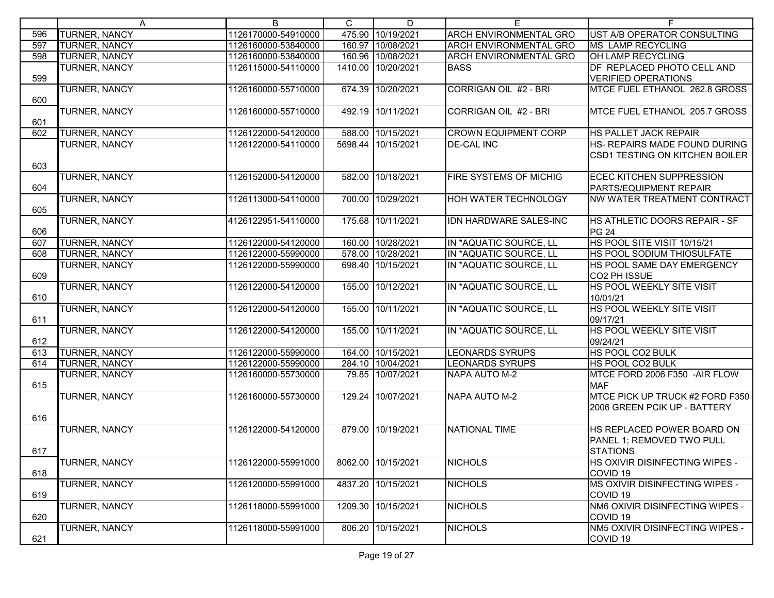|     | $\mathsf{A}$         | $\overline{B}$      | $\mathsf{C}$ | D                  | E.                            | F.                                     |
|-----|----------------------|---------------------|--------------|--------------------|-------------------------------|----------------------------------------|
| 596 | <b>TURNER, NANCY</b> | 1126170000-54910000 |              | 475.90 10/19/2021  | <b>ARCH ENVIRONMENTAL GRO</b> | UST A/B OPERATOR CONSULTING            |
| 597 | <b>TURNER, NANCY</b> | 1126160000-53840000 |              | 160.97 10/08/2021  | <b>ARCH ENVIRONMENTAL GRO</b> | <b>MS LAMP RECYCLING</b>               |
| 598 | <b>TURNER, NANCY</b> | 1126160000-53840000 |              | 160.96 10/08/2021  | <b>ARCH ENVIRONMENTAL GRO</b> | OH LAMP RECYCLING                      |
|     | <b>TURNER, NANCY</b> | 1126115000-54110000 |              | 1410.00 10/20/2021 | <b>BASS</b>                   | DF REPLACED PHOTO CELL AND             |
| 599 |                      |                     |              |                    |                               | <b>VERIFIED OPERATIONS</b>             |
|     | <b>TURNER, NANCY</b> | 1126160000-55710000 |              | 674.39 10/20/2021  | CORRIGAN OIL #2 - BRI         | MTCE FUEL ETHANOL 262.8 GROSS          |
| 600 |                      |                     |              |                    |                               |                                        |
|     | <b>TURNER, NANCY</b> | 1126160000-55710000 |              | 492.19 10/11/2021  | CORRIGAN OIL #2 - BRI         | MTCE FUEL ETHANOL 205.7 GROSS          |
| 601 |                      |                     |              |                    |                               |                                        |
| 602 | <b>TURNER, NANCY</b> | 1126122000-54120000 |              | 588.00 10/15/2021  | <b>CROWN EQUIPMENT CORP</b>   | HS PALLET JACK REPAIR                  |
|     | <b>TURNER, NANCY</b> | 1126122000-54110000 |              | 5698.44 10/15/2021 | <b>DE-CAL INC</b>             | HS- REPAIRS MADE FOUND DURING          |
|     |                      |                     |              |                    |                               | <b>CSD1 TESTING ON KITCHEN BOILER</b>  |
| 603 |                      |                     |              |                    |                               |                                        |
|     | <b>TURNER, NANCY</b> | 1126152000-54120000 |              | 582.00 10/18/2021  | <b>FIRE SYSTEMS OF MICHIG</b> | ECEC KITCHEN SUPPRESSION               |
| 604 |                      |                     |              |                    |                               | PARTS/EQUIPMENT REPAIR                 |
|     | <b>TURNER, NANCY</b> | 1126113000-54110000 |              | 700.00 10/29/2021  | <b>HOH WATER TECHNOLOGY</b>   | NW WATER TREATMENT CONTRACT            |
| 605 |                      |                     |              |                    |                               |                                        |
|     | <b>TURNER, NANCY</b> | 4126122951-54110000 |              | 175.68 10/11/2021  | <b>IDN HARDWARE SALES-INC</b> | HS ATHLETIC DOORS REPAIR - SF          |
| 606 |                      |                     |              |                    |                               | <b>PG 24</b>                           |
| 607 | TURNER, NANCY        | 1126122000-54120000 |              | 160.00 10/28/2021  | IN *AQUATIC SOURCE, LL        | HS POOL SITE VISIT 10/15/21            |
| 608 | <b>TURNER, NANCY</b> | 1126122000-55990000 |              | 578.00 10/28/2021  | IN *AQUATIC SOURCE, LL        | HS POOL SODIUM THIOSULFATE             |
|     | TURNER, NANCY        | 1126122000-55990000 |              | 698.40 10/15/2021  | IN *AQUATIC SOURCE, LL        | HS POOL SAME DAY EMERGENCY             |
| 609 |                      |                     |              |                    |                               | CO2 PH ISSUE                           |
|     | <b>TURNER, NANCY</b> | 1126122000-54120000 |              | 155.00 10/12/2021  | IN *AQUATIC SOURCE, LL        | HS POOL WEEKLY SITE VISIT              |
| 610 |                      |                     |              |                    |                               | 10/01/21                               |
|     | <b>TURNER, NANCY</b> | 1126122000-54120000 |              | 155.00 10/11/2021  | IN *AQUATIC SOURCE, LL        | HS POOL WEEKLY SITE VISIT              |
| 611 |                      |                     |              |                    |                               | 09/17/21                               |
|     | <b>TURNER, NANCY</b> | 1126122000-54120000 |              | 155.00 10/11/2021  | IN *AQUATIC SOURCE, LL        | HS POOL WEEKLY SITE VISIT              |
| 612 |                      |                     |              |                    |                               | 09/24/21                               |
| 613 | TURNER, NANCY        | 1126122000-55990000 |              | 164.00 10/15/2021  | <b>LEONARDS SYRUPS</b>        | <b>HS POOL CO2 BULK</b>                |
| 614 | <b>TURNER, NANCY</b> | 1126122000-55990000 |              | 284.10 10/04/2021  | <b>LEONARDS SYRUPS</b>        | HS POOL CO2 BULK                       |
|     | TURNER, NANCY        | 1126160000-55730000 |              | 79.85 10/07/2021   | NAPA AUTO M-2                 | MTCE FORD 2006 F350 -AIR FLOW          |
| 615 |                      |                     |              |                    |                               | <b>MAF</b>                             |
|     | <b>TURNER, NANCY</b> | 1126160000-55730000 |              | 129.24 10/07/2021  | NAPA AUTO M-2                 | MTCE PICK UP TRUCK #2 FORD F350        |
|     |                      |                     |              |                    |                               | 2006 GREEN PCIK UP - BATTERY           |
| 616 |                      |                     |              |                    |                               |                                        |
|     | <b>TURNER, NANCY</b> | 1126122000-54120000 |              | 879.00 10/19/2021  | <b>NATIONAL TIME</b>          | HS REPLACED POWER BOARD ON             |
|     |                      |                     |              |                    |                               | PANEL 1; REMOVED TWO PULL              |
| 617 |                      |                     |              |                    |                               | <b>STATIONS</b>                        |
|     | TURNER, NANCY        | 1126122000-55991000 |              | 8062.00 10/15/2021 | <b>NICHOLS</b>                | HS OXIVIR DISINFECTING WIPES -         |
| 618 |                      |                     |              |                    |                               | COVID <sub>19</sub>                    |
|     | <b>TURNER, NANCY</b> | 1126120000-55991000 |              | 4837.20 10/15/2021 | <b>NICHOLS</b>                | MS OXIVIR DISINFECTING WIPES -         |
| 619 |                      |                     |              |                    |                               | COVID <sub>19</sub>                    |
|     | <b>TURNER, NANCY</b> | 1126118000-55991000 |              | 1209.30 10/15/2021 | <b>NICHOLS</b>                | NM6 OXIVIR DISINFECTING WIPES -        |
| 620 |                      |                     |              |                    |                               | COVID <sub>19</sub>                    |
|     | <b>TURNER, NANCY</b> | 1126118000-55991000 |              | 806.20 10/15/2021  | <b>NICHOLS</b>                | <b>NM5 OXIVIR DISINFECTING WIPES -</b> |
| 621 |                      |                     |              |                    |                               | COVID <sub>19</sub>                    |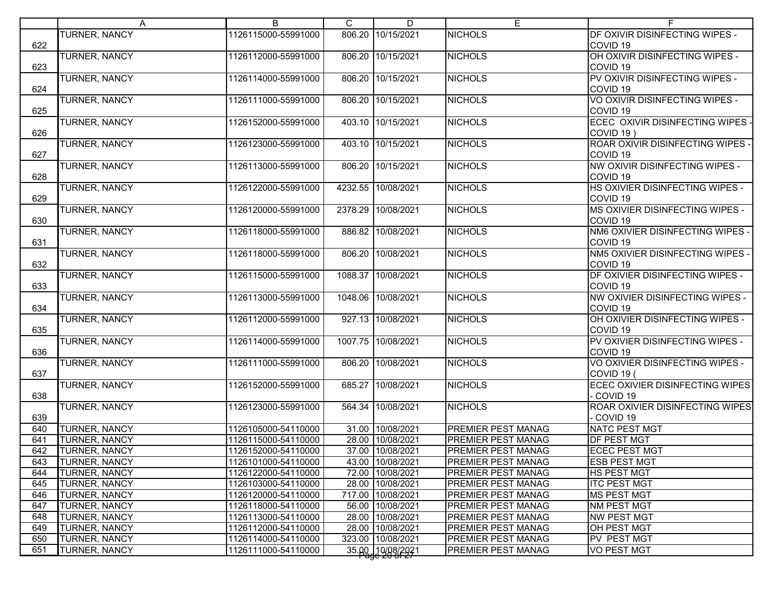|     | A                    | B                   | C      | D                  | E.                        | F                                |
|-----|----------------------|---------------------|--------|--------------------|---------------------------|----------------------------------|
|     | <b>TURNER, NANCY</b> | 1126115000-55991000 | 806.20 | 10/15/2021         | <b>NICHOLS</b>            | DF OXIVIR DISINFECTING WIPES -   |
| 622 |                      |                     |        |                    |                           | COVID <sub>19</sub>              |
|     | <b>TURNER, NANCY</b> | 1126112000-55991000 |        | 806.20 10/15/2021  | <b>NICHOLS</b>            | OH OXIVIR DISINFECTING WIPES -   |
| 623 |                      |                     |        |                    |                           | COVID <sub>19</sub>              |
|     | <b>TURNER, NANCY</b> | 1126114000-55991000 |        | 806.20 10/15/2021  | <b>NICHOLS</b>            | PV OXIVIR DISINFECTING WIPES -   |
| 624 |                      |                     |        |                    |                           | COVID <sub>19</sub>              |
|     | <b>TURNER, NANCY</b> | 1126111000-55991000 |        | 806.20 10/15/2021  | <b>NICHOLS</b>            | VO OXIVIR DISINFECTING WIPES -   |
| 625 |                      |                     |        |                    |                           | COVID <sub>19</sub>              |
|     | <b>TURNER, NANCY</b> | 1126152000-55991000 |        | 403.10 10/15/2021  | <b>NICHOLS</b>            | ECEC OXIVIR DISINFECTING WIPES - |
| 626 |                      |                     |        |                    |                           | COVID 19)                        |
|     | <b>TURNER, NANCY</b> | 1126123000-55991000 |        | 403.10 10/15/2021  | <b>NICHOLS</b>            | ROAR OXIVIR DISINFECTING WIPES - |
| 627 |                      |                     |        |                    |                           | COVID <sub>19</sub>              |
|     | <b>TURNER, NANCY</b> | 1126113000-55991000 |        | 806.20 10/15/2021  | <b>NICHOLS</b>            | NW OXIVIR DISINFECTING WIPES -   |
| 628 |                      |                     |        |                    |                           | COVID <sub>19</sub>              |
|     | <b>TURNER, NANCY</b> | 1126122000-55991000 |        | 4232.55 10/08/2021 | <b>NICHOLS</b>            | HS OXIVIER DISINFECTING WIPES -  |
| 629 |                      |                     |        |                    |                           | COVID <sub>19</sub>              |
|     |                      |                     |        |                    |                           |                                  |
|     | <b>TURNER, NANCY</b> | 1126120000-55991000 |        | 2378.29 10/08/2021 | <b>NICHOLS</b>            | MS OXIVIER DISINFECTING WIPES -  |
| 630 |                      |                     |        |                    |                           | COVID <sub>19</sub>              |
|     | <b>TURNER, NANCY</b> | 1126118000-55991000 |        | 886.82 10/08/2021  | <b>NICHOLS</b>            | NM6 OXIVIER DISINFECTING WIPES - |
| 631 |                      |                     |        |                    |                           | COVID <sub>19</sub>              |
|     | <b>TURNER, NANCY</b> | 1126118000-55991000 |        | 806.20 10/08/2021  | <b>NICHOLS</b>            | NM5 OXIVIER DISINFECTING WIPES - |
| 632 |                      |                     |        |                    |                           | COVID <sub>19</sub>              |
|     | <b>TURNER, NANCY</b> | 1126115000-55991000 |        | 1088.37 10/08/2021 | <b>NICHOLS</b>            | DF OXIVIER DISINFECTING WIPES -  |
| 633 |                      |                     |        |                    |                           | COVID <sub>19</sub>              |
|     | <b>TURNER, NANCY</b> | 1126113000-55991000 |        | 1048.06 10/08/2021 | <b>NICHOLS</b>            | NW OXIVIER DISINFECTING WIPES -  |
| 634 |                      |                     |        |                    |                           | COVID <sub>19</sub>              |
|     | <b>TURNER, NANCY</b> | 1126112000-55991000 |        | 927.13 10/08/2021  | <b>NICHOLS</b>            | OH OXIVIER DISINFECTING WIPES -  |
| 635 |                      |                     |        |                    |                           | COVID <sub>19</sub>              |
|     | <b>TURNER, NANCY</b> | 1126114000-55991000 |        | 1007.75 10/08/2021 | <b>NICHOLS</b>            | PV OXIVIER DISINFECTING WIPES -  |
| 636 |                      |                     |        |                    |                           | COVID <sub>19</sub>              |
|     | <b>TURNER, NANCY</b> | 1126111000-55991000 |        | 806.20 10/08/2021  | <b>NICHOLS</b>            | VO OXIVIER DISINFECTING WIPES -  |
| 637 |                      |                     |        |                    |                           | COVID 19 (                       |
|     | <b>TURNER, NANCY</b> | 1126152000-55991000 |        | 685.27 10/08/2021  | <b>NICHOLS</b>            | ECEC OXIVIER DISINFECTING WIPES  |
| 638 |                      |                     |        |                    |                           | - COVID 19                       |
|     | <b>TURNER, NANCY</b> | 1126123000-55991000 |        | 564.34 10/08/2021  | <b>NICHOLS</b>            | ROAR OXIVIER DISINFECTING WIPES  |
| 639 |                      |                     |        |                    |                           | - COVID 19                       |
| 640 | <b>TURNER, NANCY</b> | 1126105000-54110000 |        | 31.00 10/08/2021   | PREMIER PEST MANAG        | <b>NATC PEST MGT</b>             |
| 641 | <b>TURNER, NANCY</b> | 1126115000-54110000 |        | 28.00 10/08/2021   | PREMIER PEST MANAG        | <b>DF PEST MGT</b>               |
| 642 | TURNER, NANCY        | 1126152000-54110000 |        | 37.00 10/08/2021   | <b>PREMIER PEST MANAG</b> | <b>ECEC PEST MGT</b>             |
| 643 | <b>TURNER, NANCY</b> | 1126101000-54110000 |        | 43.00 10/08/2021   | <b>PREMIER PEST MANAG</b> | <b>ESB PEST MGT</b>              |
| 644 | <b>TURNER, NANCY</b> | 1126122000-54110000 |        | 72.00 10/08/2021   | PREMIER PEST MANAG        | <b>HS PEST MGT</b>               |
| 645 | <b>TURNER, NANCY</b> | 1126103000-54110000 |        | 28.00 10/08/2021   | PREMIER PEST MANAG        | <b>ITC PEST MGT</b>              |
| 646 | <b>TURNER, NANCY</b> | 1126120000-54110000 |        | 717.00 10/08/2021  | PREMIER PEST MANAG        | <b>MS PEST MGT</b>               |
| 647 | TURNER, NANCY        | 1126118000-54110000 |        | 56.00 10/08/2021   | PREMIER PEST MANAG        | NM PEST MGT                      |
| 648 | TURNER, NANCY        | 1126113000-54110000 |        | 28.00 10/08/2021   | PREMIER PEST MANAG        | NW PEST MGT                      |
| 649 | <b>TURNER, NANCY</b> | 1126112000-54110000 |        | 28.00 10/08/2021   | PREMIER PEST MANAG        | OH PEST MGT                      |
| 650 | <b>TURNER, NANCY</b> | 1126114000-54110000 |        | 323.00 10/08/2021  | PREMIER PEST MANAG        | <b>PV PEST MGT</b>               |
|     |                      |                     |        |                    | PREMIER PEST MANAG        |                                  |
| 651 | <b>TURNER, NANCY</b> | 1126111000-54110000 |        | 35.00 10/08/2021   |                           | <b>VO PEST MGT</b>               |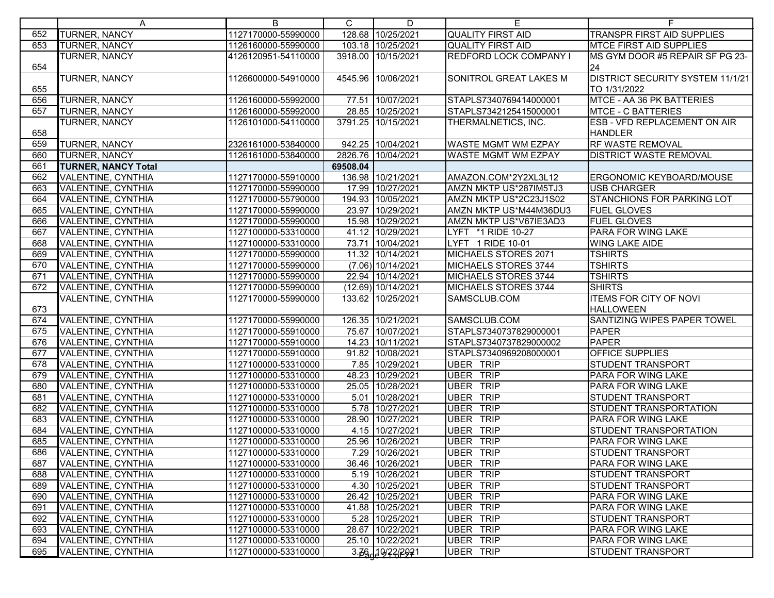| 128.68 10/25/2021<br><b>TURNER, NANCY</b><br>1127170000-55990000<br><b>QUALITY FIRST AID</b><br><b>TRANSPR FIRST AID SUPPLIES</b><br>652<br>653<br><b>TURNER, NANCY</b><br>1126160000-55990000<br>103.18 10/25/2021<br><b>QUALITY FIRST AID</b><br><b>MTCE FIRST AID SUPPLIES</b><br>TURNER, NANCY<br>4126120951-54110000<br>3918.00<br>10/15/2021<br><b>REDFORD LOCK COMPANY I</b><br>MS GYM DOOR #5 REPAIR SF PG 23-<br>654<br>24<br>TURNER, NANCY<br>4545.96 10/06/2021<br>DISTRICT SECURITY SYSTEM 11/1/21<br>1126600000-54910000<br>SONITROL GREAT LAKES M<br>655<br>TO 1/31/2022<br><b>TURNER, NANCY</b><br>656<br>77.51 10/07/2021<br>STAPLS7340769414000001<br>1126160000-55992000<br>MTCE - AA 36 PK BATTERIES<br><b>TURNER, NANCY</b><br>657<br>28.85 10/25/2021<br>STAPLS7342125415000001<br><b>MTCE - C BATTERIES</b><br>1126160000-55992000<br><b>TURNER, NANCY</b><br>3791.25 10/15/2021<br><b>ESB - VFD REPLACEMENT ON AIR</b><br>1126101000-54110000<br>THERMALNETICS, INC.<br>658<br><b>HANDLER</b><br>TURNER, NANCY<br>942.25 10/04/2021<br><b>RF WASTE REMOVAL</b><br>659<br>2326161000-53840000<br><b>WASTE MGMT WM EZPAY</b><br>660<br>TURNER, NANCY<br><b>DISTRICT WASTE REMOVAL</b><br>1126161000-53840000<br>2826.76 10/04/2021<br>WASTE MGMT WM EZPAY<br>661<br><b>TURNER, NANCY Total</b><br>69508.04<br>662<br>1127170000-55910000<br>136.98 10/21/2021<br>AMAZON.COM*2Y2XL3L12<br>VALENTINE, CYNTHIA<br>ERGONOMIC KEYBOARD/MOUSE<br>17.99 10/27/2021<br><b>USB CHARGER</b><br>663<br>VALENTINE, CYNTHIA<br>1127170000-55990000<br>AMZN MKTP US*287IM5TJ3<br>664<br>VALENTINE, CYNTHIA<br>194.93 10/05/2021<br>AMZN MKTP US*2C23J1S02<br><b>STANCHIONS FOR PARKING LOT</b><br>1127170000-55790000<br>VALENTINE, CYNTHIA<br>23.97 10/29/2021<br>AMZN MKTP US*M44M36DU3<br>665<br>1127170000-55990000<br><b>FUEL GLOVES</b><br>VALENTINE, CYNTHIA<br>15.98 10/29/2021<br>AMZN MKTP US*V67IE3AD3<br><b>FUEL GLOVES</b><br>666<br>1127170000-55990000<br>41.12 10/29/2021<br>667<br>VALENTINE, CYNTHIA<br>1127100000-53310000<br>LYFT *1 RIDE 10-27<br><b>PARA FOR WING LAKE</b><br>668<br>73.71 10/04/2021<br>VALENTINE, CYNTHIA<br>1127100000-53310000<br>LYFT 1 RIDE 10-01<br><b>WING LAKE AIDE</b><br>669<br>VALENTINE, CYNTHIA<br>11.32 10/14/2021<br>MICHAELS STORES 2071<br><b>TSHIRTS</b><br>1127170000-55990000<br>670<br>$(7.06)$ 10/14/2021<br><b>TSHIRTS</b><br>VALENTINE, CYNTHIA<br>1127170000-55990000<br>MICHAELS STORES 3744<br>22.94 10/14/2021<br>VALENTINE, CYNTHIA<br>1127170000-55990000<br>MICHAELS STORES 3744<br><b>TSHIRTS</b><br>671<br>(12.69) 10/14/2021<br>672<br>VALENTINE, CYNTHIA<br><b>MICHAELS STORES 3744</b><br><b>SHIRTS</b><br>1127170000-55990000<br><b>ITEMS FOR CITY OF NOVI</b><br><b>VALENTINE, CYNTHIA</b><br>133.62 10/25/2021<br>SAMSCLUB.COM<br>1127170000-55990000<br>673<br><b>HALLOWEEN</b><br>126.35 10/21/2021<br>SANTIZING WIPES PAPER TOWEL<br>674<br>VALENTINE, CYNTHIA<br>1127170000-55990000<br>SAMSCLUB.COM<br>75.67 10/07/2021<br>675<br>VALENTINE, CYNTHIA<br>1127170000-55910000<br>STAPLS7340737829000001<br><b>PAPER</b><br>676<br>VALENTINE, CYNTHIA<br>14.23 10/11/2021<br>STAPLS7340737829000002<br><b>PAPER</b><br>1127170000-55910000<br>677<br>91.82 10/08/2021<br>STAPLS7340969208000001<br>VALENTINE, CYNTHIA<br>1127170000-55910000<br><b>OFFICE SUPPLIES</b><br>678<br>VALENTINE, CYNTHIA<br>1127100000-53310000<br>7.85 10/29/2021<br><b>UBER TRIP</b><br><b>STUDENT TRANSPORT</b><br><b>UBER TRIP</b><br>VALENTINE, CYNTHIA<br>48.23 10/29/2021<br>PARA FOR WING LAKE<br>679<br>1127100000-53310000<br><b>VALENTINE, CYNTHIA</b><br>25.05 10/28/2021<br><b>UBER TRIP</b><br>680<br>1127100000-53310000<br>PARA FOR WING LAKE<br><b>VALENTINE, CYNTHIA</b><br>5.01 10/28/2021<br><b>UBER TRIP</b><br>681<br>1127100000-53310000<br><b>STUDENT TRANSPORT</b><br><b>UBER TRIP</b><br>682<br>VALENTINE, CYNTHIA<br>5.78 10/27/2021<br>STUDENT TRANSPORTATION<br>1127100000-53310000<br><b>UBER TRIP</b><br>28.90 10/27/2021<br>683<br>VALENTINE, CYNTHIA<br>1127100000-53310000<br>PARA FOR WING LAKE<br>684<br><b>UBER TRIP</b><br>4.15 10/27/2021<br>VALENTINE, CYNTHIA<br>1127100000-53310000<br><b>STUDENT TRANSPORTATION</b><br>685<br><b>UBER TRIP</b><br>VALENTINE, CYNTHIA<br>1127100000-53310000<br>25.96 10/26/2021<br>PARA FOR WING LAKE<br><b>UBER TRIP</b><br>686<br>VALENTINE, CYNTHIA<br>1127100000-53310000<br>7.29 10/26/2021<br><b>STUDENT TRANSPORT</b><br>UBER TRIP<br>VALENTINE, CYNTHIA<br>1127100000-53310000<br>36.46 10/26/2021<br>PARA FOR WING LAKE<br>687<br>VALENTINE, CYNTHIA<br>5.19 10/26/2021<br>UBER TRIP<br><b>STUDENT TRANSPORT</b><br>688<br>1127100000-53310000<br>4.30 10/25/2021<br><b>UBER TRIP</b><br>689<br>VALENTINE, CYNTHIA<br>1127100000-53310000<br><b>STUDENT TRANSPORT</b> |     | A                  | B                   | $\mathsf{C}$ | D                | Е                | F.                 |
|-----------------------------------------------------------------------------------------------------------------------------------------------------------------------------------------------------------------------------------------------------------------------------------------------------------------------------------------------------------------------------------------------------------------------------------------------------------------------------------------------------------------------------------------------------------------------------------------------------------------------------------------------------------------------------------------------------------------------------------------------------------------------------------------------------------------------------------------------------------------------------------------------------------------------------------------------------------------------------------------------------------------------------------------------------------------------------------------------------------------------------------------------------------------------------------------------------------------------------------------------------------------------------------------------------------------------------------------------------------------------------------------------------------------------------------------------------------------------------------------------------------------------------------------------------------------------------------------------------------------------------------------------------------------------------------------------------------------------------------------------------------------------------------------------------------------------------------------------------------------------------------------------------------------------------------------------------------------------------------------------------------------------------------------------------------------------------------------------------------------------------------------------------------------------------------------------------------------------------------------------------------------------------------------------------------------------------------------------------------------------------------------------------------------------------------------------------------------------------------------------------------------------------------------------------------------------------------------------------------------------------------------------------------------------------------------------------------------------------------------------------------------------------------------------------------------------------------------------------------------------------------------------------------------------------------------------------------------------------------------------------------------------------------------------------------------------------------------------------------------------------------------------------------------------------------------------------------------------------------------------------------------------------------------------------------------------------------------------------------------------------------------------------------------------------------------------------------------------------------------------------------------------------------------------------------------------------------------------------------------------------------------------------------------------------------------------------------------------------------------------------------------------------------------------------------------------------------------------------------------------------------------------------------------------------------------------------------------------------------------------------------------------------------------------------------------------------------------------------------------------------------------------------------------------------------------------------------------------------------------------------------------------------------------------------------------------------------------------------------------------------------------------------------------------------------------------------------------------------------------------------------------------------------------------------------------------------------------------------------------------------------------------------------------------------------------------------------------------------------------------------------------------------------------------------------------------------|-----|--------------------|---------------------|--------------|------------------|------------------|--------------------|
|                                                                                                                                                                                                                                                                                                                                                                                                                                                                                                                                                                                                                                                                                                                                                                                                                                                                                                                                                                                                                                                                                                                                                                                                                                                                                                                                                                                                                                                                                                                                                                                                                                                                                                                                                                                                                                                                                                                                                                                                                                                                                                                                                                                                                                                                                                                                                                                                                                                                                                                                                                                                                                                                                                                                                                                                                                                                                                                                                                                                                                                                                                                                                                                                                                                                                                                                                                                                                                                                                                                                                                                                                                                                                                                                                                                                                                                                                                                                                                                                                                                                                                                                                                                                                                                                                                                                                                                                                                                                                                                                                                                                                                                                                                                                                                                                                             |     |                    |                     |              |                  |                  |                    |
|                                                                                                                                                                                                                                                                                                                                                                                                                                                                                                                                                                                                                                                                                                                                                                                                                                                                                                                                                                                                                                                                                                                                                                                                                                                                                                                                                                                                                                                                                                                                                                                                                                                                                                                                                                                                                                                                                                                                                                                                                                                                                                                                                                                                                                                                                                                                                                                                                                                                                                                                                                                                                                                                                                                                                                                                                                                                                                                                                                                                                                                                                                                                                                                                                                                                                                                                                                                                                                                                                                                                                                                                                                                                                                                                                                                                                                                                                                                                                                                                                                                                                                                                                                                                                                                                                                                                                                                                                                                                                                                                                                                                                                                                                                                                                                                                                             |     |                    |                     |              |                  |                  |                    |
|                                                                                                                                                                                                                                                                                                                                                                                                                                                                                                                                                                                                                                                                                                                                                                                                                                                                                                                                                                                                                                                                                                                                                                                                                                                                                                                                                                                                                                                                                                                                                                                                                                                                                                                                                                                                                                                                                                                                                                                                                                                                                                                                                                                                                                                                                                                                                                                                                                                                                                                                                                                                                                                                                                                                                                                                                                                                                                                                                                                                                                                                                                                                                                                                                                                                                                                                                                                                                                                                                                                                                                                                                                                                                                                                                                                                                                                                                                                                                                                                                                                                                                                                                                                                                                                                                                                                                                                                                                                                                                                                                                                                                                                                                                                                                                                                                             |     |                    |                     |              |                  |                  |                    |
|                                                                                                                                                                                                                                                                                                                                                                                                                                                                                                                                                                                                                                                                                                                                                                                                                                                                                                                                                                                                                                                                                                                                                                                                                                                                                                                                                                                                                                                                                                                                                                                                                                                                                                                                                                                                                                                                                                                                                                                                                                                                                                                                                                                                                                                                                                                                                                                                                                                                                                                                                                                                                                                                                                                                                                                                                                                                                                                                                                                                                                                                                                                                                                                                                                                                                                                                                                                                                                                                                                                                                                                                                                                                                                                                                                                                                                                                                                                                                                                                                                                                                                                                                                                                                                                                                                                                                                                                                                                                                                                                                                                                                                                                                                                                                                                                                             |     |                    |                     |              |                  |                  |                    |
|                                                                                                                                                                                                                                                                                                                                                                                                                                                                                                                                                                                                                                                                                                                                                                                                                                                                                                                                                                                                                                                                                                                                                                                                                                                                                                                                                                                                                                                                                                                                                                                                                                                                                                                                                                                                                                                                                                                                                                                                                                                                                                                                                                                                                                                                                                                                                                                                                                                                                                                                                                                                                                                                                                                                                                                                                                                                                                                                                                                                                                                                                                                                                                                                                                                                                                                                                                                                                                                                                                                                                                                                                                                                                                                                                                                                                                                                                                                                                                                                                                                                                                                                                                                                                                                                                                                                                                                                                                                                                                                                                                                                                                                                                                                                                                                                                             |     |                    |                     |              |                  |                  |                    |
|                                                                                                                                                                                                                                                                                                                                                                                                                                                                                                                                                                                                                                                                                                                                                                                                                                                                                                                                                                                                                                                                                                                                                                                                                                                                                                                                                                                                                                                                                                                                                                                                                                                                                                                                                                                                                                                                                                                                                                                                                                                                                                                                                                                                                                                                                                                                                                                                                                                                                                                                                                                                                                                                                                                                                                                                                                                                                                                                                                                                                                                                                                                                                                                                                                                                                                                                                                                                                                                                                                                                                                                                                                                                                                                                                                                                                                                                                                                                                                                                                                                                                                                                                                                                                                                                                                                                                                                                                                                                                                                                                                                                                                                                                                                                                                                                                             |     |                    |                     |              |                  |                  |                    |
|                                                                                                                                                                                                                                                                                                                                                                                                                                                                                                                                                                                                                                                                                                                                                                                                                                                                                                                                                                                                                                                                                                                                                                                                                                                                                                                                                                                                                                                                                                                                                                                                                                                                                                                                                                                                                                                                                                                                                                                                                                                                                                                                                                                                                                                                                                                                                                                                                                                                                                                                                                                                                                                                                                                                                                                                                                                                                                                                                                                                                                                                                                                                                                                                                                                                                                                                                                                                                                                                                                                                                                                                                                                                                                                                                                                                                                                                                                                                                                                                                                                                                                                                                                                                                                                                                                                                                                                                                                                                                                                                                                                                                                                                                                                                                                                                                             |     |                    |                     |              |                  |                  |                    |
|                                                                                                                                                                                                                                                                                                                                                                                                                                                                                                                                                                                                                                                                                                                                                                                                                                                                                                                                                                                                                                                                                                                                                                                                                                                                                                                                                                                                                                                                                                                                                                                                                                                                                                                                                                                                                                                                                                                                                                                                                                                                                                                                                                                                                                                                                                                                                                                                                                                                                                                                                                                                                                                                                                                                                                                                                                                                                                                                                                                                                                                                                                                                                                                                                                                                                                                                                                                                                                                                                                                                                                                                                                                                                                                                                                                                                                                                                                                                                                                                                                                                                                                                                                                                                                                                                                                                                                                                                                                                                                                                                                                                                                                                                                                                                                                                                             |     |                    |                     |              |                  |                  |                    |
|                                                                                                                                                                                                                                                                                                                                                                                                                                                                                                                                                                                                                                                                                                                                                                                                                                                                                                                                                                                                                                                                                                                                                                                                                                                                                                                                                                                                                                                                                                                                                                                                                                                                                                                                                                                                                                                                                                                                                                                                                                                                                                                                                                                                                                                                                                                                                                                                                                                                                                                                                                                                                                                                                                                                                                                                                                                                                                                                                                                                                                                                                                                                                                                                                                                                                                                                                                                                                                                                                                                                                                                                                                                                                                                                                                                                                                                                                                                                                                                                                                                                                                                                                                                                                                                                                                                                                                                                                                                                                                                                                                                                                                                                                                                                                                                                                             |     |                    |                     |              |                  |                  |                    |
|                                                                                                                                                                                                                                                                                                                                                                                                                                                                                                                                                                                                                                                                                                                                                                                                                                                                                                                                                                                                                                                                                                                                                                                                                                                                                                                                                                                                                                                                                                                                                                                                                                                                                                                                                                                                                                                                                                                                                                                                                                                                                                                                                                                                                                                                                                                                                                                                                                                                                                                                                                                                                                                                                                                                                                                                                                                                                                                                                                                                                                                                                                                                                                                                                                                                                                                                                                                                                                                                                                                                                                                                                                                                                                                                                                                                                                                                                                                                                                                                                                                                                                                                                                                                                                                                                                                                                                                                                                                                                                                                                                                                                                                                                                                                                                                                                             |     |                    |                     |              |                  |                  |                    |
|                                                                                                                                                                                                                                                                                                                                                                                                                                                                                                                                                                                                                                                                                                                                                                                                                                                                                                                                                                                                                                                                                                                                                                                                                                                                                                                                                                                                                                                                                                                                                                                                                                                                                                                                                                                                                                                                                                                                                                                                                                                                                                                                                                                                                                                                                                                                                                                                                                                                                                                                                                                                                                                                                                                                                                                                                                                                                                                                                                                                                                                                                                                                                                                                                                                                                                                                                                                                                                                                                                                                                                                                                                                                                                                                                                                                                                                                                                                                                                                                                                                                                                                                                                                                                                                                                                                                                                                                                                                                                                                                                                                                                                                                                                                                                                                                                             |     |                    |                     |              |                  |                  |                    |
|                                                                                                                                                                                                                                                                                                                                                                                                                                                                                                                                                                                                                                                                                                                                                                                                                                                                                                                                                                                                                                                                                                                                                                                                                                                                                                                                                                                                                                                                                                                                                                                                                                                                                                                                                                                                                                                                                                                                                                                                                                                                                                                                                                                                                                                                                                                                                                                                                                                                                                                                                                                                                                                                                                                                                                                                                                                                                                                                                                                                                                                                                                                                                                                                                                                                                                                                                                                                                                                                                                                                                                                                                                                                                                                                                                                                                                                                                                                                                                                                                                                                                                                                                                                                                                                                                                                                                                                                                                                                                                                                                                                                                                                                                                                                                                                                                             |     |                    |                     |              |                  |                  |                    |
|                                                                                                                                                                                                                                                                                                                                                                                                                                                                                                                                                                                                                                                                                                                                                                                                                                                                                                                                                                                                                                                                                                                                                                                                                                                                                                                                                                                                                                                                                                                                                                                                                                                                                                                                                                                                                                                                                                                                                                                                                                                                                                                                                                                                                                                                                                                                                                                                                                                                                                                                                                                                                                                                                                                                                                                                                                                                                                                                                                                                                                                                                                                                                                                                                                                                                                                                                                                                                                                                                                                                                                                                                                                                                                                                                                                                                                                                                                                                                                                                                                                                                                                                                                                                                                                                                                                                                                                                                                                                                                                                                                                                                                                                                                                                                                                                                             |     |                    |                     |              |                  |                  |                    |
|                                                                                                                                                                                                                                                                                                                                                                                                                                                                                                                                                                                                                                                                                                                                                                                                                                                                                                                                                                                                                                                                                                                                                                                                                                                                                                                                                                                                                                                                                                                                                                                                                                                                                                                                                                                                                                                                                                                                                                                                                                                                                                                                                                                                                                                                                                                                                                                                                                                                                                                                                                                                                                                                                                                                                                                                                                                                                                                                                                                                                                                                                                                                                                                                                                                                                                                                                                                                                                                                                                                                                                                                                                                                                                                                                                                                                                                                                                                                                                                                                                                                                                                                                                                                                                                                                                                                                                                                                                                                                                                                                                                                                                                                                                                                                                                                                             |     |                    |                     |              |                  |                  |                    |
|                                                                                                                                                                                                                                                                                                                                                                                                                                                                                                                                                                                                                                                                                                                                                                                                                                                                                                                                                                                                                                                                                                                                                                                                                                                                                                                                                                                                                                                                                                                                                                                                                                                                                                                                                                                                                                                                                                                                                                                                                                                                                                                                                                                                                                                                                                                                                                                                                                                                                                                                                                                                                                                                                                                                                                                                                                                                                                                                                                                                                                                                                                                                                                                                                                                                                                                                                                                                                                                                                                                                                                                                                                                                                                                                                                                                                                                                                                                                                                                                                                                                                                                                                                                                                                                                                                                                                                                                                                                                                                                                                                                                                                                                                                                                                                                                                             |     |                    |                     |              |                  |                  |                    |
|                                                                                                                                                                                                                                                                                                                                                                                                                                                                                                                                                                                                                                                                                                                                                                                                                                                                                                                                                                                                                                                                                                                                                                                                                                                                                                                                                                                                                                                                                                                                                                                                                                                                                                                                                                                                                                                                                                                                                                                                                                                                                                                                                                                                                                                                                                                                                                                                                                                                                                                                                                                                                                                                                                                                                                                                                                                                                                                                                                                                                                                                                                                                                                                                                                                                                                                                                                                                                                                                                                                                                                                                                                                                                                                                                                                                                                                                                                                                                                                                                                                                                                                                                                                                                                                                                                                                                                                                                                                                                                                                                                                                                                                                                                                                                                                                                             |     |                    |                     |              |                  |                  |                    |
|                                                                                                                                                                                                                                                                                                                                                                                                                                                                                                                                                                                                                                                                                                                                                                                                                                                                                                                                                                                                                                                                                                                                                                                                                                                                                                                                                                                                                                                                                                                                                                                                                                                                                                                                                                                                                                                                                                                                                                                                                                                                                                                                                                                                                                                                                                                                                                                                                                                                                                                                                                                                                                                                                                                                                                                                                                                                                                                                                                                                                                                                                                                                                                                                                                                                                                                                                                                                                                                                                                                                                                                                                                                                                                                                                                                                                                                                                                                                                                                                                                                                                                                                                                                                                                                                                                                                                                                                                                                                                                                                                                                                                                                                                                                                                                                                                             |     |                    |                     |              |                  |                  |                    |
|                                                                                                                                                                                                                                                                                                                                                                                                                                                                                                                                                                                                                                                                                                                                                                                                                                                                                                                                                                                                                                                                                                                                                                                                                                                                                                                                                                                                                                                                                                                                                                                                                                                                                                                                                                                                                                                                                                                                                                                                                                                                                                                                                                                                                                                                                                                                                                                                                                                                                                                                                                                                                                                                                                                                                                                                                                                                                                                                                                                                                                                                                                                                                                                                                                                                                                                                                                                                                                                                                                                                                                                                                                                                                                                                                                                                                                                                                                                                                                                                                                                                                                                                                                                                                                                                                                                                                                                                                                                                                                                                                                                                                                                                                                                                                                                                                             |     |                    |                     |              |                  |                  |                    |
|                                                                                                                                                                                                                                                                                                                                                                                                                                                                                                                                                                                                                                                                                                                                                                                                                                                                                                                                                                                                                                                                                                                                                                                                                                                                                                                                                                                                                                                                                                                                                                                                                                                                                                                                                                                                                                                                                                                                                                                                                                                                                                                                                                                                                                                                                                                                                                                                                                                                                                                                                                                                                                                                                                                                                                                                                                                                                                                                                                                                                                                                                                                                                                                                                                                                                                                                                                                                                                                                                                                                                                                                                                                                                                                                                                                                                                                                                                                                                                                                                                                                                                                                                                                                                                                                                                                                                                                                                                                                                                                                                                                                                                                                                                                                                                                                                             |     |                    |                     |              |                  |                  |                    |
|                                                                                                                                                                                                                                                                                                                                                                                                                                                                                                                                                                                                                                                                                                                                                                                                                                                                                                                                                                                                                                                                                                                                                                                                                                                                                                                                                                                                                                                                                                                                                                                                                                                                                                                                                                                                                                                                                                                                                                                                                                                                                                                                                                                                                                                                                                                                                                                                                                                                                                                                                                                                                                                                                                                                                                                                                                                                                                                                                                                                                                                                                                                                                                                                                                                                                                                                                                                                                                                                                                                                                                                                                                                                                                                                                                                                                                                                                                                                                                                                                                                                                                                                                                                                                                                                                                                                                                                                                                                                                                                                                                                                                                                                                                                                                                                                                             |     |                    |                     |              |                  |                  |                    |
|                                                                                                                                                                                                                                                                                                                                                                                                                                                                                                                                                                                                                                                                                                                                                                                                                                                                                                                                                                                                                                                                                                                                                                                                                                                                                                                                                                                                                                                                                                                                                                                                                                                                                                                                                                                                                                                                                                                                                                                                                                                                                                                                                                                                                                                                                                                                                                                                                                                                                                                                                                                                                                                                                                                                                                                                                                                                                                                                                                                                                                                                                                                                                                                                                                                                                                                                                                                                                                                                                                                                                                                                                                                                                                                                                                                                                                                                                                                                                                                                                                                                                                                                                                                                                                                                                                                                                                                                                                                                                                                                                                                                                                                                                                                                                                                                                             |     |                    |                     |              |                  |                  |                    |
|                                                                                                                                                                                                                                                                                                                                                                                                                                                                                                                                                                                                                                                                                                                                                                                                                                                                                                                                                                                                                                                                                                                                                                                                                                                                                                                                                                                                                                                                                                                                                                                                                                                                                                                                                                                                                                                                                                                                                                                                                                                                                                                                                                                                                                                                                                                                                                                                                                                                                                                                                                                                                                                                                                                                                                                                                                                                                                                                                                                                                                                                                                                                                                                                                                                                                                                                                                                                                                                                                                                                                                                                                                                                                                                                                                                                                                                                                                                                                                                                                                                                                                                                                                                                                                                                                                                                                                                                                                                                                                                                                                                                                                                                                                                                                                                                                             |     |                    |                     |              |                  |                  |                    |
|                                                                                                                                                                                                                                                                                                                                                                                                                                                                                                                                                                                                                                                                                                                                                                                                                                                                                                                                                                                                                                                                                                                                                                                                                                                                                                                                                                                                                                                                                                                                                                                                                                                                                                                                                                                                                                                                                                                                                                                                                                                                                                                                                                                                                                                                                                                                                                                                                                                                                                                                                                                                                                                                                                                                                                                                                                                                                                                                                                                                                                                                                                                                                                                                                                                                                                                                                                                                                                                                                                                                                                                                                                                                                                                                                                                                                                                                                                                                                                                                                                                                                                                                                                                                                                                                                                                                                                                                                                                                                                                                                                                                                                                                                                                                                                                                                             |     |                    |                     |              |                  |                  |                    |
|                                                                                                                                                                                                                                                                                                                                                                                                                                                                                                                                                                                                                                                                                                                                                                                                                                                                                                                                                                                                                                                                                                                                                                                                                                                                                                                                                                                                                                                                                                                                                                                                                                                                                                                                                                                                                                                                                                                                                                                                                                                                                                                                                                                                                                                                                                                                                                                                                                                                                                                                                                                                                                                                                                                                                                                                                                                                                                                                                                                                                                                                                                                                                                                                                                                                                                                                                                                                                                                                                                                                                                                                                                                                                                                                                                                                                                                                                                                                                                                                                                                                                                                                                                                                                                                                                                                                                                                                                                                                                                                                                                                                                                                                                                                                                                                                                             |     |                    |                     |              |                  |                  |                    |
|                                                                                                                                                                                                                                                                                                                                                                                                                                                                                                                                                                                                                                                                                                                                                                                                                                                                                                                                                                                                                                                                                                                                                                                                                                                                                                                                                                                                                                                                                                                                                                                                                                                                                                                                                                                                                                                                                                                                                                                                                                                                                                                                                                                                                                                                                                                                                                                                                                                                                                                                                                                                                                                                                                                                                                                                                                                                                                                                                                                                                                                                                                                                                                                                                                                                                                                                                                                                                                                                                                                                                                                                                                                                                                                                                                                                                                                                                                                                                                                                                                                                                                                                                                                                                                                                                                                                                                                                                                                                                                                                                                                                                                                                                                                                                                                                                             |     |                    |                     |              |                  |                  |                    |
|                                                                                                                                                                                                                                                                                                                                                                                                                                                                                                                                                                                                                                                                                                                                                                                                                                                                                                                                                                                                                                                                                                                                                                                                                                                                                                                                                                                                                                                                                                                                                                                                                                                                                                                                                                                                                                                                                                                                                                                                                                                                                                                                                                                                                                                                                                                                                                                                                                                                                                                                                                                                                                                                                                                                                                                                                                                                                                                                                                                                                                                                                                                                                                                                                                                                                                                                                                                                                                                                                                                                                                                                                                                                                                                                                                                                                                                                                                                                                                                                                                                                                                                                                                                                                                                                                                                                                                                                                                                                                                                                                                                                                                                                                                                                                                                                                             |     |                    |                     |              |                  |                  |                    |
|                                                                                                                                                                                                                                                                                                                                                                                                                                                                                                                                                                                                                                                                                                                                                                                                                                                                                                                                                                                                                                                                                                                                                                                                                                                                                                                                                                                                                                                                                                                                                                                                                                                                                                                                                                                                                                                                                                                                                                                                                                                                                                                                                                                                                                                                                                                                                                                                                                                                                                                                                                                                                                                                                                                                                                                                                                                                                                                                                                                                                                                                                                                                                                                                                                                                                                                                                                                                                                                                                                                                                                                                                                                                                                                                                                                                                                                                                                                                                                                                                                                                                                                                                                                                                                                                                                                                                                                                                                                                                                                                                                                                                                                                                                                                                                                                                             |     |                    |                     |              |                  |                  |                    |
|                                                                                                                                                                                                                                                                                                                                                                                                                                                                                                                                                                                                                                                                                                                                                                                                                                                                                                                                                                                                                                                                                                                                                                                                                                                                                                                                                                                                                                                                                                                                                                                                                                                                                                                                                                                                                                                                                                                                                                                                                                                                                                                                                                                                                                                                                                                                                                                                                                                                                                                                                                                                                                                                                                                                                                                                                                                                                                                                                                                                                                                                                                                                                                                                                                                                                                                                                                                                                                                                                                                                                                                                                                                                                                                                                                                                                                                                                                                                                                                                                                                                                                                                                                                                                                                                                                                                                                                                                                                                                                                                                                                                                                                                                                                                                                                                                             |     |                    |                     |              |                  |                  |                    |
|                                                                                                                                                                                                                                                                                                                                                                                                                                                                                                                                                                                                                                                                                                                                                                                                                                                                                                                                                                                                                                                                                                                                                                                                                                                                                                                                                                                                                                                                                                                                                                                                                                                                                                                                                                                                                                                                                                                                                                                                                                                                                                                                                                                                                                                                                                                                                                                                                                                                                                                                                                                                                                                                                                                                                                                                                                                                                                                                                                                                                                                                                                                                                                                                                                                                                                                                                                                                                                                                                                                                                                                                                                                                                                                                                                                                                                                                                                                                                                                                                                                                                                                                                                                                                                                                                                                                                                                                                                                                                                                                                                                                                                                                                                                                                                                                                             |     |                    |                     |              |                  |                  |                    |
|                                                                                                                                                                                                                                                                                                                                                                                                                                                                                                                                                                                                                                                                                                                                                                                                                                                                                                                                                                                                                                                                                                                                                                                                                                                                                                                                                                                                                                                                                                                                                                                                                                                                                                                                                                                                                                                                                                                                                                                                                                                                                                                                                                                                                                                                                                                                                                                                                                                                                                                                                                                                                                                                                                                                                                                                                                                                                                                                                                                                                                                                                                                                                                                                                                                                                                                                                                                                                                                                                                                                                                                                                                                                                                                                                                                                                                                                                                                                                                                                                                                                                                                                                                                                                                                                                                                                                                                                                                                                                                                                                                                                                                                                                                                                                                                                                             |     |                    |                     |              |                  |                  |                    |
|                                                                                                                                                                                                                                                                                                                                                                                                                                                                                                                                                                                                                                                                                                                                                                                                                                                                                                                                                                                                                                                                                                                                                                                                                                                                                                                                                                                                                                                                                                                                                                                                                                                                                                                                                                                                                                                                                                                                                                                                                                                                                                                                                                                                                                                                                                                                                                                                                                                                                                                                                                                                                                                                                                                                                                                                                                                                                                                                                                                                                                                                                                                                                                                                                                                                                                                                                                                                                                                                                                                                                                                                                                                                                                                                                                                                                                                                                                                                                                                                                                                                                                                                                                                                                                                                                                                                                                                                                                                                                                                                                                                                                                                                                                                                                                                                                             |     |                    |                     |              |                  |                  |                    |
|                                                                                                                                                                                                                                                                                                                                                                                                                                                                                                                                                                                                                                                                                                                                                                                                                                                                                                                                                                                                                                                                                                                                                                                                                                                                                                                                                                                                                                                                                                                                                                                                                                                                                                                                                                                                                                                                                                                                                                                                                                                                                                                                                                                                                                                                                                                                                                                                                                                                                                                                                                                                                                                                                                                                                                                                                                                                                                                                                                                                                                                                                                                                                                                                                                                                                                                                                                                                                                                                                                                                                                                                                                                                                                                                                                                                                                                                                                                                                                                                                                                                                                                                                                                                                                                                                                                                                                                                                                                                                                                                                                                                                                                                                                                                                                                                                             |     |                    |                     |              |                  |                  |                    |
|                                                                                                                                                                                                                                                                                                                                                                                                                                                                                                                                                                                                                                                                                                                                                                                                                                                                                                                                                                                                                                                                                                                                                                                                                                                                                                                                                                                                                                                                                                                                                                                                                                                                                                                                                                                                                                                                                                                                                                                                                                                                                                                                                                                                                                                                                                                                                                                                                                                                                                                                                                                                                                                                                                                                                                                                                                                                                                                                                                                                                                                                                                                                                                                                                                                                                                                                                                                                                                                                                                                                                                                                                                                                                                                                                                                                                                                                                                                                                                                                                                                                                                                                                                                                                                                                                                                                                                                                                                                                                                                                                                                                                                                                                                                                                                                                                             |     |                    |                     |              |                  |                  |                    |
|                                                                                                                                                                                                                                                                                                                                                                                                                                                                                                                                                                                                                                                                                                                                                                                                                                                                                                                                                                                                                                                                                                                                                                                                                                                                                                                                                                                                                                                                                                                                                                                                                                                                                                                                                                                                                                                                                                                                                                                                                                                                                                                                                                                                                                                                                                                                                                                                                                                                                                                                                                                                                                                                                                                                                                                                                                                                                                                                                                                                                                                                                                                                                                                                                                                                                                                                                                                                                                                                                                                                                                                                                                                                                                                                                                                                                                                                                                                                                                                                                                                                                                                                                                                                                                                                                                                                                                                                                                                                                                                                                                                                                                                                                                                                                                                                                             |     |                    |                     |              |                  |                  |                    |
|                                                                                                                                                                                                                                                                                                                                                                                                                                                                                                                                                                                                                                                                                                                                                                                                                                                                                                                                                                                                                                                                                                                                                                                                                                                                                                                                                                                                                                                                                                                                                                                                                                                                                                                                                                                                                                                                                                                                                                                                                                                                                                                                                                                                                                                                                                                                                                                                                                                                                                                                                                                                                                                                                                                                                                                                                                                                                                                                                                                                                                                                                                                                                                                                                                                                                                                                                                                                                                                                                                                                                                                                                                                                                                                                                                                                                                                                                                                                                                                                                                                                                                                                                                                                                                                                                                                                                                                                                                                                                                                                                                                                                                                                                                                                                                                                                             |     |                    |                     |              |                  |                  |                    |
|                                                                                                                                                                                                                                                                                                                                                                                                                                                                                                                                                                                                                                                                                                                                                                                                                                                                                                                                                                                                                                                                                                                                                                                                                                                                                                                                                                                                                                                                                                                                                                                                                                                                                                                                                                                                                                                                                                                                                                                                                                                                                                                                                                                                                                                                                                                                                                                                                                                                                                                                                                                                                                                                                                                                                                                                                                                                                                                                                                                                                                                                                                                                                                                                                                                                                                                                                                                                                                                                                                                                                                                                                                                                                                                                                                                                                                                                                                                                                                                                                                                                                                                                                                                                                                                                                                                                                                                                                                                                                                                                                                                                                                                                                                                                                                                                                             |     |                    |                     |              |                  |                  |                    |
|                                                                                                                                                                                                                                                                                                                                                                                                                                                                                                                                                                                                                                                                                                                                                                                                                                                                                                                                                                                                                                                                                                                                                                                                                                                                                                                                                                                                                                                                                                                                                                                                                                                                                                                                                                                                                                                                                                                                                                                                                                                                                                                                                                                                                                                                                                                                                                                                                                                                                                                                                                                                                                                                                                                                                                                                                                                                                                                                                                                                                                                                                                                                                                                                                                                                                                                                                                                                                                                                                                                                                                                                                                                                                                                                                                                                                                                                                                                                                                                                                                                                                                                                                                                                                                                                                                                                                                                                                                                                                                                                                                                                                                                                                                                                                                                                                             |     |                    |                     |              |                  |                  |                    |
|                                                                                                                                                                                                                                                                                                                                                                                                                                                                                                                                                                                                                                                                                                                                                                                                                                                                                                                                                                                                                                                                                                                                                                                                                                                                                                                                                                                                                                                                                                                                                                                                                                                                                                                                                                                                                                                                                                                                                                                                                                                                                                                                                                                                                                                                                                                                                                                                                                                                                                                                                                                                                                                                                                                                                                                                                                                                                                                                                                                                                                                                                                                                                                                                                                                                                                                                                                                                                                                                                                                                                                                                                                                                                                                                                                                                                                                                                                                                                                                                                                                                                                                                                                                                                                                                                                                                                                                                                                                                                                                                                                                                                                                                                                                                                                                                                             |     |                    |                     |              |                  |                  |                    |
|                                                                                                                                                                                                                                                                                                                                                                                                                                                                                                                                                                                                                                                                                                                                                                                                                                                                                                                                                                                                                                                                                                                                                                                                                                                                                                                                                                                                                                                                                                                                                                                                                                                                                                                                                                                                                                                                                                                                                                                                                                                                                                                                                                                                                                                                                                                                                                                                                                                                                                                                                                                                                                                                                                                                                                                                                                                                                                                                                                                                                                                                                                                                                                                                                                                                                                                                                                                                                                                                                                                                                                                                                                                                                                                                                                                                                                                                                                                                                                                                                                                                                                                                                                                                                                                                                                                                                                                                                                                                                                                                                                                                                                                                                                                                                                                                                             |     |                    |                     |              |                  |                  |                    |
|                                                                                                                                                                                                                                                                                                                                                                                                                                                                                                                                                                                                                                                                                                                                                                                                                                                                                                                                                                                                                                                                                                                                                                                                                                                                                                                                                                                                                                                                                                                                                                                                                                                                                                                                                                                                                                                                                                                                                                                                                                                                                                                                                                                                                                                                                                                                                                                                                                                                                                                                                                                                                                                                                                                                                                                                                                                                                                                                                                                                                                                                                                                                                                                                                                                                                                                                                                                                                                                                                                                                                                                                                                                                                                                                                                                                                                                                                                                                                                                                                                                                                                                                                                                                                                                                                                                                                                                                                                                                                                                                                                                                                                                                                                                                                                                                                             |     |                    |                     |              |                  |                  |                    |
|                                                                                                                                                                                                                                                                                                                                                                                                                                                                                                                                                                                                                                                                                                                                                                                                                                                                                                                                                                                                                                                                                                                                                                                                                                                                                                                                                                                                                                                                                                                                                                                                                                                                                                                                                                                                                                                                                                                                                                                                                                                                                                                                                                                                                                                                                                                                                                                                                                                                                                                                                                                                                                                                                                                                                                                                                                                                                                                                                                                                                                                                                                                                                                                                                                                                                                                                                                                                                                                                                                                                                                                                                                                                                                                                                                                                                                                                                                                                                                                                                                                                                                                                                                                                                                                                                                                                                                                                                                                                                                                                                                                                                                                                                                                                                                                                                             |     |                    |                     |              |                  |                  |                    |
|                                                                                                                                                                                                                                                                                                                                                                                                                                                                                                                                                                                                                                                                                                                                                                                                                                                                                                                                                                                                                                                                                                                                                                                                                                                                                                                                                                                                                                                                                                                                                                                                                                                                                                                                                                                                                                                                                                                                                                                                                                                                                                                                                                                                                                                                                                                                                                                                                                                                                                                                                                                                                                                                                                                                                                                                                                                                                                                                                                                                                                                                                                                                                                                                                                                                                                                                                                                                                                                                                                                                                                                                                                                                                                                                                                                                                                                                                                                                                                                                                                                                                                                                                                                                                                                                                                                                                                                                                                                                                                                                                                                                                                                                                                                                                                                                                             |     |                    |                     |              |                  |                  |                    |
|                                                                                                                                                                                                                                                                                                                                                                                                                                                                                                                                                                                                                                                                                                                                                                                                                                                                                                                                                                                                                                                                                                                                                                                                                                                                                                                                                                                                                                                                                                                                                                                                                                                                                                                                                                                                                                                                                                                                                                                                                                                                                                                                                                                                                                                                                                                                                                                                                                                                                                                                                                                                                                                                                                                                                                                                                                                                                                                                                                                                                                                                                                                                                                                                                                                                                                                                                                                                                                                                                                                                                                                                                                                                                                                                                                                                                                                                                                                                                                                                                                                                                                                                                                                                                                                                                                                                                                                                                                                                                                                                                                                                                                                                                                                                                                                                                             | 690 | VALENTINE, CYNTHIA | 1127100000-53310000 |              | 26.42 10/25/2021 | <b>UBER TRIP</b> | PARA FOR WING LAKE |
| <b>UBER TRIP</b><br>691<br>VALENTINE, CYNTHIA<br>1127100000-53310000<br>41.88 10/25/2021<br>PARA FOR WING LAKE                                                                                                                                                                                                                                                                                                                                                                                                                                                                                                                                                                                                                                                                                                                                                                                                                                                                                                                                                                                                                                                                                                                                                                                                                                                                                                                                                                                                                                                                                                                                                                                                                                                                                                                                                                                                                                                                                                                                                                                                                                                                                                                                                                                                                                                                                                                                                                                                                                                                                                                                                                                                                                                                                                                                                                                                                                                                                                                                                                                                                                                                                                                                                                                                                                                                                                                                                                                                                                                                                                                                                                                                                                                                                                                                                                                                                                                                                                                                                                                                                                                                                                                                                                                                                                                                                                                                                                                                                                                                                                                                                                                                                                                                                                              |     |                    |                     |              |                  |                  |                    |
| 5.28 10/25/2021<br><b>UBER TRIP</b><br>692<br>VALENTINE, CYNTHIA<br>1127100000-53310000<br><b>STUDENT TRANSPORT</b>                                                                                                                                                                                                                                                                                                                                                                                                                                                                                                                                                                                                                                                                                                                                                                                                                                                                                                                                                                                                                                                                                                                                                                                                                                                                                                                                                                                                                                                                                                                                                                                                                                                                                                                                                                                                                                                                                                                                                                                                                                                                                                                                                                                                                                                                                                                                                                                                                                                                                                                                                                                                                                                                                                                                                                                                                                                                                                                                                                                                                                                                                                                                                                                                                                                                                                                                                                                                                                                                                                                                                                                                                                                                                                                                                                                                                                                                                                                                                                                                                                                                                                                                                                                                                                                                                                                                                                                                                                                                                                                                                                                                                                                                                                         |     |                    |                     |              |                  |                  |                    |
| 693<br>VALENTINE, CYNTHIA<br>1127100000-53310000<br>28.67 10/22/2021<br><b>UBER TRIP</b><br>PARA FOR WING LAKE                                                                                                                                                                                                                                                                                                                                                                                                                                                                                                                                                                                                                                                                                                                                                                                                                                                                                                                                                                                                                                                                                                                                                                                                                                                                                                                                                                                                                                                                                                                                                                                                                                                                                                                                                                                                                                                                                                                                                                                                                                                                                                                                                                                                                                                                                                                                                                                                                                                                                                                                                                                                                                                                                                                                                                                                                                                                                                                                                                                                                                                                                                                                                                                                                                                                                                                                                                                                                                                                                                                                                                                                                                                                                                                                                                                                                                                                                                                                                                                                                                                                                                                                                                                                                                                                                                                                                                                                                                                                                                                                                                                                                                                                                                              |     |                    |                     |              |                  |                  |                    |
| 694<br>VALENTINE, CYNTHIA<br>25.10 10/22/2021<br><b>UBER TRIP</b><br>1127100000-53310000<br>PARA FOR WING LAKE                                                                                                                                                                                                                                                                                                                                                                                                                                                                                                                                                                                                                                                                                                                                                                                                                                                                                                                                                                                                                                                                                                                                                                                                                                                                                                                                                                                                                                                                                                                                                                                                                                                                                                                                                                                                                                                                                                                                                                                                                                                                                                                                                                                                                                                                                                                                                                                                                                                                                                                                                                                                                                                                                                                                                                                                                                                                                                                                                                                                                                                                                                                                                                                                                                                                                                                                                                                                                                                                                                                                                                                                                                                                                                                                                                                                                                                                                                                                                                                                                                                                                                                                                                                                                                                                                                                                                                                                                                                                                                                                                                                                                                                                                                              |     |                    |                     |              |                  |                  |                    |
| <b>VALENTINE, CYNTHIA</b><br>3.36, 19/22/2921<br>695<br>1127100000-53310000<br><b>UBER TRIP</b><br><b>STUDENT TRANSPORT</b>                                                                                                                                                                                                                                                                                                                                                                                                                                                                                                                                                                                                                                                                                                                                                                                                                                                                                                                                                                                                                                                                                                                                                                                                                                                                                                                                                                                                                                                                                                                                                                                                                                                                                                                                                                                                                                                                                                                                                                                                                                                                                                                                                                                                                                                                                                                                                                                                                                                                                                                                                                                                                                                                                                                                                                                                                                                                                                                                                                                                                                                                                                                                                                                                                                                                                                                                                                                                                                                                                                                                                                                                                                                                                                                                                                                                                                                                                                                                                                                                                                                                                                                                                                                                                                                                                                                                                                                                                                                                                                                                                                                                                                                                                                 |     |                    |                     |              |                  |                  |                    |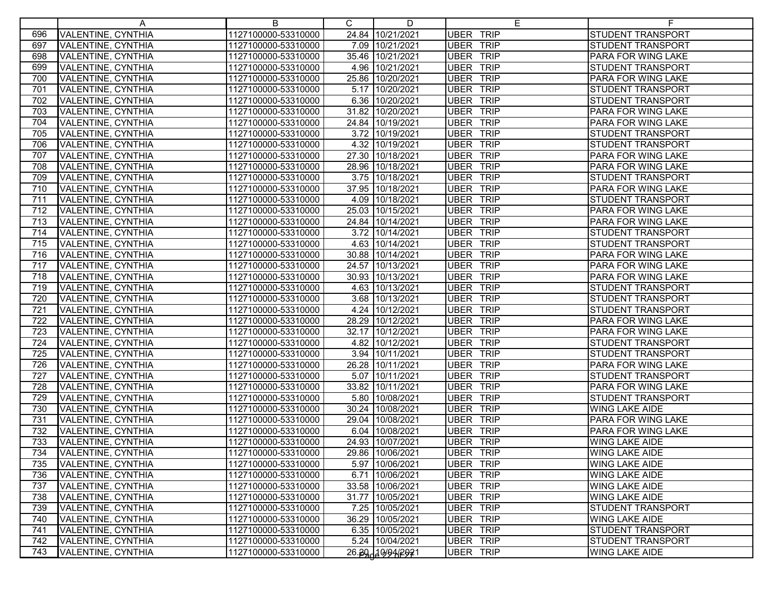|     | A                         | B                   | $\mathsf{C}$ | D                | E.               |                           |
|-----|---------------------------|---------------------|--------------|------------------|------------------|---------------------------|
| 696 | VALENTINE, CYNTHIA        | 1127100000-53310000 |              | 24.84 10/21/2021 | <b>UBER TRIP</b> | <b>STUDENT TRANSPORT</b>  |
| 697 | <b>VALENTINE, CYNTHIA</b> | 1127100000-53310000 |              | 7.09 10/21/2021  | UBER TRIP        | <b>STUDENT TRANSPORT</b>  |
| 698 | VALENTINE, CYNTHIA        | 1127100000-53310000 |              | 35.46 10/21/2021 | UBER TRIP        | <b>PARA FOR WING LAKE</b> |
| 699 | VALENTINE, CYNTHIA        | 1127100000-53310000 |              | 4.96 10/21/2021  | <b>UBER TRIP</b> | STUDENT TRANSPORT         |
| 700 | VALENTINE, CYNTHIA        | 1127100000-53310000 |              | 25.86 10/20/2021 | <b>UBER TRIP</b> | PARA FOR WING LAKE        |
| 701 | VALENTINE, CYNTHIA        | 1127100000-53310000 |              | 5.17 10/20/2021  | <b>UBER TRIP</b> | <b>STUDENT TRANSPORT</b>  |
| 702 | VALENTINE, CYNTHIA        | 1127100000-53310000 |              | 6.36 10/20/2021  | UBER TRIP        | <b>STUDENT TRANSPORT</b>  |
| 703 | VALENTINE, CYNTHIA        | 1127100000-53310000 |              | 31.82 10/20/2021 | <b>UBER TRIP</b> | <b>PARA FOR WING LAKE</b> |
| 704 | VALENTINE, CYNTHIA        | 1127100000-53310000 |              | 24.84 10/19/2021 | <b>UBER TRIP</b> | <b>PARA FOR WING LAKE</b> |
| 705 | VALENTINE, CYNTHIA        | 1127100000-53310000 |              | 3.72 10/19/2021  | <b>UBER TRIP</b> | <b>STUDENT TRANSPORT</b>  |
| 706 | <b>VALENTINE, CYNTHIA</b> | 1127100000-53310000 |              | 4.32 10/19/2021  | <b>UBER TRIP</b> | <b>STUDENT TRANSPORT</b>  |
| 707 | VALENTINE, CYNTHIA        | 1127100000-53310000 |              | 27.30 10/18/2021 | <b>UBER TRIP</b> | PARA FOR WING LAKE        |
| 708 | VALENTINE, CYNTHIA        | 1127100000-53310000 |              | 28.96 10/18/2021 | <b>UBER TRIP</b> | PARA FOR WING LAKE        |
| 709 | VALENTINE, CYNTHIA        | 1127100000-53310000 |              | 3.75 10/18/2021  | <b>UBER TRIP</b> | <b>STUDENT TRANSPORT</b>  |
| 710 | VALENTINE, CYNTHIA        | 1127100000-53310000 |              | 37.95 10/18/2021 | <b>UBER TRIP</b> | PARA FOR WING LAKE        |
| 711 | VALENTINE, CYNTHIA        | 1127100000-53310000 |              | 4.09 10/18/2021  | <b>UBER TRIP</b> | <b>STUDENT TRANSPORT</b>  |
| 712 | <b>VALENTINE, CYNTHIA</b> | 1127100000-53310000 |              | 25.03 10/15/2021 | <b>UBER TRIP</b> | <b>PARA FOR WING LAKE</b> |
| 713 | VALENTINE, CYNTHIA        | 1127100000-53310000 |              | 24.84 10/14/2021 | <b>UBER TRIP</b> | <b>PARA FOR WING LAKE</b> |
| 714 | VALENTINE, CYNTHIA        | 1127100000-53310000 |              | 3.72 10/14/2021  | UBER TRIP        | STUDENT TRANSPORT         |
| 715 | VALENTINE, CYNTHIA        | 1127100000-53310000 |              | 4.63 10/14/2021  | <b>UBER TRIP</b> | STUDENT TRANSPORT         |
| 716 | VALENTINE, CYNTHIA        | 1127100000-53310000 |              | 30.88 10/14/2021 | <b>UBER TRIP</b> | <b>PARA FOR WING LAKE</b> |
| 717 | VALENTINE, CYNTHIA        | 1127100000-53310000 |              | 24.57 10/13/2021 | <b>UBER TRIP</b> | <b>PARA FOR WING LAKE</b> |
| 718 | VALENTINE, CYNTHIA        | 1127100000-53310000 |              | 30.93 10/13/2021 | <b>UBER TRIP</b> | <b>PARA FOR WING LAKE</b> |
| 719 | VALENTINE, CYNTHIA        | 1127100000-53310000 |              | 4.63 10/13/2021  | UBER TRIP        | <b>STUDENT TRANSPORT</b>  |
| 720 | VALENTINE, CYNTHIA        | 1127100000-53310000 |              | 3.68 10/13/2021  | UBER TRIP        | <b>STUDENT TRANSPORT</b>  |
| 721 | VALENTINE, CYNTHIA        | 1127100000-53310000 |              | 4.24 10/12/2021  | <b>UBER TRIP</b> | <b>STUDENT TRANSPORT</b>  |
| 722 | VALENTINE, CYNTHIA        | 1127100000-53310000 |              | 28.29 10/12/2021 | UBER TRIP        | PARA FOR WING LAKE        |
| 723 | VALENTINE, CYNTHIA        | 1127100000-53310000 |              | 32.17 10/12/2021 | UBER TRIP        | <b>PARA FOR WING LAKE</b> |
| 724 | VALENTINE, CYNTHIA        | 1127100000-53310000 |              | 4.82 10/12/2021  | <b>UBER TRIP</b> | <b>STUDENT TRANSPORT</b>  |
| 725 | VALENTINE, CYNTHIA        | 1127100000-53310000 |              | 3.94 10/11/2021  | <b>UBER TRIP</b> | <b>STUDENT TRANSPORT</b>  |
| 726 | VALENTINE, CYNTHIA        | 1127100000-53310000 |              | 26.28 10/11/2021 | <b>UBER TRIP</b> | <b>PARA FOR WING LAKE</b> |
| 727 | VALENTINE, CYNTHIA        | 1127100000-53310000 |              | 5.07 10/11/2021  | <b>UBER TRIP</b> | <b>STUDENT TRANSPORT</b>  |
| 728 | VALENTINE, CYNTHIA        | 1127100000-53310000 |              | 33.82 10/11/2021 | <b>UBER TRIP</b> | <b>PARA FOR WING LAKE</b> |
| 729 | <b>VALENTINE, CYNTHIA</b> | 1127100000-53310000 |              | 5.80 10/08/2021  | <b>UBER TRIP</b> | <b>STUDENT TRANSPORT</b>  |
| 730 | <b>VALENTINE, CYNTHIA</b> | 1127100000-53310000 |              | 30.24 10/08/2021 | <b>UBER TRIP</b> | <b>WING LAKE AIDE</b>     |
| 731 | VALENTINE, CYNTHIA        | 1127100000-53310000 |              | 29.04 10/08/2021 | <b>UBER TRIP</b> | PARA FOR WING LAKE        |
| 732 | VALENTINE, CYNTHIA        | 1127100000-53310000 |              | 6.04 10/08/2021  | UBER TRIP        | PARA FOR WING LAKE        |
| 733 | VALENTINE, CYNTHIA        | 1127100000-53310000 |              | 24.93 10/07/2021 | <b>UBER TRIP</b> | <b>WING LAKE AIDE</b>     |
| 734 | <b>VALENTINE, CYNTHIA</b> | 1127100000-53310000 |              | 29.86 10/06/2021 | <b>UBER TRIP</b> | <b>WING LAKE AIDE</b>     |
| 735 | VALENTINE, CYNTHIA        | 1127100000-53310000 |              | 5.97 10/06/2021  | UBER TRIP        | <b>WING LAKE AIDE</b>     |
| 736 | <b>VALENTINE, CYNTHIA</b> | 1127100000-53310000 |              | 6.71 10/06/2021  | <b>UBER TRIP</b> | <b>WING LAKE AIDE</b>     |
| 737 | VALENTINE, CYNTHIA        | 1127100000-53310000 |              | 33.58 10/06/2021 | <b>UBER TRIP</b> | <b>WING LAKE AIDE</b>     |
| 738 | VALENTINE, CYNTHIA        | 1127100000-53310000 |              | 31.77 10/05/2021 | <b>UBER TRIP</b> | <b>WING LAKE AIDE</b>     |
| 739 | VALENTINE, CYNTHIA        | 1127100000-53310000 |              | 7.25 10/05/2021  | UBER TRIP        | <b>STUDENT TRANSPORT</b>  |
| 740 | VALENTINE, CYNTHIA        | 1127100000-53310000 |              | 36.29 10/05/2021 | <b>UBER TRIP</b> | <b>WING LAKE AIDE</b>     |
| 741 | VALENTINE, CYNTHIA        | 1127100000-53310000 |              | 6.35 10/05/2021  | <b>UBER TRIP</b> | <b>STUDENT TRANSPORT</b>  |
| 742 | VALENTINE, CYNTHIA        | 1127100000-53310000 |              | 5.24 10/04/2021  | <b>UBER TRIP</b> | <b>STUDENT TRANSPORT</b>  |
| 743 | VALENTINE, CYNTHIA        | 1127100000-53310000 |              | 26.30 19942921   | UBER TRIP        | <b>WING LAKE AIDE</b>     |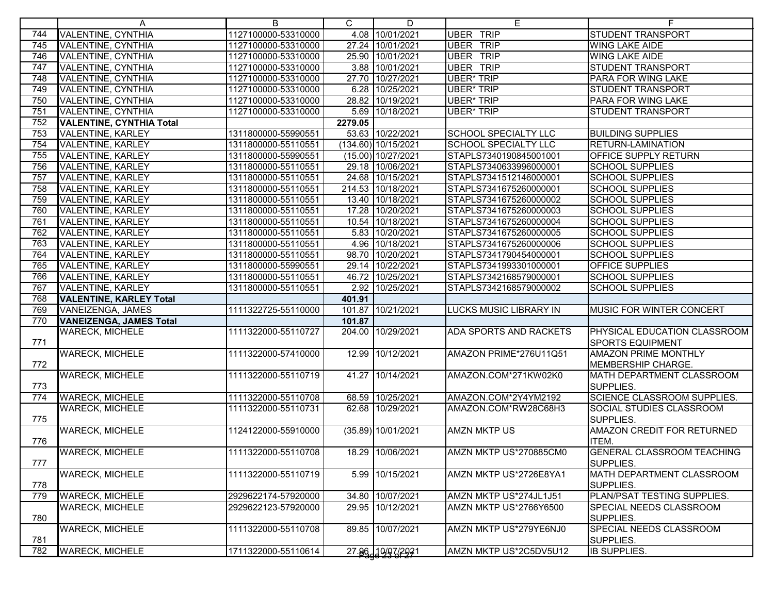|     | A                               | B                   | C.      | D                     | Е                             |                                    |
|-----|---------------------------------|---------------------|---------|-----------------------|-------------------------------|------------------------------------|
| 744 | <b>VALENTINE, CYNTHIA</b>       | 1127100000-53310000 |         | 4.08 10/01/2021       | <b>UBER TRIP</b>              | <b>STUDENT TRANSPORT</b>           |
| 745 | VALENTINE, CYNTHIA              | 1127100000-53310000 |         | 27.24 10/01/2021      | <b>UBER TRIP</b>              | <b>WING LAKE AIDE</b>              |
| 746 | VALENTINE, CYNTHIA              | 1127100000-53310000 |         | 25.90 10/01/2021      | <b>UBER TRIP</b>              | <b>WING LAKE AIDE</b>              |
| 747 | VALENTINE, CYNTHIA              | 1127100000-53310000 |         | 3.88 10/01/2021       | <b>UBER TRIP</b>              | <b>STUDENT TRANSPORT</b>           |
| 748 | VALENTINE, CYNTHIA              | 1127100000-53310000 |         | 27.70 10/27/2021      | <b>UBER* TRIP</b>             | PARA FOR WING LAKE                 |
| 749 | VALENTINE, CYNTHIA              | 1127100000-53310000 |         | 6.28 10/25/2021       | <b>UBER* TRIP</b>             | <b>STUDENT TRANSPORT</b>           |
| 750 | VALENTINE, CYNTHIA              | 1127100000-53310000 |         | 28.82 10/19/2021      | <b>UBER* TRIP</b>             | PARA FOR WING LAKE                 |
| 751 | VALENTINE, CYNTHIA              | 1127100000-53310000 |         | 5.69 10/18/2021       | <b>UBER* TRIP</b>             | <b>STUDENT TRANSPORT</b>           |
| 752 | <b>VALENTINE, CYNTHIA Total</b> |                     | 2279.05 |                       |                               |                                    |
| 753 | <b>VALENTINE, KARLEY</b>        | 1311800000-55990551 |         | 53.63 10/22/2021      | <b>SCHOOL SPECIALTY LLC</b>   | <b>BUILDING SUPPLIES</b>           |
| 754 | <b>VALENTINE, KARLEY</b>        | 1311800000-55110551 |         | $(134.60)$ 10/15/2021 | <b>SCHOOL SPECIALTY LLC</b>   | <b>RETURN-LAMINATION</b>           |
| 755 | VALENTINE, KARLEY               | 1311800000-55990551 |         | (15.00) 10/27/2021    | STAPLS7340190845001001        | <b>OFFICE SUPPLY RETURN</b>        |
| 756 | VALENTINE, KARLEY               | 1311800000-55110551 |         | 29.18 10/06/2021      | STAPLS7340633996000001        | <b>SCHOOL SUPPLIES</b>             |
| 757 | <b>VALENTINE, KARLEY</b>        | 1311800000-55110551 |         | 24.68 10/15/2021      | STAPLS7341512146000001        | <b>SCHOOL SUPPLIES</b>             |
| 758 | <b>VALENTINE, KARLEY</b>        | 1311800000-55110551 |         | 214.53 10/18/2021     | STAPLS7341675260000001        | <b>SCHOOL SUPPLIES</b>             |
| 759 | VALENTINE, KARLEY               | 1311800000-55110551 |         | 13.40 10/18/2021      | STAPLS7341675260000002        | <b>SCHOOL SUPPLIES</b>             |
| 760 | <b>VALENTINE, KARLEY</b>        | 1311800000-55110551 |         | 17.28 10/20/2021      | STAPLS7341675260000003        | <b>SCHOOL SUPPLIES</b>             |
| 761 | VALENTINE, KARLEY               | 1311800000-55110551 |         | 10.54 10/18/2021      | STAPLS7341675260000004        | <b>SCHOOL SUPPLIES</b>             |
| 762 | <b>VALENTINE, KARLEY</b>        | 1311800000-55110551 |         | 5.83 10/20/2021       | STAPLS7341675260000005        | <b>SCHOOL SUPPLIES</b>             |
| 763 | <b>VALENTINE, KARLEY</b>        | 1311800000-55110551 |         | 4.96 10/18/2021       | STAPLS7341675260000006        | <b>SCHOOL SUPPLIES</b>             |
| 764 | VALENTINE, KARLEY               | 1311800000-55110551 |         | 98.70 10/20/2021      | STAPLS7341790454000001        | <b>SCHOOL SUPPLIES</b>             |
| 765 | VALENTINE, KARLEY               | 1311800000-55990551 |         | 29.14 10/22/2021      | STAPLS7341993301000001        | <b>OFFICE SUPPLIES</b>             |
| 766 | VALENTINE, KARLEY               | 1311800000-55110551 |         | 46.72 10/25/2021      | STAPLS7342168579000001        | <b>SCHOOL SUPPLIES</b>             |
| 767 | VALENTINE, KARLEY               | 1311800000-55110551 |         | 2.92 10/25/2021       | STAPLS7342168579000002        | <b>SCHOOL SUPPLIES</b>             |
| 768 | <b>VALENTINE, KARLEY Total</b>  |                     | 401.91  |                       |                               |                                    |
| 769 | <b>VANEIZENGA, JAMES</b>        | 1111322725-55110000 |         | 101.87 10/21/2021     | <b>LUCKS MUSIC LIBRARY IN</b> | MUSIC FOR WINTER CONCERT           |
| 770 | <b>VANEIZENGA, JAMES Total</b>  |                     | 101.87  |                       |                               |                                    |
|     | <b>WARECK, MICHELE</b>          | 1111322000-55110727 |         | 204.00 10/29/2021     | ADA SPORTS AND RACKETS        | PHYSICAL EDUCATION CLASSROOM       |
| 771 |                                 |                     |         |                       |                               | <b>SPORTS EQUIPMENT</b>            |
|     | <b>WARECK, MICHELE</b>          | 1111322000-57410000 |         | 12.99 10/12/2021      | AMAZON PRIME*276U11Q51        | <b>AMAZON PRIME MONTHLY</b>        |
| 772 |                                 |                     |         |                       |                               | MEMBERSHIP CHARGE.                 |
|     | <b>WARECK, MICHELE</b>          | 1111322000-55110719 |         | 41.27 10/14/2021      | AMAZON.COM*271KW02K0          | MATH DEPARTMENT CLASSROOM          |
| 773 |                                 |                     |         |                       |                               | SUPPLIES.                          |
| 774 | <b>WARECK, MICHELE</b>          | 1111322000-55110708 |         | 68.59 10/25/2021      | AMAZON.COM*2Y4YM2192          | <b>SCIENCE CLASSROOM SUPPLIES.</b> |
|     | <b>WARECK, MICHELE</b>          | 1111322000-55110731 |         | 62.68 10/29/2021      | AMAZON.COM*RW28C68H3          | SOCIAL STUDIES CLASSROOM           |
| 775 |                                 |                     |         |                       |                               | SUPPLIES.                          |
|     | <b>WARECK, MICHELE</b>          | 1124122000-55910000 |         | (35.89) 10/01/2021    | <b>AMZN MKTP US</b>           | AMAZON CREDIT FOR RETURNED         |
| 776 |                                 |                     |         |                       |                               | ITEM.                              |
|     | <b>WARECK, MICHELE</b>          | 1111322000-55110708 |         | 18.29 10/06/2021      | AMZN MKTP US*270885CM0        | <b>GENERAL CLASSROOM TEACHING</b>  |
| 777 |                                 |                     |         |                       |                               | SUPPLIES.                          |
|     | <b>WARECK, MICHELE</b>          | 1111322000-55110719 |         | 5.99 10/15/2021       | AMZN MKTP US*2726E8YA1        | MATH DEPARTMENT CLASSROOM          |
| 778 |                                 |                     |         |                       |                               | SUPPLIES.                          |
| 779 | <b>WARECK, MICHELE</b>          | 2929622174-57920000 |         | 34.80 10/07/2021      | AMZN MKTP US*274JL1J51        | PLAN/PSAT TESTING SUPPLIES.        |
|     | <b>WARECK, MICHELE</b>          | 2929622123-57920000 |         | 29.95 10/12/2021      | AMZN MKTP US*2766Y6500        | SPECIAL NEEDS CLASSROOM            |
| 780 |                                 |                     |         |                       |                               | SUPPLIES.                          |
|     | <b>WARECK, MICHELE</b>          | 1111322000-55110708 |         | 89.85 10/07/2021      | AMZN MKTP US*279YE6NJ0        | SPECIAL NEEDS CLASSROOM            |
| 781 |                                 |                     |         |                       |                               | SUPPLIES.                          |
| 782 | <b>WARECK, MICHELE</b>          | 1711322000-55110614 |         | 27.86, 10/07/2021     | AMZN MKTP US*2C5DV5U12        | <b>IB SUPPLIES.</b>                |
|     |                                 |                     |         |                       |                               |                                    |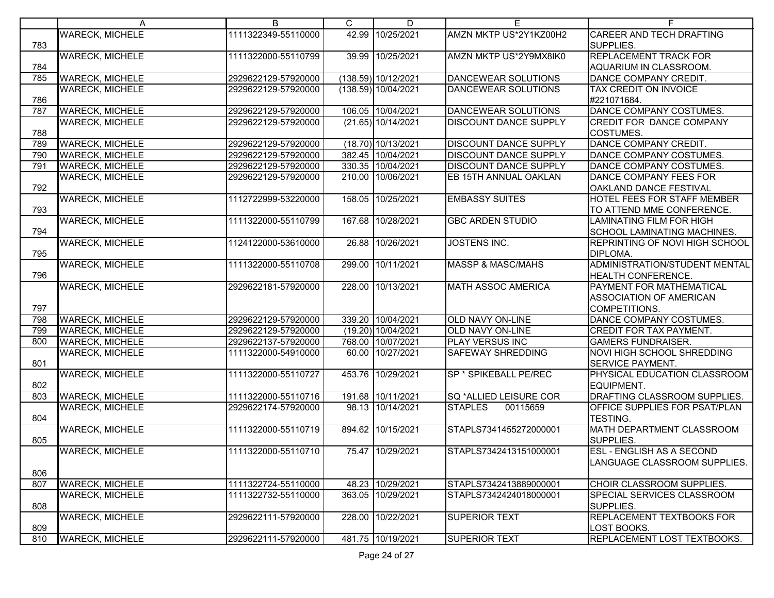|     | A                      | B                   | C | $\overline{D}$      | Е                            | F.                                 |
|-----|------------------------|---------------------|---|---------------------|------------------------------|------------------------------------|
|     | <b>WARECK, MICHELE</b> | 1111322349-55110000 |   | 42.99 10/25/2021    | AMZN MKTP US*2Y1KZ00H2       | <b>CAREER AND TECH DRAFTING</b>    |
| 783 |                        |                     |   |                     |                              | SUPPLIES.                          |
|     | <b>WARECK, MICHELE</b> | 1111322000-55110799 |   | 39.99 10/25/2021    | AMZN MKTP US*2Y9MX8IK0       | <b>REPLACEMENT TRACK FOR</b>       |
| 784 |                        |                     |   |                     |                              | AQUARIUM IN CLASSROOM.             |
| 785 | <b>WARECK, MICHELE</b> | 2929622129-57920000 |   | (138.59) 10/12/2021 | <b>DANCEWEAR SOLUTIONS</b>   | DANCE COMPANY CREDIT.              |
|     | <b>WARECK, MICHELE</b> | 2929622129-57920000 |   | (138.59) 10/04/2021 | <b>DANCEWEAR SOLUTIONS</b>   | TAX CREDIT ON INVOICE              |
| 786 |                        |                     |   |                     |                              | #221071684.                        |
| 787 | <b>WARECK, MICHELE</b> | 2929622129-57920000 |   | 106.05 10/04/2021   | <b>DANCEWEAR SOLUTIONS</b>   | DANCE COMPANY COSTUMES.            |
|     | <b>WARECK, MICHELE</b> | 2929622129-57920000 |   | (21.65) 10/14/2021  | <b>DISCOUNT DANCE SUPPLY</b> | <b>CREDIT FOR DANCE COMPANY</b>    |
| 788 |                        |                     |   |                     |                              | COSTUMES.                          |
| 789 | <b>WARECK, MICHELE</b> | 2929622129-57920000 |   | (18.70) 10/13/2021  | <b>DISCOUNT DANCE SUPPLY</b> | DANCE COMPANY CREDIT.              |
| 790 | <b>WARECK, MICHELE</b> | 2929622129-57920000 |   | 382.45 10/04/2021   | <b>DISCOUNT DANCE SUPPLY</b> | DANCE COMPANY COSTUMES.            |
| 791 | <b>WARECK, MICHELE</b> | 2929622129-57920000 |   | 330.35 10/04/2021   | <b>DISCOUNT DANCE SUPPLY</b> | DANCE COMPANY COSTUMES.            |
|     | <b>WARECK, MICHELE</b> | 2929622129-57920000 |   | 210.00 10/06/2021   | EB 15TH ANNUAL OAKLAN        | DANCE COMPANY FEES FOR             |
| 792 |                        |                     |   |                     |                              | OAKLAND DANCE FESTIVAL             |
|     | <b>WARECK, MICHELE</b> | 1112722999-53220000 |   | 158.05 10/25/2021   | <b>EMBASSY SUITES</b>        | <b>HOTEL FEES FOR STAFF MEMBER</b> |
| 793 |                        |                     |   |                     |                              | TO ATTEND MME CONFERENCE.          |
|     | <b>WARECK, MICHELE</b> | 1111322000-55110799 |   | 167.68 10/28/2021   | <b>GBC ARDEN STUDIO</b>      | <b>LAMINATING FILM FOR HIGH</b>    |
| 794 |                        |                     |   |                     |                              | <b>SCHOOL LAMINATING MACHINES.</b> |
|     | <b>WARECK, MICHELE</b> | 1124122000-53610000 |   | 26.88 10/26/2021    | <b>JOSTENS INC.</b>          | REPRINTING OF NOVI HIGH SCHOOL     |
| 795 |                        |                     |   |                     |                              | DIPLOMA.                           |
|     | <b>WARECK, MICHELE</b> | 1111322000-55110708 |   | 299.00 10/11/2021   | <b>MASSP &amp; MASC/MAHS</b> | ADMINISTRATION/STUDENT MENTAL      |
| 796 |                        |                     |   |                     |                              | <b>HEALTH CONFERENCE.</b>          |
|     | <b>WARECK, MICHELE</b> | 2929622181-57920000 |   | 228.00 10/13/2021   | <b>MATH ASSOC AMERICA</b>    | <b>PAYMENT FOR MATHEMATICAL</b>    |
|     |                        |                     |   |                     |                              | <b>IASSOCIATION OF AMERICAN</b>    |
| 797 |                        |                     |   |                     |                              | COMPETITIONS.                      |
| 798 | <b>WARECK, MICHELE</b> | 2929622129-57920000 |   | 339.20 10/04/2021   | <b>OLD NAVY ON-LINE</b>      | DANCE COMPANY COSTUMES.            |
| 799 | <b>WARECK, MICHELE</b> | 2929622129-57920000 |   | (19.20) 10/04/2021  | <b>OLD NAVY ON-LINE</b>      | <b>CREDIT FOR TAX PAYMENT.</b>     |
| 800 | <b>WARECK, MICHELE</b> | 2929622137-57920000 |   | 768.00 10/07/2021   | PLAY VERSUS INC              | <b>GAMERS FUNDRAISER.</b>          |
|     | <b>WARECK, MICHELE</b> | 1111322000-54910000 |   | 60.00 10/27/2021    | SAFEWAY SHREDDING            | NOVI HIGH SCHOOL SHREDDING         |
| 801 |                        |                     |   |                     |                              | <b>SERVICE PAYMENT.</b>            |
|     | <b>WARECK, MICHELE</b> | 1111322000-55110727 |   | 453.76 10/29/2021   | SP * SPIKEBALL PE/REC        | PHYSICAL EDUCATION CLASSROOM       |
| 802 |                        |                     |   |                     |                              | EQUIPMENT.                         |
| 803 | <b>WARECK, MICHELE</b> | 1111322000-55110716 |   | 191.68 10/11/2021   | SQ *ALLIED LEISURE COR       | DRAFTING CLASSROOM SUPPLIES.       |
|     | <b>WARECK, MICHELE</b> | 2929622174-57920000 |   | 98.13 10/14/2021    | <b>STAPLES</b><br>00115659   | OFFICE SUPPLIES FOR PSAT/PLAN      |
| 804 |                        |                     |   |                     |                              | <b>TESTING.</b>                    |
|     | <b>WARECK, MICHELE</b> | 1111322000-55110719 |   | 894.62 10/15/2021   | STAPLS7341455272000001       | MATH DEPARTMENT CLASSROOM          |
| 805 |                        |                     |   |                     |                              | SUPPLIES.                          |
|     | <b>WARECK, MICHELE</b> | 1111322000-55110710 |   | 75.47 10/29/2021    | STAPLS7342413151000001       | <b>ESL - ENGLISH AS A SECOND</b>   |
|     |                        |                     |   |                     |                              | LANGUAGE CLASSROOM SUPPLIES.       |
| 806 |                        |                     |   |                     |                              |                                    |
| 807 | <b>WARECK, MICHELE</b> | 1111322724-55110000 |   | 48.23 10/29/2021    | STAPLS7342413889000001       | CHOIR CLASSROOM SUPPLIES.          |
|     | <b>WARECK, MICHELE</b> | 1111322732-55110000 |   | 363.05 10/29/2021   | STAPLS7342424018000001       | SPECIAL SERVICES CLASSROOM         |
| 808 |                        |                     |   |                     |                              | SUPPLIES.                          |
|     | <b>WARECK, MICHELE</b> | 2929622111-57920000 |   | 228.00 10/22/2021   | <b>SUPERIOR TEXT</b>         | <b>REPLACEMENT TEXTBOOKS FOR</b>   |
| 809 |                        |                     |   |                     |                              | LOST BOOKS.                        |
| 810 | <b>WARECK, MICHELE</b> | 2929622111-57920000 |   | 481.75 10/19/2021   | <b>SUPERIOR TEXT</b>         | REPLACEMENT LOST TEXTBOOKS.        |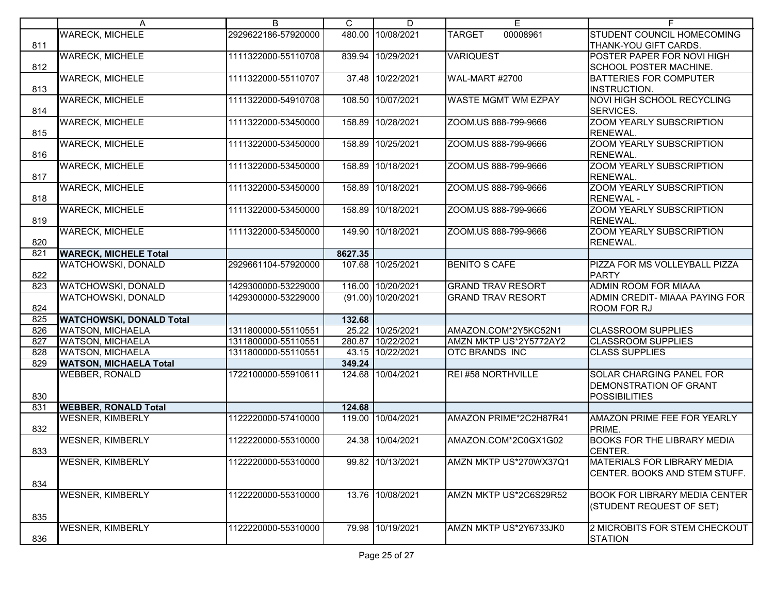|     | A                               | B                   | C       | D                  | E                          | F.                                   |
|-----|---------------------------------|---------------------|---------|--------------------|----------------------------|--------------------------------------|
|     | <b>WARECK, MICHELE</b>          | 2929622186-57920000 |         | 480.00 10/08/2021  | <b>TARGET</b><br>00008961  | STUDENT COUNCIL HOMECOMING           |
| 811 |                                 |                     |         |                    |                            | THANK-YOU GIFT CARDS.                |
|     | <b>WARECK, MICHELE</b>          | 1111322000-55110708 |         | 839.94 10/29/2021  | <b>VARIQUEST</b>           | <b>POSTER PAPER FOR NOVI HIGH</b>    |
| 812 |                                 |                     |         |                    |                            | SCHOOL POSTER MACHINE.               |
|     | <b>WARECK, MICHELE</b>          | 1111322000-55110707 |         | 37.48 10/22/2021   | WAL-MART #2700             | <b>BATTERIES FOR COMPUTER</b>        |
| 813 |                                 |                     |         |                    |                            | INSTRUCTION.                         |
|     | <b>WARECK, MICHELE</b>          | 1111322000-54910708 |         | 108.50 10/07/2021  | <b>WASTE MGMT WM EZPAY</b> | NOVI HIGH SCHOOL RECYCLING           |
| 814 |                                 |                     |         |                    |                            | SERVICES.                            |
|     | <b>WARECK, MICHELE</b>          | 1111322000-53450000 |         | 158.89 10/28/2021  | ZOOM.US 888-799-9666       | <b>ZOOM YEARLY SUBSCRIPTION</b>      |
| 815 |                                 |                     |         |                    |                            | <b>RENEWAL.</b>                      |
|     | <b>WARECK, MICHELE</b>          | 1111322000-53450000 |         | 158.89 10/25/2021  | ZOOM.US 888-799-9666       | <b>ZOOM YEARLY SUBSCRIPTION</b>      |
| 816 |                                 |                     |         |                    |                            | RENEWAL.                             |
|     | <b>WARECK, MICHELE</b>          | 1111322000-53450000 |         | 158.89 10/18/2021  | ZOOM.US 888-799-9666       | ZOOM YEARLY SUBSCRIPTION             |
| 817 |                                 |                     |         |                    |                            | <b>RENEWAL.</b>                      |
|     | <b>WARECK, MICHELE</b>          | 1111322000-53450000 |         | 158.89 10/18/2021  | ZOOM.US 888-799-9666       | <b>ZOOM YEARLY SUBSCRIPTION</b>      |
| 818 |                                 |                     |         |                    |                            | <b>RENEWAL-</b>                      |
|     | <b>WARECK, MICHELE</b>          | 1111322000-53450000 |         | 158.89 10/18/2021  | ZOOM.US 888-799-9666       | <b>ZOOM YEARLY SUBSCRIPTION</b>      |
| 819 |                                 |                     |         |                    |                            | <b>RENEWAL.</b>                      |
|     | <b>WARECK, MICHELE</b>          | 1111322000-53450000 |         | 149.90 10/18/2021  | ZOOM.US 888-799-9666       | ZOOM YEARLY SUBSCRIPTION             |
| 820 |                                 |                     |         |                    |                            | RENEWAL.                             |
| 821 | <b>WARECK, MICHELE Total</b>    |                     | 8627.35 |                    |                            |                                      |
|     | WATCHOWSKI, DONALD              | 2929661104-57920000 |         | 107.68 10/25/2021  | <b>BENITO S CAFE</b>       | PIZZA FOR MS VOLLEYBALL PIZZA        |
| 822 |                                 |                     |         |                    |                            | <b>PARTY</b>                         |
| 823 | WATCHOWSKI, DONALD              | 1429300000-53229000 |         | 116.00 10/20/2021  | <b>GRAND TRAV RESORT</b>   | <b>ADMIN ROOM FOR MIAAA</b>          |
|     | <b>WATCHOWSKI, DONALD</b>       | 1429300000-53229000 |         | (91.00) 10/20/2021 | <b>GRAND TRAV RESORT</b>   | ADMIN CREDIT- MIAAA PAYING FOR       |
| 824 |                                 |                     |         |                    |                            | ROOM FOR RJ                          |
| 825 | <b>WATCHOWSKI, DONALD Total</b> |                     | 132.68  |                    |                            |                                      |
| 826 | <b>WATSON, MICHAELA</b>         | 1311800000-55110551 |         | 25.22 10/25/2021   | AMAZON.COM*2Y5KC52N1       | <b>CLASSROOM SUPPLIES</b>            |
| 827 | <b>WATSON, MICHAELA</b>         | 1311800000-55110551 |         | 280.87 10/22/2021  | AMZN MKTP US*2Y5772AY2     | <b>CLASSROOM SUPPLIES</b>            |
| 828 | <b>WATSON, MICHAELA</b>         | 1311800000-55110551 |         | 43.15 10/22/2021   | <b>OTC BRANDS INC</b>      | <b>CLASS SUPPLIES</b>                |
| 829 | <b>WATSON, MICHAELA Total</b>   |                     | 349.24  |                    |                            |                                      |
|     | <b>WEBBER, RONALD</b>           | 1722100000-55910611 |         | 124.68 10/04/2021  | REI #58 NORTHVILLE         | <b>SOLAR CHARGING PANEL FOR</b>      |
|     |                                 |                     |         |                    |                            | <b>DEMONSTRATION OF GRANT</b>        |
| 830 |                                 |                     |         |                    |                            | <b>POSSIBILITIES</b>                 |
| 831 | <b>WEBBER, RONALD Total</b>     |                     | 124.68  |                    |                            |                                      |
|     | <b>WESNER, KIMBERLY</b>         | 1122220000-57410000 |         | 119.00 10/04/2021  | AMAZON PRIME*2C2H87R41     | <b>AMAZON PRIME FEE FOR YEARLY</b>   |
| 832 |                                 |                     |         |                    |                            | PRIME.                               |
|     | <b>WESNER, KIMBERLY</b>         | 1122220000-55310000 |         | 24.38 10/04/2021   | AMAZON.COM*2C0GX1G02       | <b>BOOKS FOR THE LIBRARY MEDIA</b>   |
| 833 |                                 |                     |         |                    |                            | CENTER.                              |
|     | <b>WESNER, KIMBERLY</b>         | 1122220000-55310000 |         | 99.82 10/13/2021   | AMZN MKTP US*270WX37Q1     | MATERIALS FOR LIBRARY MEDIA          |
|     |                                 |                     |         |                    |                            | CENTER. BOOKS AND STEM STUFF.        |
| 834 |                                 |                     |         |                    |                            |                                      |
|     | <b>WESNER, KIMBERLY</b>         | 1122220000-55310000 |         | 13.76 10/08/2021   | AMZN MKTP US*2C6S29R52     | <b>BOOK FOR LIBRARY MEDIA CENTER</b> |
|     |                                 |                     |         |                    |                            | (STUDENT REQUEST OF SET)             |
| 835 |                                 |                     |         |                    |                            |                                      |
|     | <b>WESNER, KIMBERLY</b>         | 1122220000-55310000 |         | 79.98 10/19/2021   | AMZN MKTP US*2Y6733JK0     | 2 MICROBITS FOR STEM CHECKOUT        |
| 836 |                                 |                     |         |                    |                            | <b>STATION</b>                       |
|     |                                 |                     |         |                    |                            |                                      |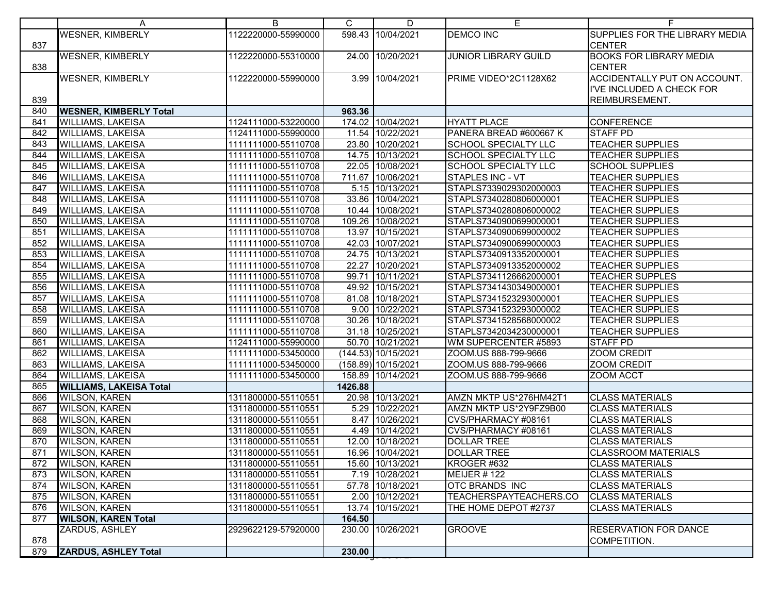|            | A                                            | B                                          | C.      | D                                   | Е                                               |                                                           |
|------------|----------------------------------------------|--------------------------------------------|---------|-------------------------------------|-------------------------------------------------|-----------------------------------------------------------|
| 837        | <b>WESNER, KIMBERLY</b>                      | 1122220000-55990000                        |         | 598.43 10/04/2021                   | <b>DEMCO INC</b>                                | SUPPLIES FOR THE LIBRARY MEDIA<br><b>CENTER</b>           |
| 838        | <b>WESNER, KIMBERLY</b>                      | 1122220000-55310000                        |         | 24.00 10/20/2021                    | <b>JUNIOR LIBRARY GUILD</b>                     | <b>BOOKS FOR LIBRARY MEDIA</b><br><b>CENTER</b>           |
|            | <b>WESNER, KIMBERLY</b>                      | 1122220000-55990000                        |         | 3.99 10/04/2021                     | PRIME VIDEO*2C1128X62                           | ACCIDENTALLY PUT ON ACCOUNT.<br>I'VE INCLUDED A CHECK FOR |
| 839        |                                              |                                            |         |                                     |                                                 | REIMBURSEMENT.                                            |
| 840        | <b>WESNER, KIMBERLY Total</b>                |                                            | 963.36  |                                     |                                                 |                                                           |
| 841        | <b>WILLIAMS, LAKEISA</b>                     | 1124111000-53220000                        |         | 174.02 10/04/2021                   | <b>HYATT PLACE</b>                              | <b>CONFERENCE</b>                                         |
| 842        | <b>WILLIAMS, LAKEISA</b>                     | 1124111000-55990000                        |         | 11.54 10/22/2021                    | PANERA BREAD #600667 K                          | <b>STAFF PD</b>                                           |
| 843        | <b>WILLIAMS, LAKEISA</b>                     | 1111111000-55110708                        |         | 23.80 10/20/2021                    | <b>SCHOOL SPECIALTY LLC</b>                     | <b>TEACHER SUPPLIES</b>                                   |
| 844        | <b>WILLIAMS, LAKEISA</b>                     | 1111111000-55110708                        |         | 14.75 10/13/2021                    | SCHOOL SPECIALTY LLC                            | <b>TEACHER SUPPLIES</b>                                   |
| 845        | <b>WILLIAMS, LAKEISA</b>                     | 1111111000-55110708                        |         | 22.05 10/08/2021                    | SCHOOL SPECIALTY LLC                            | <b>SCHOOL SUPPLIES</b>                                    |
| 846        | <b>WILLIAMS, LAKEISA</b>                     | 1111111000-55110708                        |         | 711.67 10/06/2021                   | <b>STAPLES INC - VT</b>                         | <b>TEACHER SUPPLIES</b>                                   |
| 847        | <b>WILLIAMS, LAKEISA</b>                     | 1111111000-55110708                        |         | 5.15 10/13/2021                     | STAPLS7339029302000003                          | <b>TEACHER SUPPLIES</b>                                   |
| 848        | <b>WILLIAMS, LAKEISA</b>                     | 1111111000-55110708                        |         | 33.86 10/04/2021                    | STAPLS7340280806000001                          | <b>TEACHER SUPPLIES</b>                                   |
| 849        | <b>WILLIAMS, LAKEISA</b>                     | 1111111000-55110708                        |         | 10.44 10/08/2021                    | STAPLS7340280806000002                          | <b>TEACHER SUPPLIES</b>                                   |
| 850        | <b>WILLIAMS, LAKEISA</b>                     | 1111111000-55110708                        |         | 109.26 10/08/2021                   | STAPLS7340900699000001                          | <b>TEACHER SUPPLIES</b>                                   |
| 851        | <b>WILLIAMS, LAKEISA</b>                     | 1111111000-55110708                        |         | 13.97 10/15/2021                    | STAPLS7340900699000002                          | <b>TEACHER SUPPLIES</b>                                   |
| 852        | <b>WILLIAMS, LAKEISA</b>                     | 1111111000-55110708                        |         | 42.03 10/07/2021                    | STAPLS7340900699000003                          | <b>TEACHER SUPPLIES</b>                                   |
| 853        | <b>WILLIAMS, LAKEISA</b>                     | 1111111000-55110708                        |         | 24.75 10/13/2021                    | STAPLS7340913352000001                          | <b>TEACHER SUPPLIES</b>                                   |
| 854        | <b>WILLIAMS, LAKEISA</b>                     | 1111111000-55110708                        |         | 22.27 10/20/2021                    | STAPLS7340913352000002                          | <b>TEACHER SUPPLIES</b>                                   |
| 855        | <b>WILLIAMS, LAKEISA</b>                     | 1111111000-55110708                        |         | 99.71 10/11/2021                    | STAPLS7341126662000001                          | <b>TEACHER SUPPLES</b>                                    |
| 856        | <b>WILLIAMS, LAKEISA</b>                     | 1111111000-55110708                        |         | 49.92 10/15/2021                    | STAPLS7341430349000001                          | <b>TEACHER SUPPLIES</b>                                   |
| 857        | <b>WILLIAMS, LAKEISA</b>                     | 1111111000-55110708                        |         | 81.08 10/18/2021                    | STAPLS7341523293000001                          | <b>TEACHER SUPPLIES</b>                                   |
| 858        | <b>WILLIAMS, LAKEISA</b>                     | 1111111000-55110708                        |         | 9.00 10/22/2021                     | STAPLS7341523293000002                          | <b>TEACHER SUPPLIES</b>                                   |
| 859        | <b>WILLIAMS, LAKEISA</b>                     | 1111111000-55110708                        |         | 30.26 10/18/2021                    | STAPLS7341528568000002                          | <b>TEACHER SUPPLIES</b>                                   |
| 860        | <b>WILLIAMS, LAKEISA</b>                     | 1111111000-55110708                        |         | 31.18 10/25/2021                    | STAPLS7342034230000001                          | <b>TEACHER SUPPLIES</b>                                   |
| 861        | <b>WILLIAMS, LAKEISA</b>                     | 1124111000-55990000                        |         | 50.70 10/21/2021                    | WM SUPERCENTER #5893                            | <b>STAFF PD</b>                                           |
| 862        | <b>WILLIAMS, LAKEISA</b>                     | 1111111000-53450000                        |         | (144.53) 10/15/2021                 | ZOOM.US 888-799-9666                            | <b>ZOOM CREDIT</b>                                        |
| 863        | <b>WILLIAMS, LAKEISA</b>                     | 1111111000-53450000                        |         | $(158.89)$ 10/15/2021               | ZOOM.US 888-799-9666                            | <b>ZOOM CREDIT</b>                                        |
| 864        | <b>WILLIAMS, LAKEISA</b>                     | 1111111000-53450000                        |         | 158.89 10/14/2021                   | ZOOM.US 888-799-9666                            | <b>ZOOM ACCT</b>                                          |
| 865        | <b>WILLIAMS, LAKEISA Total</b>               |                                            | 1426.88 |                                     |                                                 |                                                           |
| 866        | <b>WILSON, KAREN</b>                         | 1311800000-55110551                        |         | 20.98 10/13/2021                    | AMZN MKTP US*276HM42T1                          | <b>CLASS MATERIALS</b>                                    |
| 867        | <b>WILSON, KAREN</b>                         | 1311800000-55110551                        |         | 5.29 10/22/2021                     | AMZN MKTP US*2Y9FZ9B00                          | <b>CLASS MATERIALS</b>                                    |
| 868        | <b>WILSON, KAREN</b>                         | 1311800000-55110551                        |         | 8.47 10/26/2021                     | CVS/PHARMACY #08161                             | <b>CLASS MATERIALS</b>                                    |
| 869        | <b>WILSON, KAREN</b>                         | 1311800000-55110551                        |         | 4.49 10/14/2021                     | CVS/PHARMACY #08161                             | <b>CLASS MATERIALS</b>                                    |
| 870        | <b>WILSON, KAREN</b>                         | 1311800000-55110551                        |         | 12.00 10/18/2021                    | <b>DOLLAR TREE</b>                              | <b>CLASS MATERIALS</b>                                    |
| 871        | <b>WILSON, KAREN</b>                         | 1311800000-55110551                        |         | 16.96 10/04/2021                    | <b>DOLLAR TREE</b>                              | <b>CLASSROOM MATERIALS</b>                                |
| 872        | <b>WILSON, KAREN</b>                         | 1311800000-55110551                        |         | 15.60 10/13/2021<br>7.19 10/28/2021 | KROGER #632                                     | <b>CLASS MATERIALS</b>                                    |
| 873        | <b>WILSON, KAREN</b>                         | 1311800000-55110551                        |         |                                     | <b>MEIJER #122</b>                              | <b>CLASS MATERIALS</b>                                    |
| 874        | <b>WILSON, KAREN</b><br><b>WILSON, KAREN</b> | 1311800000-55110551                        |         | 57.78 10/18/2021<br>2.00 10/12/2021 | <b>OTC BRANDS INC</b><br>TEACHERSPAYTEACHERS.CO | <b>CLASS MATERIALS</b><br><b>CLASS MATERIALS</b>          |
| 875<br>876 | <b>WILSON, KAREN</b>                         | 1311800000-55110551<br>1311800000-55110551 |         | 13.74 10/15/2021                    | THE HOME DEPOT #2737                            | <b>CLASS MATERIALS</b>                                    |
| 877        | <b>WILSON, KAREN Total</b>                   |                                            | 164.50  |                                     |                                                 |                                                           |
|            | ZARDUS, ASHLEY                               | 2929622129-57920000                        |         | 230.00 10/26/2021                   | <b>GROOVE</b>                                   | <b>RESERVATION FOR DANCE</b>                              |
| 878        |                                              |                                            |         |                                     |                                                 | COMPETITION.                                              |
| 879        | <b>ZARDUS, ASHLEY Total</b>                  |                                            | 230.00  |                                     |                                                 |                                                           |
|            |                                              |                                            |         |                                     |                                                 |                                                           |